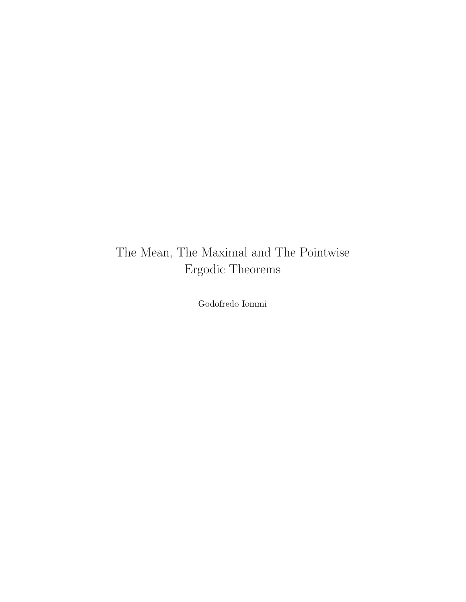# The Mean, The Maximal and The Pointwise Ergodic Theorems

Godofredo Iommi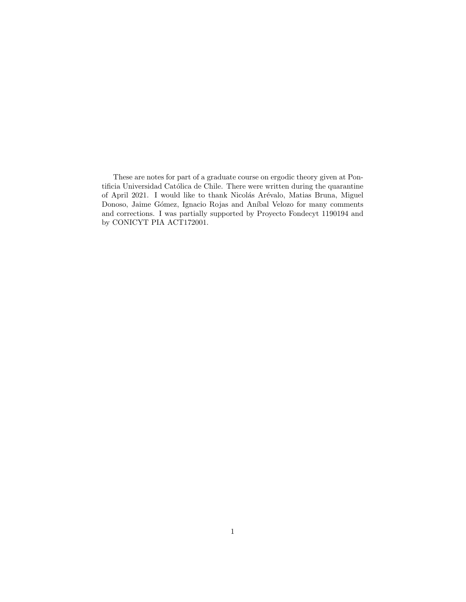These are notes for part of a graduate course on ergodic theory given at Pontificia Universidad Católica de Chile. There were written during the quarantine of April 2021. I would like to thank Nicolás Arévalo, Matias Bruna, Miguel Donoso, Jaime Gómez, Ignacio Rojas and Aníbal Velozo for many comments and corrections. I was partially supported by Proyecto Fondecyt 1190194 and by CONICYT PIA ACT172001.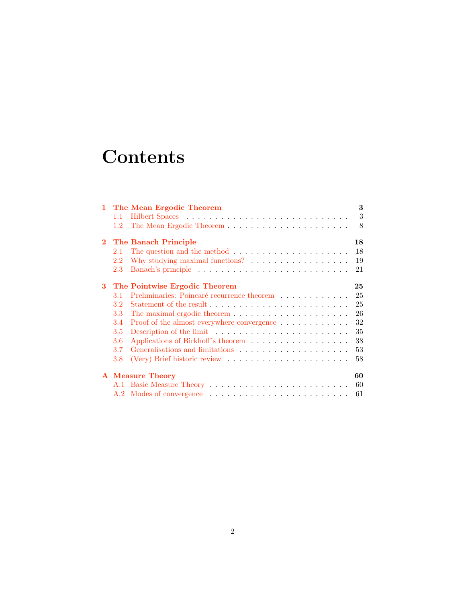# **Contents**

|             |     | 1 The Mean Ergodic Theorem                                                     | 3  |
|-------------|-----|--------------------------------------------------------------------------------|----|
|             | 1.1 |                                                                                | 3  |
|             | 1.2 |                                                                                | 8  |
| $2^{\circ}$ |     | The Banach Principle                                                           | 18 |
|             | 2.1 | The question and the method $\ldots \ldots \ldots \ldots \ldots \ldots \ldots$ | 18 |
|             | 2.2 |                                                                                | 19 |
|             | 2.3 |                                                                                | 21 |
| 3           |     | The Pointwise Ergodic Theorem                                                  | 25 |
|             | 3.1 | Preliminaries: Poincaré recurrence theorem                                     | 25 |
|             | 3.2 |                                                                                | 25 |
|             | 3.3 |                                                                                | 26 |
|             | 3.4 | Proof of the almost everywhere convergence                                     | 32 |
|             | 3.5 |                                                                                | 35 |
|             | 3.6 |                                                                                | 38 |
|             | 3.7 |                                                                                | 53 |
|             | 3.8 | (Very) Brief historic review $\ldots \ldots \ldots \ldots \ldots \ldots$       | 58 |
|             |     | <b>A</b> Measure Theory                                                        | 60 |
|             |     |                                                                                | 60 |
|             |     |                                                                                | 61 |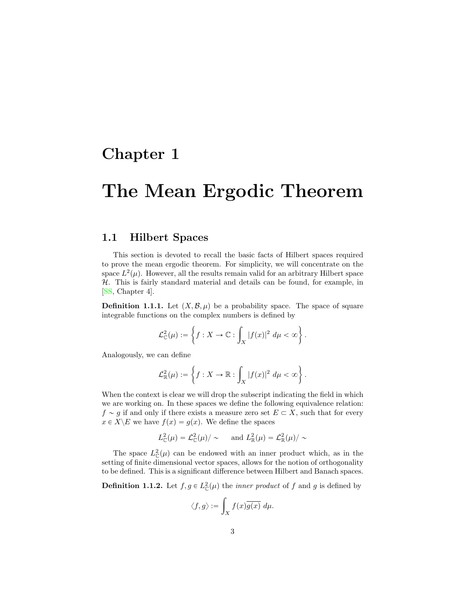# <span id="page-3-2"></span><span id="page-3-0"></span>Chapter 1

# The Mean Ergodic Theorem

# <span id="page-3-1"></span>1.1 Hilbert Spaces

This section is devoted to recall the basic facts of Hilbert spaces required to prove the mean ergodic theorem. For simplicity, we will concentrate on the space  $L^2(\mu)$ . However, all the results remain valid for an arbitrary Hilbert space *H*. This is fairly standard material and details can be found, for example, in [\[SS,](#page-66-0) Chapter 4].

**Definition 1.1.1.** Let  $(X, \mathcal{B}, \mu)$  be a probability space. The space of square integrable functions on the complex numbers is defined by

$$
\mathcal{L}_{\mathbb{C}}^2(\mu) := \left\{ f : X \to \mathbb{C} : \int_X |f(x)|^2 \ d\mu < \infty \right\}.
$$

Analogously, we can define

$$
\mathcal{L}^2_{\mathbb{R}}(\mu) := \left\{ f : X \to \mathbb{R} : \int_X |f(x)|^2 \ d\mu < \infty \right\}.
$$

When the context is clear we will drop the subscript indicating the field in which we are working on. In these spaces we define the following equivalence relation:  $f \sim g$  if and only if there exists a measure zero set  $E \subset X$ , such that for every  $x \in X \setminus E$  we have  $f(x) = g(x)$ . We define the spaces

$$
L_{\mathbb{C}}^2(\mu) = \mathcal{L}_{\mathbb{C}}^2(\mu) / \sim \quad \text{and } L_{\mathbb{R}}^2(\mu) = \mathcal{L}_{\mathbb{R}}^2(\mu) / \sim
$$

The space  $L^2(\mu)$  can be endowed with an inner product which, as in the setting of finite dimensional vector spaces, allows for the notion of orthogonality to be defined. This is a significant difference between Hilbert and Banach spaces.

**Definition 1.1.2.** Let  $f, g \in L^2_{\mathbb{C}}(\mu)$  the *inner product* of *f* and *g* is defined by

$$
\langle f, g \rangle := \int_X f(x) \overline{g(x)} \ d\mu.
$$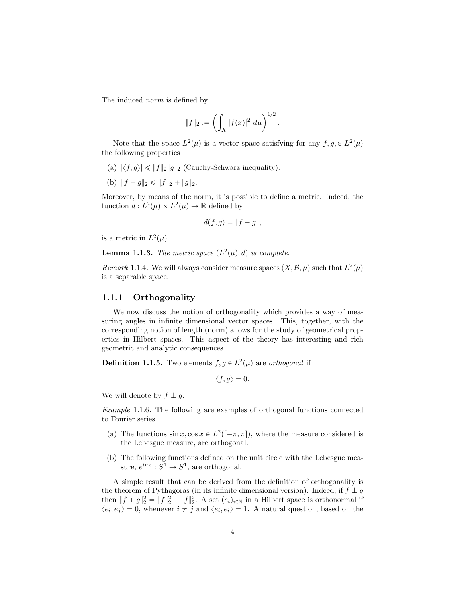The induced *norm* is defined by

$$
||f||_2 := \left(\int_X |f(x)|^2 \ d\mu\right)^{1/2}.
$$

Note that the space  $L^2(\mu)$  is a vector space satisfying for any  $f, g \in L^2(\mu)$ the following properties

- (a)  $|\langle f, g \rangle| \leq \|f\|_2 \|g\|_2$  (Cauchy-Schwarz inequality).
- (b)  $|| f + q ||_2 \leq || f ||_2 + || q ||_2.$

Moreover, by means of the norm, it is possible to define a metric. Indeed, the function  $d: L^2(\mu) \times L^2(\mu) \rightarrow \mathbb{R}$  defined by

$$
d(f,g) = \|f - g\|,
$$

is a metric in  $L^2(\mu)$ .

**Lemma 1.1.3.** *The metric space*  $(L^2(\mu), d)$  *is complete.* 

*Remark* 1.1.4. We will always consider measure spaces  $(X, \mathcal{B}, \mu)$  such that  $L^2(\mu)$ is a separable space.

## 1.1.1 Orthogonality

We now discuss the notion of orthogonality which provides a way of measuring angles in infinite dimensional vector spaces. This, together, with the corresponding notion of length (norm) allows for the study of geometrical properties in Hilbert spaces. This aspect of the theory has interesting and rich geometric and analytic consequences.

**Definition 1.1.5.** Two elements  $f, g \in L^2(\mu)$  are *orthogonal* if

$$
\langle f,g\rangle=0.
$$

We will denote by  $f \perp g$ .

*Example* 1.1.6*.* The following are examples of orthogonal functions connected to Fourier series.

- (a) The functions  $\sin x, \cos x \in L^2([-\pi, \pi])$ , where the measure considered is the Lebesgue measure, are orthogonal.
- (b) The following functions defined on the unit circle with the Lebesgue measure,  $e^{inx}: S^1 \to S^1$ , are orthogonal.

A simple result that can be derived from the definition of orthogonality is the theorem of Pythagoras (in its infinite dimensional version). Indeed, if  $f \perp g$ then  $||f + g||_2^2 = ||f||_2^2 + ||f||_2^2$ . A set  $(e_i)_{i \in \mathbb{N}}$  in a Hilbert space is orthonormal if  $\langle e_i, e_j \rangle = 0$ , whenever  $i \neq j$  and  $\langle e_i, e_i \rangle = 1$ . A natural question, based on the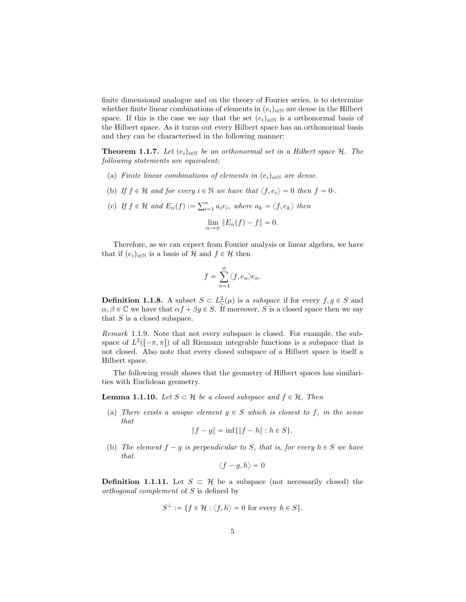finite dimensional analogue and on the theory of Fourier series, is to determine whether finite linear combinations of elements in  $(e_i)_{i\in\mathbb{N}}$  are dense in the Hilbert space. If this is the case we say that the set  $(e_i)_{i\in\mathbb{N}}$  is a orthonormal basis of the Hilbert space. As it turns out every Hilbert space has an orthonormal basis and they can be characterised in the following manner:

**Theorem 1.1.7.** Let  $(e_i)_{i \in \mathbb{N}}$  be an orthonormal set in a Hilbert space H. The *following statements are equivalent:*

- (a) *Finite linear combinations of elements in*  $(e_i)_{i \in \mathbb{N}}$  *are dense.*
- (b) If  $f \in \mathcal{H}$  and for every  $i \in \mathbb{N}$  we have that  $\langle f, e_i \rangle = 0$  then  $f = 0$ *·.*
- (c) If  $f \in \mathcal{H}$  and  $E_n(f) := \sum_{i=1}^n a_i e_i$ , where  $a_k = \langle f, e_k \rangle$  then

$$
\lim_{n \to \infty} \|E_n(f) - f\| = 0.
$$

Therefore, as we can expect from Fourier analysis or linear algebra, we have that if  $(e_i)_{i \in \mathbb{N}}$  is a basis of  $H$  and  $f \in H$  then

$$
f = \sum_{n=1}^{\infty} \langle f, e_n \rangle e_n.
$$

**Definition 1.1.8.** A subset  $S \subset L^2(\mu)$  is a *subspace* if for every  $f, g \in S$  and  $\alpha, \beta \in \mathbb{C}$  we have that  $\alpha f + \beta g \in S$ . If moreover, *S* is a closed space then we say that *S* is a closed subspace.

*Remark* 1.1.9*.* Note that not every subspace is closed. For example, the subspace of  $L^2([-\pi,\pi])$  of all Riemann integrable functions is a subspace that is not closed. Also note that every closed subspace of a Hilbert space is itself a Hilbert space.

The following result shows that the geometry of Hilbert spaces has similarities with Euclidean geometry.

**Lemma 1.1.10.** Let  $S \subset \mathcal{H}$  be a closed subspace and  $f \in \mathcal{H}$ , Then

(a) *There exists a unique element*  $g \in S$  *which is closest to*  $f$ *, in the sense that*

$$
||f - g|| = \inf{||f - h|| : h \in S}.
$$

(b) *The element*  $f - g$  *is perpendicular to S, that is, for every*  $h \in S$  *we have that*

$$
\langle f-g,h\rangle=0
$$

**Definition 1.1.11.** Let  $S \subset \mathcal{H}$  be a subspace (not necessarily closed) the *orthogonal complement* of *S* is defined by

$$
S^{\perp} := \{ f \in \mathcal{H} : \langle f, h \rangle = 0 \text{ for every } h \in S \}.
$$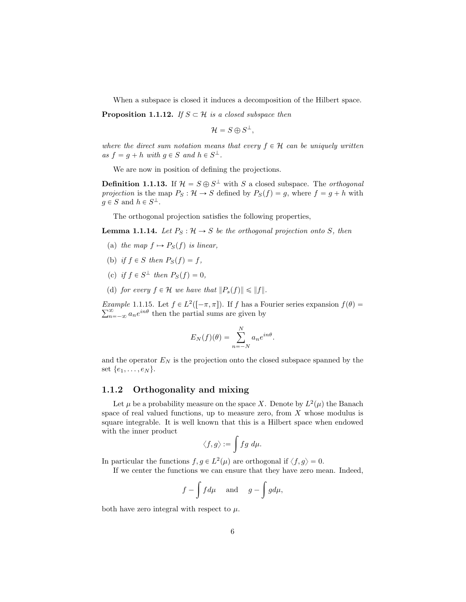When a subspace is closed it induces a decomposition of the Hilbert space.

**Proposition 1.1.12.** *If*  $S \subset \mathcal{H}$  *is a closed subspace then* 

$$
\mathcal{H}=S\oplus S^{\perp},
$$

where the direct sum notation means that every  $f \in \mathcal{H}$  can be uniquely written  $as f = g + h$  *with*  $g \in S$  *and*  $h \in S^{\perp}$ .

We are now in position of defining the projections.

**Definition 1.1.13.** If  $\mathcal{H} = S \oplus S^{\perp}$  with *S* a closed subspace. The *orthogonal projection* is the map  $P_S: \mathcal{H} \to S$  defined by  $P_S(f) = g$ , where  $f = g + h$  with  $q \in S$  and  $h \in S^{\perp}$ .

The orthogonal projection satisfies the following properties,

**Lemma 1.1.14.** Let  $P_S: \mathcal{H} \to S$  be the orthogonal projection onto S, then

- (a) the map  $f \mapsto P_S(f)$  is linear,
- (b) if  $f \in S$  then  $P_S(f) = f$ ,
- (c) *if*  $f \in S^{\perp}$  *then*  $P_S(f) = 0$ ,
- (d) *for every*  $f \in \mathcal{H}$  *we have that*  $||P_s(f)|| \le ||f||$ *.*

*Example* 1.1.15*.* Let  $f \in L^2([-\pi,\pi])$ *.* If *f* has a Fourier series expansion  $f(\theta)$  =  $\sum_{n=-\infty}^{\infty} a_n e^{in\theta}$  then the partial sums are given by

$$
E_N(f)(\theta) = \sum_{n=-N}^{N} a_n e^{in\theta}.
$$

and the operator  $E_N$  is the projection onto the closed subspace spanned by the set  $\{e_1, \ldots, e_N\}.$ 

# 1.1.2 Orthogonality and mixing

Let  $\mu$  be a probability measure on the space *X*. Denote by  $L^2(\mu)$  the Banach space of real valued functions, up to measure zero, from *X* whose modulus is square integrable. It is well known that this is a Hilbert space when endowed with the inner product

$$
\big := \int fg \ d\mu.
$$

In particular the functions  $f, g \in L^2(\mu)$  are orthogonal if  $\langle f, g \rangle = 0$ .

If we center the functions we can ensure that they have zero mean. Indeed,

$$
f - \int f d\mu
$$
 and  $g - \int g d\mu$ ,

both have zero integral with respect to  $\mu$ .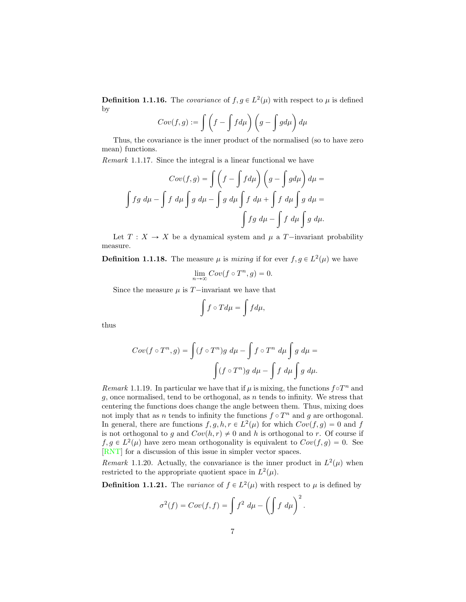<span id="page-7-0"></span>**Definition 1.1.16.** The *covariance* of  $f, g \in L^2(\mu)$  with respect to  $\mu$  is defined by

$$
Cov(f,g) := \int \left(f - \int f d\mu\right) \left(g - \int g d\mu\right) d\mu
$$

Thus, the covariance is the inner product of the normalised (so to have zero mean) functions.

*Remark* 1.1.17*.* Since the integral is a linear functional we have

$$
Cov(f,g) = \int \left(f - \int f d\mu\right) \left(g - \int g d\mu\right) d\mu =
$$
  

$$
\int fg d\mu - \int f d\mu \int g d\mu - \int g d\mu \int f d\mu + \int f d\mu \int g d\mu =
$$
  

$$
\int fg d\mu - \int f d\mu \int g d\mu.
$$

Let  $T: X \to X$  be a dynamical system and  $\mu$  a *T*-invariant probability measure.

**Definition 1.1.18.** The measure  $\mu$  is *mixing* if for ever  $f, g \in L^2(\mu)$  we have

$$
\lim_{n \to \infty} Cov(f \circ T^n, g) = 0.
$$

Since the measure  $\mu$  is  $T$ -invariant we have that

$$
\int f\circ Td\mu=\int f d\mu,
$$

thus

$$
Cov(f \circ T^n, g) = \int (f \circ T^n)g \ d\mu - \int f \circ T^n \ d\mu \int g \ d\mu =
$$

$$
\int (f \circ T^n)g \ d\mu - \int f \ d\mu \int g \ d\mu.
$$

*Remark* 1.1.19. In particular we have that if  $\mu$  is mixing, the functions  $f \circ T^n$  and *g*, once normalised, tend to be orthogonal, as *n* tends to infinity. We stress that centering the functions does change the angle between them. Thus, mixing does not imply that as *n* tends to infinity the functions  $f \circ T^n$  and *g* are orthogonal. In general, there are functions  $f, g, h, r \in L^2(\mu)$  for which  $Cov(f, g) = 0$  and *f* is not orthogonal to *g* and  $Cov(h, r) \neq 0$  and *h* is orthogonal to *r*. Of course if  $f, g \in L^2(\mu)$  have zero mean orthogonality is equivalent to  $Cov(f, g) = 0$ . See [\[RNT\]](#page-66-1) for a discussion of this issue in simpler vector spaces.

*Remark* 1.1.20. Actually, the convariance is the inner product in  $L^2(\mu)$  when restricted to the appropriate quotient space in  $L^2(\mu)$ .

**Definition 1.1.21.** The *variance* of  $f \in L^2(\mu)$  with respect to  $\mu$  is defined by

$$
\sigma^{2}(f) = Cov(f, f) = \int f^{2} d\mu - \left(\int f d\mu\right)^{2}.
$$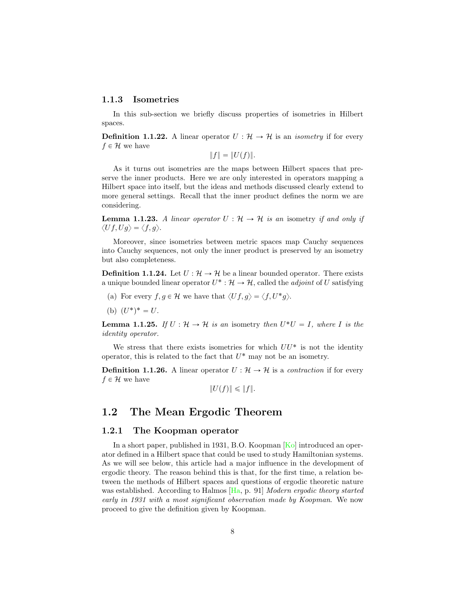### <span id="page-8-2"></span>1.1.3 Isometries

In this sub-section we briefly discuss properties of isometries in Hilbert spaces.

**Definition 1.1.22.** A linear operator  $U : \mathcal{H} \to \mathcal{H}$  is an *isometry* if for every  $f \in \mathcal{H}$  we have

 $||f|| = ||U(f)||.$ 

As it turns out isometries are the maps between Hilbert spaces that preserve the inner products. Here we are only interested in operators mapping a Hilbert space into itself, but the ideas and methods discussed clearly extend to more general settings. Recall that the inner product defines the norm we are considering.

**Lemma 1.1.23.** A linear operator  $U: \mathcal{H} \to \mathcal{H}$  is an isometry if and only if  $\langle Uf, Ug \rangle = \langle f, g \rangle.$ 

Moreover, since isometries between metric spaces map Cauchy sequences into Cauchy sequences, not only the inner product is preserved by an isometry but also completeness.

**Definition 1.1.24.** Let  $U: \mathcal{H} \to \mathcal{H}$  be a linear bounded operator. There exists a unique bounded linear operator  $U^* : \mathcal{H} \to \mathcal{H}$ , called the *adjoint* of *U* satisfying

- (a) For every  $f, g \in \mathcal{H}$  we have that  $\langle Uf, g \rangle = \langle f, U^*g \rangle$ .
- (b)  $(U^*)^* = U$ .

<span id="page-8-1"></span>**Lemma 1.1.25.** If  $U : \mathcal{H} \to \mathcal{H}$  is an isometry then  $U^*U = I$ , where I is the *identity operator.*

We stress that there exists isometries for which  $UU^*$  is not the identity operator, this is related to the fact that  $U^*$  may not be an isometry.

**Definition 1.1.26.** A linear operator  $U : \mathcal{H} \to \mathcal{H}$  is a *contraction* if for every  $f \in \mathcal{H}$  we have

$$
||U(f)|| \leq ||f||.
$$

# <span id="page-8-0"></span>1.2 The Mean Ergodic Theorem

### 1.2.1 The Koopman operator

In a short paper, published in 1931, B.O. Koopman [\[Ko\]](#page-66-2) introduced an operator defined in a Hilbert space that could be used to study Hamiltonian systems. As we will see below, this article had a major influence in the development of ergodic theory. The reason behind this is that, for the first time, a relation between the methods of Hilbert spaces and questions of ergodic theoretic nature was established. According to Halmos [\[Ha,](#page-65-0) p. 91] *Modern ergodic theory started early in 1931 with a most significant observation made by Koopman*. We now proceed to give the definition given by Koopman.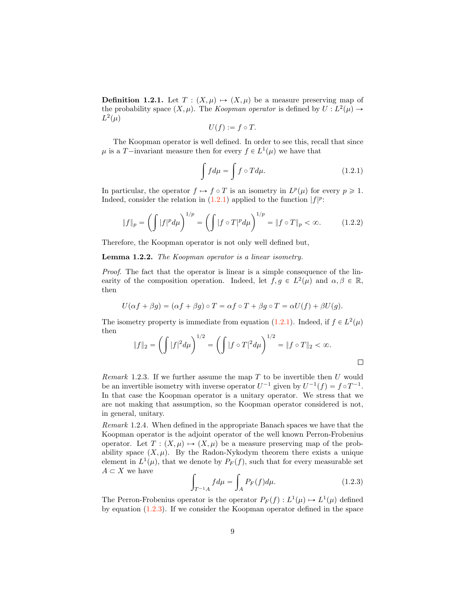**Definition 1.2.1.** Let  $T : (X, \mu) \mapsto (X, \mu)$  be a measure preserving map of the probability space  $(X, \mu)$ . The *Koopman operator* is defined by  $U : L^2(\mu) \rightarrow$  $L^2(\mu)$ 

$$
U(f) := f \circ T.
$$

The Koopman operator is well defined. In order to see this, recall that since  $\mu$  is a *T*—invariant measure then for every  $f \in L^1(\mu)$  we have that

<span id="page-9-0"></span>
$$
\int f d\mu = \int f \circ T d\mu. \tag{1.2.1}
$$

In particular, the operator  $f \mapsto f \circ T$  is an isometry in  $L^p(\mu)$  for every  $p \geq 1$ . Indeed, consider the relation in  $(1.2.1)$  applied to the function  $|f|^p$ :

$$
||f||_p = \left(\int |f|^p d\mu\right)^{1/p} = \left(\int |f \circ T|^p d\mu\right)^{1/p} = ||f \circ T||_p < \infty. \tag{1.2.2}
$$

Therefore, the Koopman operator is not only well defined but,

Lemma 1.2.2. *The Koopman operator is a linear isometry.*

*Proof.* The fact that the operator is linear is a simple consequence of the linearity of the composition operation. Indeed, let  $f, g \in L^2(\mu)$  and  $\alpha, \beta \in \mathbb{R}$ , then

$$
U(\alpha f + \beta g) = (\alpha f + \beta g) \circ T = \alpha f \circ T + \beta g \circ T = \alpha U(f) + \beta U(g).
$$

The isometry property is immediate from equation [\(1.2.1\)](#page-9-0). Indeed, if  $f \in L^2(\mu)$ then

$$
||f||_2 = \left(\int |f|^2 d\mu\right)^{1/2} = \left(\int |f \circ T|^2 d\mu\right)^{1/2} = ||f \circ T||_2 < \infty.
$$

*Remark* 1.2.3*.* If we further assume the map *T* to be invertible then *U* would be an invertible isometry with inverse operator  $U^{-1}$  given by  $U^{-1}(f) = f \circ T^{-1}$ . In that case the Koopman operator is a unitary operator. We stress that we are not making that assumption, so the Koopman operator considered is not, in general, unitary.

*Remark* 1.2.4*.* When defined in the appropriate Banach spaces we have that the Koopman operator is the adjoint operator of the well known Perron-Frobenius operator. Let  $T: (X, \mu) \mapsto (X, \mu)$  be a measure preserving map of the probability space  $(X, \mu)$ . By the Radon-Nykodym theorem there exists a unique element in  $L^1(\mu)$ , that we denote by  $P_F(f)$ , such that for every measurable set  $A \subset X$  we have

<span id="page-9-1"></span>
$$
\int_{T^{-1}A} f d\mu = \int_{A} P_F(f) d\mu.
$$
\n(1.2.3)

 $\Box$ 

The Perron-Frobenius operator is the operator  $P_F(f) : L^1(\mu) \mapsto L^1(\mu)$  defined by equation [\(1.2.3\)](#page-9-1). If we consider the Koopman operator defined in the space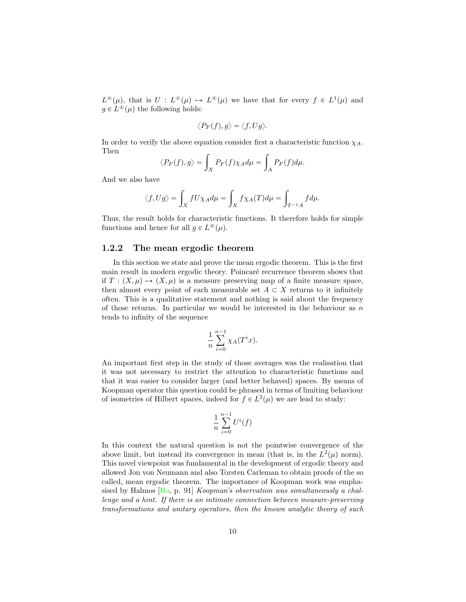<span id="page-10-0"></span> $L^{\infty}(\mu)$ , that is  $U : L^{\infty}(\mu) \to L^{\infty}(\mu)$  we have that for every  $f \in L^{1}(\mu)$  and  $g \in L^{\infty}(\mu)$  the following holds:

$$
\langle P_F(f), g \rangle = \langle f, Ug \rangle.
$$

In order to verify the above equation consider first a characteristic function  $\chi_A$ . Then

$$
\langle P_F(f), g \rangle = \int_X P_F(f) \chi_A d\mu = \int_A P_F(f) d\mu.
$$

And we also have

$$
\langle f,Ug\rangle=\int_X fU\chi_A d\mu=\int_X f\chi_A(T)d\mu=\int_{T^{-1}A} f d\mu.
$$

Thus, the result holds for characteristic functions. It therefore holds for simple functions and hence for all  $q \in L^{\infty}(\mu)$ .

### 1.2.2 The mean ergodic theorem

In this section we state and prove the mean ergodic theorem. This is the first main result in modern ergodic theory. Poincaré recurrence theorem shows that if  $T : (X, \mu) \mapsto (X, \mu)$  is a measure preserving map of a finite measure space, then almost every point of each measurable set  $A \subset X$  returns to it infinitely often. This is a qualitative statement and nothing is said about the frequency of those returns. In particular we would be interested in the behaviour as *n* tends to infinity of the sequence

$$
\frac{1}{n} \sum_{i=0}^{n-1} \chi_A(T^i x).
$$

An important first step in the study of those averages was the realisation that it was not necessary to restrict the attention to characteristic functions and that it was easier to consider larger (and better behaved) spaces. By means of Koopman operator this question could be phrased in terms of limiting behaviour of isometries of Hilbert spaces, indeed for  $f \in L^2(\mu)$  we are lead to study:

$$
\frac{1}{n} \sum_{i=0}^{n-1} U^i(f)
$$

In this context the natural question is not the pointwise convergence of the above limit, but instead its convergence in mean (that is, in the  $L^2(\mu)$  norm). This novel viewpoint was fundamental in the development of ergodic theory and allowed Jon von Neumann and also Torsten Carleman to obtain proofs of the so called, mean ergodic theorem. The importance of Koopman work was emphasised by Halmos [\[Ha,](#page-65-0) p. 91] *Koopman's observation was simultaneously a challenge and a hint. If there is an intimate connection between measure-preserving transformations and unitary operators, then the known analytic theory of such*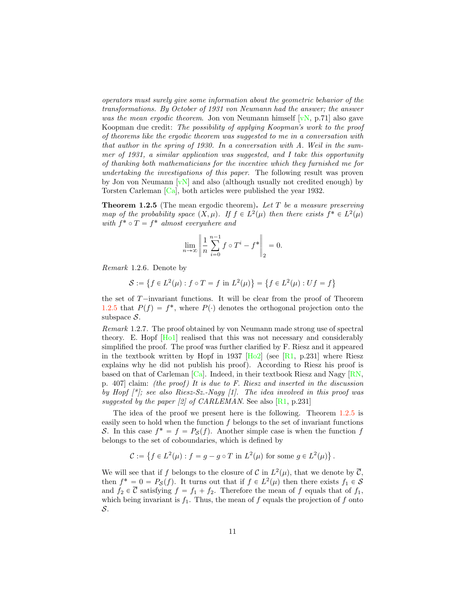<span id="page-11-1"></span>*operators must surely give some information about the geometric behavior of the transformations. By October of 1931 von Neumann had the answer; the answer was the mean ergodic theorem*. Jon von Neumann himself [\[vN,](#page-67-0) p.71] also gave Koopman due credit: *The possibility of applying Koopman's work to the proof of theorems like the ergodic theorem was suggested to me in a conversation with that author in the spring of 1930. In a conversation with A. Weil in the summer of 1931, a similar application was suggested, and I take this opportunity of thanking both mathematicians for the incentive which they furnished me for undertaking the investigations of this paper*. The following result was proven by Jon von Neumann  $[vN]$  and also (although usually not credited enough) by Torsten Carleman [\[Ca\]](#page-64-0), both articles were published the year 1932.

<span id="page-11-0"></span>Theorem 1.2.5 (The mean ergodic theorem). *Let T be a measure preserving map of the probability space*  $(X, \mu)$ *. If*  $f \in L^2(\mu)$  *then there exists*  $f^* \in L^2(\mu)$ *with*  $f^* \circ T = f^*$  *almost everywhere and* 

$$
\lim_{n\to\infty}\left\|\frac{1}{n}\sum_{i=0}^{n-1}f\circ T^i-f^*\right\|_2=0.
$$

*Remark* 1.2.6*.* Denote by

$$
S := \left\{ f \in L^2(\mu) : f \circ T = f \text{ in } L^2(\mu) \right\} = \left\{ f \in L^2(\mu) : Uf = f \right\}
$$

the set of  $T$ —invariant functions. It will be clear from the proof of Theorem [1.2.5](#page-11-0) that  $P(f) = f^*$ , where  $P(\cdot)$  denotes the orthogonal projection onto the subspace *S*.

*Remark* 1.2.7*.* The proof obtained by von Neumann made strong use of spectral theory. E. Hopf [\[Ho1\]](#page-65-1) realised that this was not necessary and considerably simplified the proof. The proof was further clarified by F. Riesz and it appeared in the textbook written by Hopf in 1937  $[Ho2]$  (see  $[R1, p.231]$  $[R1, p.231]$  where Riesz explains why he did not publish his proof). According to Riesz his proof is based on that of Carleman [\[Ca\]](#page-64-0). Indeed, in their textbook Riesz and Nagy [\[RN,](#page-66-4) p. 407] claim: *(the proof ) It is due to F. Riesz and inserted in the discussion by Hopf [\*]; see also Riesz-Sz.-Nagy [1]. The idea involved in this proof was suggested by the paper [2] of CARLEMAN*. See also  $\left[\text{R1}, \text{p.231}\right]$ 

The idea of the proof we present here is the following. Theorem [1.2.5](#page-11-0) is easily seen to hold when the function *f* belongs to the set of invariant functions *S*. In this case  $f^* = f = P_S(f)$ . Another simple case is when the function *f* belongs to the set of coboundaries, which is defined by

$$
\mathcal{C} := \left\{ f \in L^2(\mu) : f = g - g \circ T \text{ in } L^2(\mu) \text{ for some } g \in L^2(\mu) \right\}.
$$

We will see that if *f* belongs to the closure of *C* in  $L^2(\mu)$ , that we denote by  $\overline{C}$ , then  $f^* = 0 = P_S(f)$ . It turns out that if  $f \in L^2(\mu)$  then there exists  $f_1 \in S$ and  $f_2 \in \overline{\mathcal{C}}$  satisfying  $f = f_1 + f_2$ . Therefore the mean of f equals that of  $f_1$ , which being invariant is  $f_1$ . Thus, the mean of  $f$  equals the projection of  $f$  onto *S*.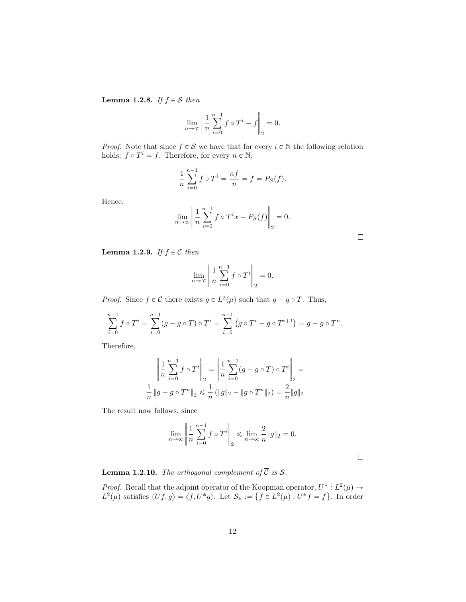<span id="page-12-0"></span>**Lemma 1.2.8.** *If*  $f \in S$  *then* 

$$
\lim_{n \to \infty} \left\| \frac{1}{n} \sum_{i=0}^{n-1} f \circ T^i - f \right\|_2 = 0.
$$

*Proof.* Note that since  $f \in S$  we have that for every  $i \in \mathbb{N}$  the following relation holds:  $f \circ T^i = f$ . Therefore, for every  $n \in \mathbb{N}$ ,

$$
\frac{1}{n}\sum_{i=0}^{n-1} f \circ T^i = \frac{nf}{n} = f = P_{\mathcal{S}}(f).
$$

Hence,

$$
\lim_{n \to \infty} \left\| \frac{1}{n} \sum_{i=0}^{n-1} f \circ T^i x - P_{\mathcal{S}}(f) \right\|_2 = 0.
$$

<span id="page-12-1"></span>**Lemma 1.2.9.** *If*  $f \in \mathcal{C}$  *then* 

$$
\lim_{n \to \infty} \left\| \frac{1}{n} \sum_{i=0}^{n-1} f \circ T^i \right\|_2 = 0.
$$

*Proof.* Since  $f \in \mathcal{C}$  there exists  $g \in L^2(\mu)$  such that  $g - g \circ T$ . Thus,

$$
\sum_{i=0}^{n-1} f \circ T^i = \sum_{i=0}^{n-1} (g - g \circ T) \circ T^i = \sum_{i=0}^{n-1} (g \circ T^i - g \circ T^{i+1}) = g - g \circ T^n.
$$

Therefore,

$$
\left\| \frac{1}{n} \sum_{i=0}^{n-1} f \circ T^i \right\|_2 = \left\| \frac{1}{n} \sum_{i=0}^{n-1} (g - g \circ T) \circ T^i \right\|_2 = \frac{1}{n} \left\| g - g \circ T^n \right\|_2 \le \frac{1}{n} \left( \|g\|_2 + \|g \circ T^n\|_2 \right) = \frac{2}{n} \|g\|_2
$$

The result now follows, since

$$
\lim_{n \to \infty} \left\| \frac{1}{n} \sum_{i=0}^{n-1} f \circ T^i \right\|_2 \le \lim_{n \to \infty} \frac{2}{n} \|g\|_2 = 0.
$$

 $\Box$ 

<span id="page-12-2"></span>**Lemma 1.2.10.** The orthogonal complement of 
$$
\overline{C}
$$
 is S.

›

*Proof.* Recall that the adjoint operator of the Koopman operator,  $U^* : L^2(\mu) \rightarrow$  $L^2(\mu)$  satisfies  $\langle Uf, g \rangle = \langle f, U^*g \rangle$ . Let  $\mathcal{S}_* := \{ f \in L^2(\mu) : U^*f = f \}$ . In order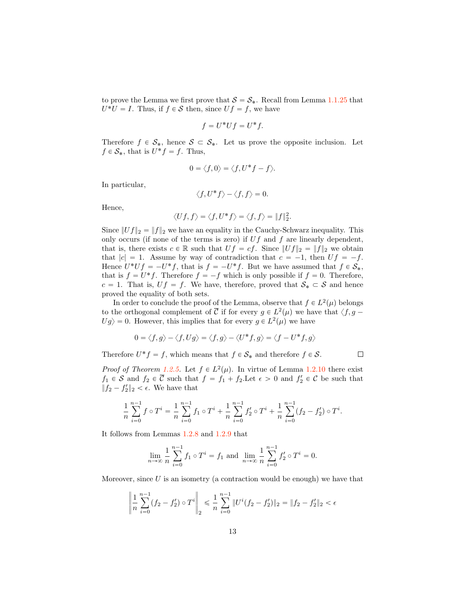to prove the Lemma we first prove that  $S = S_*$ . Recall from Lemma [1.1.25](#page-8-1) that  $U^*U = I$ . Thus, if  $f \in S$  then, since  $Uf = f$ , we have

$$
f = U^* U f = U^* f.
$$

Therefore  $f \in S_*$ , hence  $S \subset S_*$ . Let us prove the opposite inclusion. Let  $f \in \mathcal{S}_*$ , that is  $U^* f = f$ . Thus,

$$
0 = \langle f, 0 \rangle = \langle f, U^* f - f \rangle.
$$

In particular,

$$
\langle f, U^* f \rangle - \langle f, f \rangle = 0.
$$

Hence,

$$
\langle Uf, f \rangle = \langle f, U^* f \rangle = \langle f, f \rangle = ||f||_2^2.
$$

Since  $||Uf||_2 = ||f||_2$  we have an equality in the Cauchy-Schwarz inequality. This only occurs (if none of the terms is zero) if *Uf* and *f* are linearly dependent, that is, there exists  $c \in \mathbb{R}$  such that  $Uf = cf$ . Since  $||Uf||_2 = ||f||_2$  we obtain that  $|c| = 1$ . Assume by way of contradiction that  $c = -1$ , then  $Uf = -f$ . Hence  $U^*Uf = -U^*f$ , that is  $f = -U^*f$ . But we have assumed that  $f \in \mathcal{S}_*$ , that is  $f = U^* f$ . Therefore  $f = -f$  which is only possible if  $f = 0$ . Therefore,  $c = 1$ . That is,  $Uf = f$ . We have, therefore, proved that  $S_* \subset S$  and hence proved the equality of both sets.

In order to conclude the proof of the Lemma, observe that  $f \in L^2(\mu)$  belongs to the orthogonal complement of  $\overline{C}$  if for every  $g \in L^2(\mu)$  we have that  $\langle f, g - \overline{\ } \rangle$  $Ug \rangle = 0$ . However, this implies that for every  $g \in L^2(\mu)$  we have

$$
0 = \langle f, g \rangle - \langle f, Ug \rangle = \langle f, g \rangle - \langle U^*f, g \rangle = \langle f - U^*f, g \rangle
$$

Therefore  $U^*f = f$ , which means that  $f \in \mathcal{S}_*$  and therefore  $f \in \mathcal{S}$ .

*Proof of Theorem [1.2.5.](#page-11-0)* Let  $f \in L^2(\mu)$ . In virtue of Lemma [1.2.10](#page-12-2) there exist  $f_1 \in S$  and  $f_2 \in C$  such that  $f = f_1 + f_2$ . Let  $\epsilon > 0$  and  $f_2' \in C$  be such that  $||f_2 - f'_2||_2 < \epsilon$ . We have that

 $\Box$ 

$$
\frac{1}{n}\sum_{i=0}^{n-1} f\circ T^i = \frac{1}{n}\sum_{i=0}^{n-1} f_1\circ T^i + \frac{1}{n}\sum_{i=0}^{n-1} f'_2\circ T^i + \frac{1}{n}\sum_{i=0}^{n-1} (f_2 - f'_2)\circ T^i.
$$

It follows from Lemmas [1.2.8](#page-12-0) and [1.2.9](#page-12-1) that

$$
\lim_{n \to \infty} \frac{1}{n} \sum_{i=0}^{n-1} f_1 \circ T^i = f_1 \text{ and } \lim_{n \to \infty} \frac{1}{n} \sum_{i=0}^{n-1} f'_2 \circ T^i = 0.
$$

Moreover, since *U* is an isometry (a contraction would be enough) we have that

$$
\left\| \frac{1}{n} \sum_{i=0}^{n-1} (f_2 - f_2') \circ T^i \right\|_2 \le \frac{1}{n} \sum_{i=0}^{n-1} \| U^i (f_2 - f_2') \|_2 = \| f_2 - f_2' \|_2 < \epsilon
$$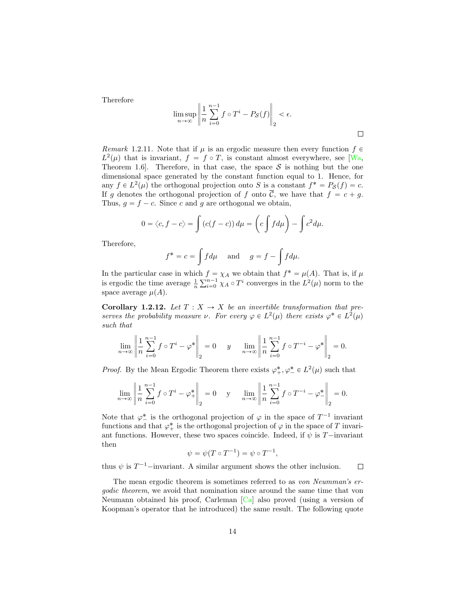<span id="page-14-0"></span>Therefore

$$
\limsup_{n \to \infty} \left\| \frac{1}{n} \sum_{i=0}^{n-1} f \circ T^i - P_{\mathcal{S}}(f) \right\|_2 < \epsilon.
$$

 $\Box$ 

*Remark* 1.2.11. Note that if  $\mu$  is an ergodic measure then every function  $f \in$  $L^2(\mu)$  that is invariant,  $f = f \circ T$ , is constant almost everywhere, see [\[Wa,](#page-67-1) Theorem 1.6. Therefore, in that case, the space  $S$  is nothing but the one dimensional space generated by the constant function equal to 1. Hence, for any  $f \in L^2(\mu)$  the orthogonal projection onto *S* is a constant  $f^* = P_S(f) = c$ . If *g* denotes the orthogonal projection of *f* onto  $\overline{C}$ , we have that  $f = c + g$ . Thus,  $g = f - c$ . Since *c* and *g* are orthogonal we obtain,

$$
0 = \langle c, f - c \rangle = \int (c(f - c)) d\mu = \left( c \int f d\mu \right) - \int c^2 d\mu.
$$

Therefore,

$$
f^* = c = \int f d\mu
$$
 and  $g = f - \int f d\mu$ .

In the particular case in which  $f = \chi_A$  we obtain that  $f^* = \mu(A)$ . That is, if  $\mu$ is ergodic the time average  $\frac{1}{n} \sum_{i=0}^{n-1} \chi_A \circ T^i$  converges in the  $L^2(\mu)$  norm to the space average  $\mu(A)$ .

**Corollary 1.2.12.** Let  $T: X \to X$  be an invertible transformation that pre*serves the probability measure*  $\nu$ *. For every*  $\varphi \in L^2(\mu)$  *there exists*  $\varphi^* \in L^2(\mu)$ *such that*

$$
\lim_{n \to \infty} \left\| \frac{1}{n} \sum_{i=0}^{n-1} f \circ T^i - \varphi^* \right\|_2 = 0 \quad y \quad \lim_{n \to \infty} \left\| \frac{1}{n} \sum_{i=0}^{n-1} f \circ T^{-i} - \varphi^* \right\|_2 = 0.
$$

*Proof.* By the Mean Ergodic Theorem there exists  $\varphi^*_{+}, \varphi^*_{-} \in L^2(\mu)$  such that

$$
\lim_{n\to\infty}\left\|\frac{1}{n}\sum_{i=0}^{n-1}f\circ T^i-\varphi_+^*\right\|_2=0\quad \text{ y}\quad \lim_{n\to\infty}\left\|\frac{1}{n}\sum_{i=0}^{n-1}f\circ T^{-i}-\varphi_-^*\right\|_2=0.
$$

Note that  $\varphi^*$  is the orthogonal projection of  $\varphi$  in the space of  $T^{-1}$  invariant functions and that  $\varphi^*_{+}$  is the orthogonal projection of  $\varphi$  in the space of *T* invariant functions. However, these two spaces coincide. Indeed, if  $\psi$  is *T* $-$ invariant then

$$
\psi = \psi(T \circ T^{-1}) = \psi \circ T^{-1},
$$

thus  $\psi$  is  $T^{-1}$ -invariant. A similar argument shows the other inclusion.  $\Box$ 

The mean ergodic theorem is sometimes referred to as *von Neumman's ergodic theorem*, we avoid that nomination since around the same time that von Neumann obtained his proof, Carleman [\[Ca\]](#page-64-0) also proved (using a version of Koopman's operator that he introduced) the same result. The following quote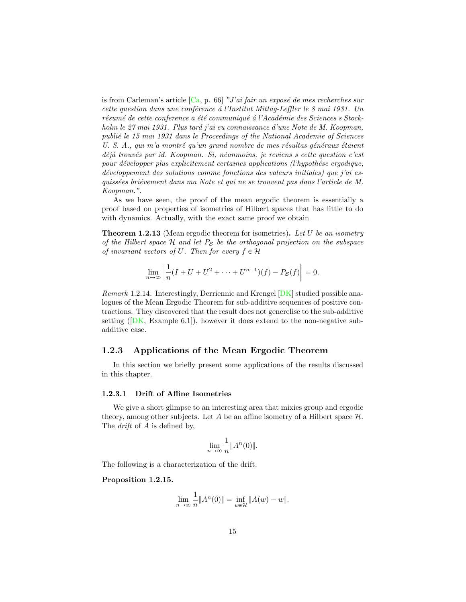<span id="page-15-0"></span>is from Carleman's article  $[C_{a}, p. 66]$  "J'ai fair un exposé de mes recherches sur *cette question dans une conf´erence ´a l'Institut Mittag-Le*ffl*er le 8 mai 1931. Un* résumé de cette conference a été communiqué à l'Académie des Sciences s Stock*holm le 27 mai 1931. Plus tard j'ai eu connaissance d'une Note de M. Koopman, publi´e le 15 mai 1931 dans le Proceedings of the National Academie of Sciences U. S. A., qui m'a montré qu'un grand nombre de mes résultas généraux étaient d´ej´a trouv´es par M. Koopman. Si, n´eanmoins, je reviens s cette question c'est* pour développer plus explicitement certaines applications (l'hypothése ergodique, *d´eveloppement des solutions comme fonctions des valeurs initiales) que j'ai esquiss´ees bri´evement dans ma Note et qui ne se trouvent pas dans l'article de M. Koopman."*.

As we have seen, the proof of the mean ergodic theorem is essentially a proof based on properties of isometries of Hilbert spaces that has little to do with dynamics. Actually, with the exact same proof we obtain

Theorem 1.2.13 (Mean ergodic theorem for isometries). *Let U be an isometry of the Hilbert space H and let P<sup>S</sup> be the orthogonal projection on the subspace of invariant vectors of* U. Then for every  $f \in \mathcal{H}$ 

$$
\lim_{n \to \infty} \left\| \frac{1}{n} (I + U + U^2 + \dots + U^{n-1})(f) - P_{\mathcal{S}}(f) \right\| = 0.
$$

*Remark* 1.2.14*.* Interestingly, Derriennic and Krengel [\[DK\]](#page-64-1) studied possible analogues of the Mean Ergodic Theorem for sub-additive sequences of positive contractions. They discovered that the result does not generelise to the sub-additive setting  $([DK, Example 6.1]),$  $([DK, Example 6.1]),$  $([DK, Example 6.1]),$  however it does extend to the non-negative subadditive case.

# 1.2.3 Applications of the Mean Ergodic Theorem

In this section we briefly present some applications of the results discussed in this chapter.

### 1.2.3.1 Drift of Affine Isometries

We give a short glimpse to an interesting area that mixies group and ergodic theory, among other subjects. Let  $A$  be an affine isometry of a Hilbert space  $H$ . The *drift* of *A* is defined by,

$$
\lim_{n \to \infty} \frac{1}{n} \|A^n(0)\|.
$$

The following is a characterization of the drift.

#### Proposition 1.2.15.

$$
\lim_{n \to \infty} \frac{1}{n} ||A^n(0)|| = \inf_{w \in \mathcal{H}} ||A(w) - w||.
$$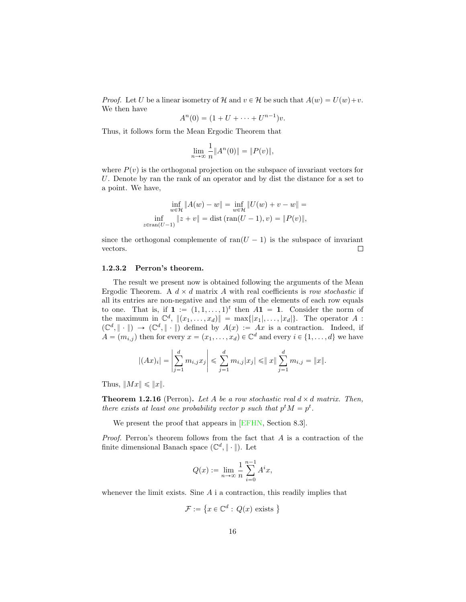<span id="page-16-0"></span>*Proof.* Let *U* be a linear isometry of *H* and  $v \in H$  be such that  $A(w) = U(w) + v$ . We then have

$$
A^{n}(0) = (1 + U + \dots + U^{n-1})v.
$$

Thus, it follows form the Mean Ergodic Theorem that

$$
\lim_{n \to \infty} \frac{1}{n} \|A^n(0)\| = \|P(v)\|,
$$

where  $P(v)$  is the orthogonal projection on the subspace of invariant vectors for *U*. Denote by ran the rank of an operator and by dist the distance for a set to a point. We have,

$$
\inf_{w \in \mathcal{H}} \|A(w) - w\| = \inf_{w \in \mathcal{H}} \|U(w) + v - w\| =
$$
  

$$
\inf_{z \in \text{ran}(U-1)} \|z + v\| = \text{dist}(\text{ran}(U-1), v) = \|P(v)\|,
$$

since the orthogonal complemente of ran $(U - 1)$  is the subspace of invariant vectors. vectors.

#### 1.2.3.2 Perron's theorem.

The result we present now is obtained following the arguments of the Mean Ergodic Theorem. A  $d \times d$  matrix A with real coefficients is *row stochastic* if all its entries are non-negative and the sum of the elements of each row equals to one. That is, if  $\mathbf{1} := (1, 1, \ldots, 1)^t$  then  $A\mathbf{1} = \mathbf{1}$ . Consider the norm of the maximum in  $\mathbb{C}^d$ ,  $\|(x_1, \ldots, x_d)\| = \max\{|x_1|, \ldots, |x_d|\}.$  The operator *A* :  $(\mathbb{C}^d, \|\cdot\|) \to (\mathbb{C}^d, \|\cdot\|)$  defined by  $A(x) := Ax$  is a contraction. Indeed, if  $A = (m_{i,j})$  then for every  $x = (x_1, \ldots, x_d) \in \mathbb{C}^d$  and every  $i \in \{1, \ldots, d\}$  we have

$$
|(Ax)_i| = \left| \sum_{j=1}^d m_{i,j} x_j \right| \leq \sum_{j=1}^d m_{i,j} |x_j| \leq ||x|| \sum_{j=1}^d m_{i,j} = ||x||.
$$

Thus,  $||Mx|| \leq ||x||$ .

**Theorem 1.2.16** (Perron). Let A be a row stochastic real  $d \times d$  matrix. Then, *there exists at least one probability vector p such that*  $p^t M = p^t$ .

We present the proof that appears in [\[EFHN,](#page-64-2) Section 8.3].

*Proof.* Perron's theorem follows from the fact that *A* is a contraction of the finite dimensional Banach space  $(\mathbb{C}^d, \|\cdot\|)$ . Let

$$
Q(x) := \lim_{n \to \infty} \frac{1}{n} \sum_{i=0}^{n-1} A^{i} x,
$$

whenever the limit exists. Sine *A* i a contraction, this readily implies that

$$
\mathcal{F} := \left\{ x \in \mathbb{C}^d : \, Q(x) \text{ exists } \right\}
$$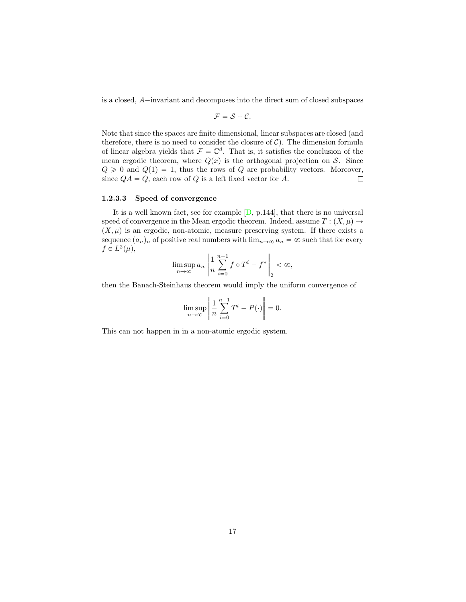<span id="page-17-0"></span>is a closed, *A*<sup>i</sup>nvariant and decomposes into the direct sum of closed subspaces

$$
\mathcal{F}=\mathcal{S}+\mathcal{C}.
$$

Note that since the spaces are finite dimensional, linear subspaces are closed (and therefore, there is no need to consider the closure of  $C$ ). The dimension formula of linear algebra yields that  $\mathcal{F} = \mathbb{C}^d$ . That is, it satisfies the conclusion of the mean ergodic theorem, where  $Q(x)$  is the orthogonal projection on *S*. Since  $Q \ge 0$  and  $Q(1) = 1$ , thus the rows of *Q* are probability vectors. Moreover, since  $OA = O$ , each row of *Q* is a left fixed vector for *A*. since  $QA = Q$ , each row of *Q* is a left fixed vector for *A*.

#### 1.2.3.3 Speed of convergence

It is a well known fact, see for example  $[D, p.144]$  $[D, p.144]$ , that there is no universal speed of convergence in the Mean ergodic theorem. Indeed, assume  $T : (X, \mu) \rightarrow$  $(X, \mu)$  is an ergodic, non-atomic, measure preserving system. If there exists a sequence  $(a_n)_n$  of positive real numbers with  $\lim_{n\to\infty} a_n = \infty$  such that for every  $f \in L^2(\mu)$ ,

$$
\limsup_{n \to \infty} a_n \left\| \frac{1}{n} \sum_{i=0}^{n-1} f \circ T^i - f^* \right\|_2 < \infty,
$$

then the Banach-Steinhaus theorem would imply the uniform convergence of

$$
\limsup_{n \to \infty} \left\| \frac{1}{n} \sum_{i=0}^{n-1} T^i - P(\cdot) \right\| = 0.
$$

This can not happen in in a non-atomic ergodic system.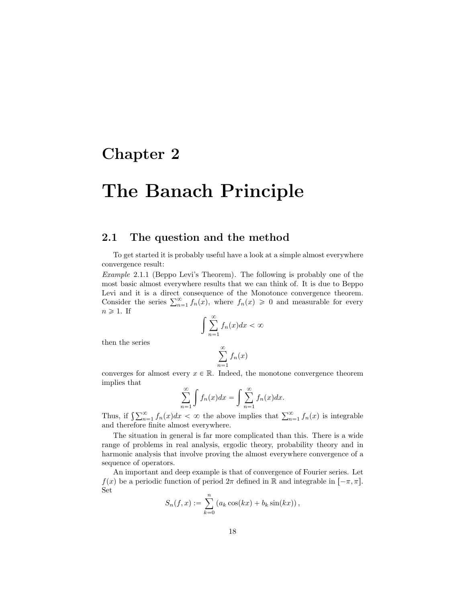# <span id="page-18-0"></span>Chapter 2

# The Banach Principle

# <span id="page-18-1"></span>2.1 The question and the method

To get started it is probably useful have a look at a simple almost everywhere convergence result:

*Example* 2.1.1 (Beppo Levi's Theorem)*.* The following is probably one of the most basic almost everywhere results that we can think of. It is due to Beppo Levi and it is a direct consequence of the Monotonce convergence theorem. Consider the series  $\sum_{n=1}^{\infty} f_n(x)$ , where  $f_n(x) \geq 0$  and measurable for every  $n \geqslant 1$ . If

$$
\int_{n=1}^{\infty} f_n(x)dx < \infty
$$

then the series

$$
\sum_{n=1}^{\infty} f_n(x)
$$

converges for almost every  $x \in \mathbb{R}$ . Indeed, the monotone convergence theorem implies that

$$
\sum_{n=1}^{\infty} \int f_n(x) dx = \int \sum_{n=1}^{\infty} f_n(x) dx.
$$

Thus, if  $\int_{n=1}^{\infty} f_n(x) dx < \infty$  the above implies that  $\sum_{n=1}^{\infty} f_n(x)$  is integrable and therefore finite almost everywhere.

The situation in general is far more complicated than this. There is a wide range of problems in real analysis, ergodic theory, probability theory and in harmonic analysis that involve proving the almost everywhere convergence of a sequence of operators.

An important and deep example is that of convergence of Fourier series. Let *f*(*x*) be a periodic function of period  $2\pi$  defined in R and integrable in  $[-\pi, \pi]$ . Set

$$
S_n(f, x) := \sum_{k=0}^n (a_k \cos(kx) + b_k \sin(kx)),
$$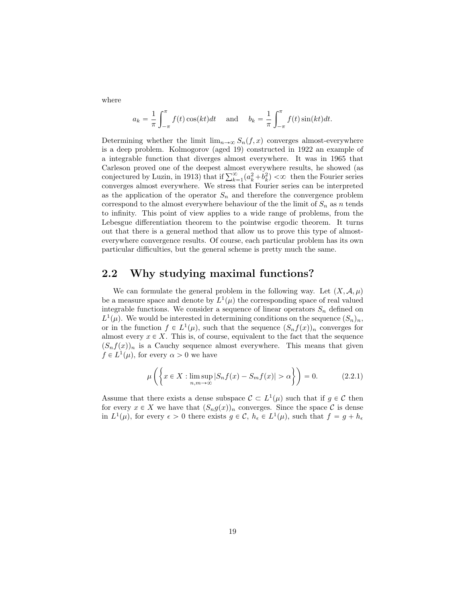where

$$
a_k = \frac{1}{\pi} \int_{-\pi}^{\pi} f(t) \cos(kt) dt \quad \text{and} \quad b_k = \frac{1}{\pi} \int_{-\pi}^{\pi} f(t) \sin(kt) dt.
$$

Determining whether the limit  $\lim_{n\to\infty} S_n(f, x)$  converges almost-everywhere is a deep problem. Kolmogorov (aged 19) constructed in 1922 an example of a integrable function that diverges almost everywhere. It was in 1965 that Carleson proved one of the deepest almost everywhere results, he showed (as conjectured by Luzin, in 1913) that if  $\sum_{k=1}^{\infty} (a_k^2 + b_k^2) < \infty$  then the Fourier series converges almost everywhere. We stress that Fourier series can be interpreted as the application of the operator  $S_n$  and therefore the convergence problem correspond to the almost everywhere behaviour of the the limit of  $S_n$  as *n* tends to infinity. This point of view applies to a wide range of problems, from the Lebesgue differentiation theorem to the pointwise ergodic theorem. It turns out that there is a general method that allow us to prove this type of almosteverywhere convergence results. Of course, each particular problem has its own particular difficulties, but the general scheme is pretty much the same.

# <span id="page-19-0"></span>2.2 Why studying maximal functions?

We can formulate the general problem in the following way. Let  $(X, \mathcal{A}, \mu)$ be a measure space and denote by  $L^1(\mu)$  the corresponding space of real valued integrable functions. We consider a sequence of linear operators  $S_n$  defined on  $L^1(\mu)$ . We would be interested in determining conditions on the sequence  $(S_n)_n$ , or in the function  $f \in L^1(\mu)$ , such that the sequence  $(S_n f(x))_n$  converges for almost every  $x \in X$ . This is, of course, equivalent to the fact that the sequence  $(S_n f(x))_n$  is a Cauchy sequence almost everywhere. This means that given  $f \in L^1(\mu)$ , for every  $\alpha > 0$  we have

$$
\mu\left(\left\{x \in X : \limsup_{n,m \to \infty} |S_n f(x) - S_m f(x)| > \alpha\right\}\right) = 0. \tag{2.2.1}
$$

Assume that there exists a dense subspace  $\mathcal{C} \subset L^1(\mu)$  such that if  $g \in \mathcal{C}$  then for every  $x \in X$  we have that  $(S_n g(x))_n$  converges. Since the space  $C$  is dense in  $L^1(\mu)$ , for every  $\epsilon > 0$  there exists  $g \in \mathcal{C}$ ,  $h_{\epsilon} \in L^1(\mu)$ , such that  $f = g + h_{\epsilon}$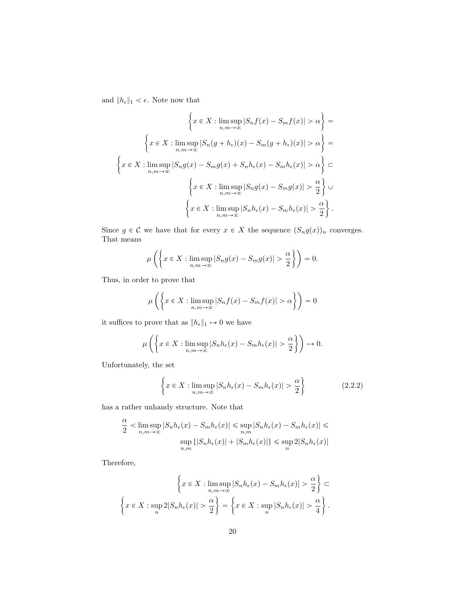and  $\|h_\epsilon\|_1<\epsilon.$  Note now that

$$
\left\{ x \in X : \limsup_{n,m \to \infty} |S_n f(x) - S_m f(x)| > \alpha \right\} =
$$
  

$$
\left\{ x \in X : \limsup_{n,m \to \infty} |S_n (g + h_\epsilon)(x) - S_m (g + h_\epsilon)(x)| > \alpha \right\} =
$$
  

$$
\left\{ x \in X : \limsup_{n,m \to \infty} |S_n g(x) - S_m g(x) + S_n h_\epsilon(x) - S_m h_\epsilon(x)| > \alpha \right\} \subset
$$
  

$$
\left\{ x \in X : \limsup_{n,m \to \infty} |S_n g(x) - S_m g(x)| > \frac{\alpha}{2} \right\} \cup
$$
  

$$
\left\{ x \in X : \limsup_{n,m \to \infty} |S_n h_\epsilon(x) - S_m h_\epsilon(x)| > \frac{\alpha}{2} \right\}.
$$

Since  $g \in \mathcal{C}$  we have that for every  $x \in X$  the sequence  $(S_n g(x))_n$  converges. That means

$$
\mu\left(\left\{x \in X : \limsup_{n,m \to \infty} |S_n g(x) - S_m g(x)| > \frac{\alpha}{2}\right\}\right) = 0.
$$

Thus, in order to prove that

$$
\mu\left(\left\{x \in X : \limsup_{n,m \to \infty} |S_n f(x) - S_m f(x)| > \alpha\right\}\right) = 0
$$

it suffices to prove that as  $\|h_\epsilon\|_1 \mapsto 0$  we have

$$
\mu\left(\left\{x \in X : \limsup_{n,m \to \infty} |S_n h_{\epsilon}(x) - S_m h_{\epsilon}(x)| > \frac{\alpha}{2}\right\}\right) \mapsto 0.
$$

Unfortunately, the set

<span id="page-20-0"></span>
$$
\left\{ x \in X : \limsup_{n,m \to \infty} |S_n h_{\epsilon}(x) - S_m h_{\epsilon}(x)| > \frac{\alpha}{2} \right\}
$$
 (2.2.2)

has a rather unhandy structure. Note that

$$
\frac{\alpha}{2} < \limsup_{n,m \to \infty} |S_n h_{\epsilon}(x) - S_m h_{\epsilon}(x)| \leq \sup_{n,m} |S_n h_{\epsilon}(x) - S_m h_{\epsilon}(x)| \leq \sup_{n,m} \{|S_n h_{\epsilon}(x)| + |S_m h_{\epsilon}(x)|\} \leq \sup_n 2|S_n h_{\epsilon}(x)|
$$

Therefore,

$$
\left\{ x \in X : \limsup_{n,m \to \infty} |S_n h_{\epsilon}(x) - S_m h_{\epsilon}(x)| > \frac{\alpha}{2} \right\} \subset
$$
  

$$
\left\{ x \in X : \sup_n 2|S_n h_{\epsilon}(x)| > \frac{\alpha}{2} \right\} = \left\{ x \in X : \sup_n |S_n h_{\epsilon}(x)| > \frac{\alpha}{4} \right\}.
$$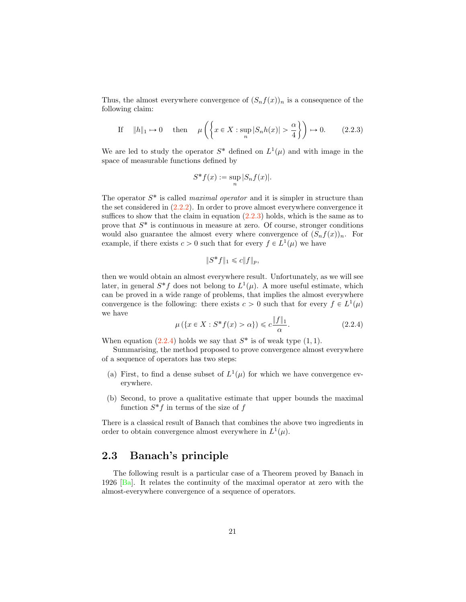<span id="page-21-3"></span>Thus, the almost everywhere convergence of  $(S_n f(x))_n$  is a consequence of the following claim:

<span id="page-21-2"></span>If 
$$
||h||_1 \to 0
$$
 then  $\mu\left(\left\{x \in X : \sup_n |S_n h(x)| > \frac{\alpha}{4}\right\}\right) \to 0.$  (2.2.3)

We are led to study the operator  $S^*$  defined on  $L^1(\mu)$  and with image in the space of measurable functions defined by

$$
S^*f(x) := \sup_n |S_n f(x)|.
$$

The operator  $S^*$  is called *maximal operator* and it is simpler in structure than the set considered in  $(2.2.2)$ . In order to prove almost everywhere convergence it suffices to show that the claim in equation  $(2.2.3)$  holds, which is the same as to prove that  $S^*$  is continuous in measure at zero. Of course, stronger conditions would also guarantee the almost every where convergence of  $(S_n f(x))_n$ . For example, if there exists  $c > 0$  such that for every  $f \in L^1(\mu)$  we have

$$
||S^*f||_1 \leq c||f||_p,
$$

then we would obtain an almost everywhere result. Unfortunately, as we will see later, in general  $S^*f$  does not belong to  $L^1(\mu)$ . A more useful estimate, which can be proved in a wide range of problems, that implies the almost everywhere convergence is the following: there exists  $c > 0$  such that for every  $f \in L^1(\mu)$ we have

<span id="page-21-1"></span>
$$
\mu(\{x \in X : S^* f(x) > \alpha\}) \leq c \frac{\|f\|_1}{\alpha}.
$$
\n(2.2.4)

When equation  $(2.2.4)$  holds we say that  $S^*$  is of weak type  $(1, 1)$ .

Summarising, the method proposed to prove convergence almost everywhere of a sequence of operators has two steps:

- (a) First, to find a dense subset of  $L^1(\mu)$  for which we have convergence everywhere.
- (b) Second, to prove a qualitative estimate that upper bounds the maximal function  $S^*f$  in terms of the size of  $f$

There is a classical result of Banach that combines the above two ingredients in order to obtain convergence almost everywhere in  $L^1(\mu)$ .

# <span id="page-21-0"></span>2.3 Banach's principle

The following result is a particular case of a Theorem proved by Banach in 1926 [\[Ba\]](#page-63-0). It relates the continuity of the maximal operator at zero with the almost-everywhere convergence of a sequence of operators.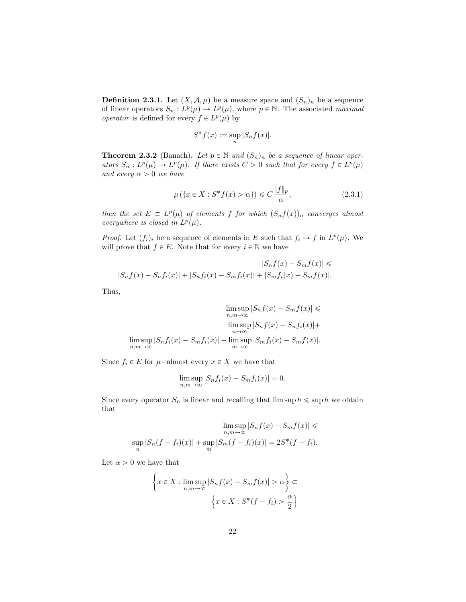**Definition 2.3.1.** Let  $(X, \mathcal{A}, \mu)$  be a measure space and  $(S_n)_n$  be a sequence of linear operators  $S_n : L^p(\mu) \to L^p(\mu)$ , where  $p \in \mathbb{N}$ . The associated *maximal operator* is defined for every  $f \in L^p(\mu)$  by

$$
S^*f(x) := \sup_n |S_n f(x)|.
$$

**Theorem 2.3.2** (Banach). Let  $p \in \mathbb{N}$  and  $(S_n)_n$  be a sequence of linear oper*ators*  $S_n$  :  $L^p(\mu) \to L^p(\mu)$ . If there exists  $C > 0$  such that for every  $f \in L^p(\mu)$ *and every*  $\alpha > 0$  *we have* 

<span id="page-22-0"></span>
$$
\mu\left(\left\{x \in X : S^*f(x) > \alpha\right\}\right) \leqslant C \frac{\|f\|_p}{\alpha},\tag{2.3.1}
$$

*then the set*  $E \subset L^p(\mu)$  *of elements f for which*  $(S_n f(x))_n$  *converges almost everywhere is closed in*  $L^p(\mu)$ *.* 

*Proof.* Let  $(f_i)_i$  be a sequence of elements in *E* such that  $f_i \mapsto f$  in  $L^p(\mu)$ . We will prove that  $f \in E$ . Note that for every  $i \in \mathbb{N}$  we have

$$
|S_n f(x) - S_m f(x)| \le |S_n f(x) - S_m f(x)| + |S_n f_i(x) - S_m f(x)| + |S_m f_i(x) - S_m f(x)|.
$$

Thus,

$$
\limsup_{n,m \to \infty} |S_n f(x) - S_m f(x)| \le
$$
  
\n
$$
\limsup_{n \to \infty} |S_n f(x) - S_n f_i(x)| +
$$
  
\n
$$
\limsup_{n \to \infty} |S_n f_i(x) - S_m f_i(x)| + \limsup_{m \to \infty} |S_m f_i(x) - S_m f(x)|.
$$

Since  $f_i \in E$  for  $\mu$ –almost every  $x \in X$  we have that

$$
\limsup_{n,m \to \infty} |S_n f_i(x) - S_m f_i(x)| = 0.
$$

Since every operator  $S_n$  is linear and recalling that  $\limsup h \leq \sup h$  we obtain that

$$
\limsup_{n,m \to \infty} |S_n f(x) - S_m f(x)| \le
$$
  
\n
$$
\sup_n |S_n(f - f_i)(x)| + \sup_m |S_m(f - f_i)(x)| = 2S^*(f - f_i).
$$

Let  $\alpha > 0$  we have that

$$
\left\{ x \in X : \limsup_{n,m \to \infty} |S_n f(x) - S_m f(x)| > \alpha \right\} \subset
$$

$$
\left\{ x \in X : S^*(f - f_i) > \frac{\alpha}{2} \right\}
$$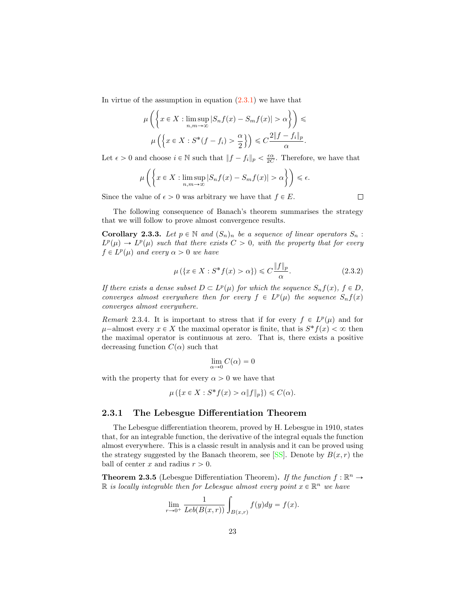<span id="page-23-0"></span>In virtue of the assumption in equation  $(2.3.1)$  we have that

$$
\mu\left(\left\{x \in X : \limsup_{n,m \to \infty} |S_n f(x) - S_m f(x)| > \alpha\right\}\right) \le \mu\left(\left\{x \in X : S^*(f - f_i) > \frac{\alpha}{2}\right\}\right) \le C\frac{2\|f - f_i\|_p}{\alpha}.
$$

Let  $\epsilon > 0$  and choose  $i \in \mathbb{N}$  such that  $||f - f_i||_p < \frac{\epsilon \alpha}{2C}$ . Therefore, we have that

$$
\mu\left(\left\{x \in X : \limsup_{n,m \to \infty} |S_n f(x) - S_m f(x)| > \alpha\right\}\right) \le \epsilon.
$$

Since the value of  $\epsilon > 0$  was arbitrary we have that  $f \in E$ .

 $\Box$ 

The following consequence of Banach's theorem summarises the strategy that we will follow to prove almost convergence results.

**Corollary 2.3.3.** Let  $p \in \mathbb{N}$  and  $(S_n)_n$  be a sequence of linear operators  $S_n$ :  $L^p(\mu) \to L^p(\mu)$  *such that there exists*  $C > 0$ *, with the property that for every*  $f \in L^p(\mu)$  *and every*  $\alpha > 0$  *we have* 

$$
\mu\left(\left\{x \in X : S^*f(x) > \alpha\right\}\right) \leqslant C \frac{\|f\|_p}{\alpha}.\tag{2.3.2}
$$

*If there exists a dense subset*  $D \subset L^p(\mu)$  *for which the sequence*  $S_n f(x)$ *,*  $f \in D$ *, converges almost everywhere then for every*  $f \in L^p(\mu)$  *the sequence*  $S_n f(x)$ *converges almost everywhere.*

*Remark* 2.3.4. It is important to stress that if for every  $f \in L^p(\mu)$  and for  $\mu$ <sup>-almost</sup> every  $x \in X$  the maximal operator is finite, that is  $S^*f(x) < \infty$  then the maximal operator is continuous at zero. That is, there exists a positive decreasing function  $C(\alpha)$  such that

$$
\lim_{\alpha \to 0} C(\alpha) = 0
$$

with the property that for every  $\alpha > 0$  we have that

$$
\mu\left(\{x \in X : S^*f(x) > \alpha \|f\|_p\}\right) \leqslant C(\alpha).
$$

### 2.3.1 The Lebesgue Differentiation Theorem

The Lebesgue differentiation theorem, proved by H. Lebesgue in 1910, states that, for an integrable function, the derivative of the integral equals the function almost everywhere. This is a classic result in analysis and it can be proved using the strategy suggested by the Banach theorem, see [\[SS\]](#page-66-0). Denote by  $B(x, r)$  the ball of center  $x$  and radius  $r > 0$ .

**Theorem 2.3.5** (Lebesgue Differentiation Theorem). If the function  $f : \mathbb{R}^n \to$  $\mathbb{R}$  *is locally integrable then for Lebesgue almost every point*  $x \in \mathbb{R}^n$  *we have* 

$$
\lim_{r \to 0^+} \frac{1}{Leb(B(x,r))} \int_{B(x,r)} f(y) dy = f(x).
$$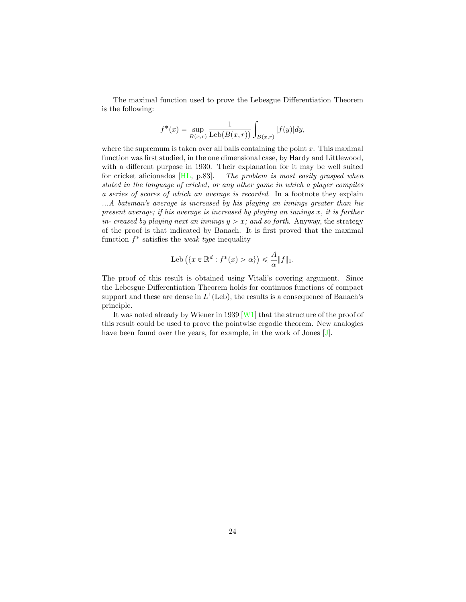<span id="page-24-0"></span>The maximal function used to prove the Lebesgue Differentiation Theorem is the following:

$$
f^*(x) = \sup_{B(x,r)} \frac{1}{\text{Leb}(B(x,r))} \int_{B(x,r)} |f(y)| dy,
$$

where the supremum is taken over all balls containing the point *x*. This maximal function was first studied, in the one dimensional case, by Hardy and Littlewood, with a different purpose in 1930. Their explanation for it may be well suited for cricket aficionados [\[HL,](#page-65-4) p.83]. *The problem is most easily grasped when stated in the language of cricket, or any other game in which a player compiles a series of scores of which an average is recorded*. In a footnote they explain *...A batsman's average is increased by his playing an innings greater than his present average; if his average is increased by playing an innings x, it is further in- creased by playing next an innings*  $y > x$ ; and so forth. Anyway, the strategy of the proof is that indicated by Banach. It is first proved that the maximal function *f*˚ satisfies the *weak type* inequality

$$
\mathrm{Leb}\left(\{x \in \mathbb{R}^d : f^*(x) > \alpha\}\right) \leq \frac{A}{\alpha} \|f\|_1.
$$

The proof of this result is obtained using Vitali's covering argument. Since the Lebesgue Differentiation Theorem holds for continuos functions of compact support and these are dense in  $L^1$ (Leb), the results is a consequence of Banach's principle.

It was noted already by Wiener in 1939 [\[W1\]](#page-67-2) that the structure of the proof of this result could be used to prove the pointwise ergodic theorem. New analogies have been found over the years, for example, in the work of Jones [\[J\]](#page-65-3).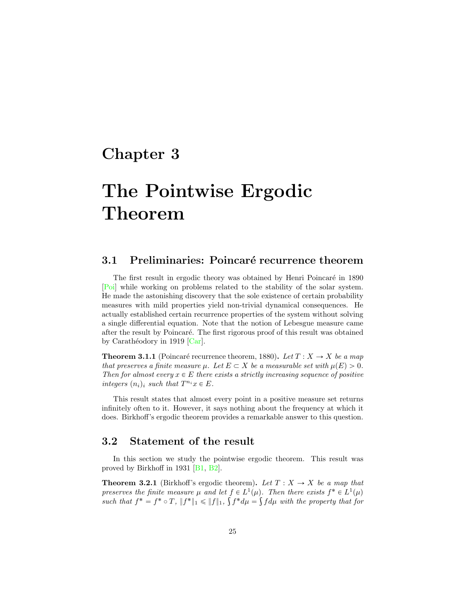# <span id="page-25-4"></span><span id="page-25-0"></span>Chapter 3

# The Pointwise Ergodic Theorem

# <span id="page-25-1"></span>3.1 Preliminaries: Poincaré recurrence theorem

The first result in ergodic theory was obtained by Henri Poincaré in 1890 [\[Poi\]](#page-66-5) while working on problems related to the stability of the solar system. He made the astonishing discovery that the sole existence of certain probability measures with mild properties yield non-trivial dynamical consequences. He actually established certain recurrence properties of the system without solving a single differential equation. Note that the notion of Lebesgue measure came after the result by Poincaré. The first rigorous proof of this result was obtained by Carathéodory in 1919  $[Car]$ .

**Theorem 3.1.1** (Poincaré recurrence theorem, 1880). Let  $T : X \to X$  be a map *that preserves a finite measure*  $\mu$ *. Let*  $E \subset X$  *be a measurable set with*  $\mu(E) > 0$ *. Then for almost every*  $x \in E$  *there exists a strictly increasing sequence of positive integers*  $(n_i)_i$  *such that*  $T^{n_i}x \in E$ *.* 

This result states that almost every point in a positive measure set returns infinitely often to it. However, it says nothing about the frequency at which it does. Birkhoff's ergodic theorem provides a remarkable answer to this question.

# <span id="page-25-2"></span>3.2 Statement of the result

In this section we study the pointwise ergodic theorem. This result was proved by Birkhoff in 1931 [\[B1,](#page-63-1) [B2\]](#page-63-2).

<span id="page-25-3"></span>**Theorem 3.2.1** (Birkhoff's ergodic theorem). Let  $T : X \rightarrow X$  be a map that *preserves the finite measure*  $\mu$  *and let*  $f \in L^1(\mu)$ *. Then there exists*  $f^* \in L^1(\mu)$ *such that*  $f^* = f^* \circ T$ ,  $||f^*||_1 \le ||f||_1$ ,  $\int f^* d\mu = \int f d\mu$  *with the property that for*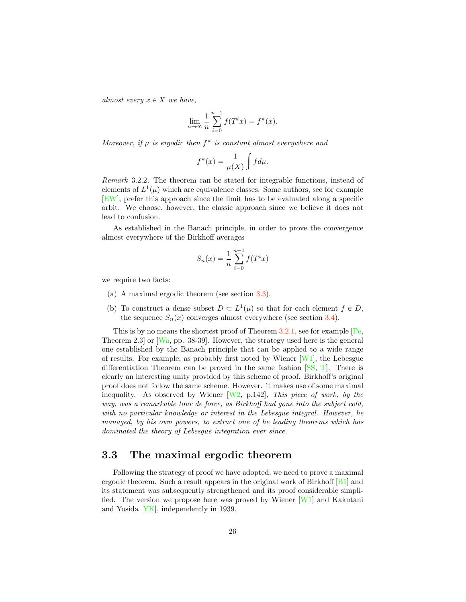<span id="page-26-1"></span>*almost every*  $x \in X$  *we have,* 

$$
\lim_{n \to \infty} \frac{1}{n} \sum_{i=0}^{n-1} f(T^i x) = f^*(x).
$$

*Moreover, if*  $\mu$  *is ergodic then*  $f^*$  *is constant almost everywhere and* 

$$
f^*(x) = \frac{1}{\mu(X)} \int f d\mu.
$$

*Remark* 3.2.2*.* The theorem can be stated for integrable functions, instead of elements of  $L^1(\mu)$  which are equivalence classes. Some authors, see for example [\[EW\]](#page-64-5), prefer this approach since the limit has to be evaluated along a specific orbit. We choose, however, the classic approach since we believe it does not lead to confusion.

As established in the Banach principle, in order to prove the convergence almost everywhere of the Birkhoff averages

$$
S_n(x) = \frac{1}{n} \sum_{i=0}^{n-1} f(T^i x)
$$

we require two facts:

- (a) A maximal ergodic theorem (see section [3.3\)](#page-26-0).
- (b) To construct a dense subset  $D \subset L^1(\mu)$  so that for each element  $f \in D$ , the sequence  $S_n(x)$  converges almost everywhere (see section [3.4\)](#page-32-0).

This is by no means the shortest proof of Theorem  $3.2.1$ , see for example  $[Pe,$ Theorem 2.3] or [\[Wa,](#page-67-1) pp. 38-39]. However, the strategy used here is the general one established by the Banach principle that can be applied to a wide range of results. For example, as probably first noted by Wiener  $[W1]$ , the Lebesgue differentiation Theorem can be proved in the same fashion [\[SS,](#page-66-0) [T\]](#page-66-7). There is clearly an interesting unity provided by this scheme of proof. Birkhoff's original proof does not follow the same scheme. However. it makes use of some maximal inequality. As observed by Wiener [\[W2,](#page-67-4) p.142], *This piece of work, by the way, was a remarkable tour de force, as Birkho*ff *had gone into the subject cold, with no particular knowledge or interest in the Lebesgue integral. However, he managed, by his own powers, to extract one of he leading theorems which has dominated the theory of Lebesgue integration ever since.*

# <span id="page-26-0"></span>3.3 The maximal ergodic theorem

Following the strategy of proof we have adopted, we need to prove a maximal ergodic theorem. Such a result appears in the original work of Birkhoff [\[B1\]](#page-63-1) and its statement was subsequently strengthened and its proof considerable simplified. The version we propose here was proved by Wiener [\[W1\]](#page-67-2) and Kakutani and Yosida [\[YK\]](#page-67-3), independently in 1939.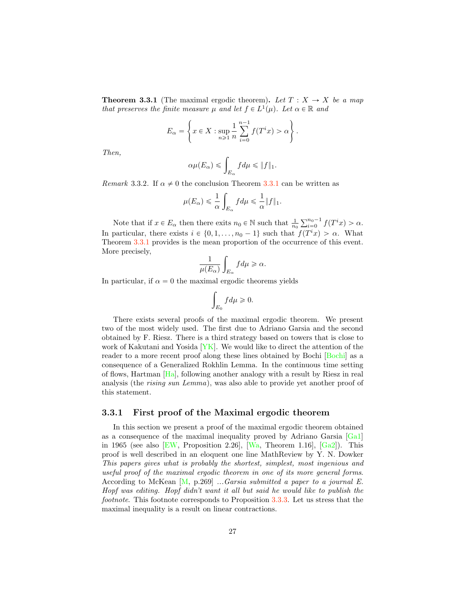<span id="page-27-1"></span><span id="page-27-0"></span>**Theorem 3.3.1** (The maximal ergodic theorem). Let  $T : X \rightarrow X$  be a map *that preserves the finite measure*  $\mu$  *and let*  $f \in L^1(\mu)$ *. Let*  $\alpha \in \mathbb{R}$  *and* 

$$
E_{\alpha} = \left\{ x \in X : \sup_{n \geq 1} \frac{1}{n} \sum_{i=0}^{n-1} f(T^i x) > \alpha \right\}.
$$

*Then,*

$$
\alpha \mu(E_{\alpha}) \leqslant \int_{E_{\alpha}} f d\mu \leqslant \|f\|_{1}.
$$

*Remark* 3.3.2. If  $\alpha \neq 0$  the conclusion Theorem [3.3.1](#page-27-0) can be written as

$$
\mu(E_\alpha) \leqslant \frac{1}{\alpha} \int_{E_\alpha} f d\mu \leqslant \frac{1}{\alpha} \|f\|_1.
$$

Note that if  $x \in E_\alpha$  then there exits  $n_0 \in \mathbb{N}$  such that  $\frac{1}{n_0} \sum_{i=0}^{n_0-1} f(T^i x) > \alpha$ . In particular, there exists  $i \in \{0, 1, \ldots, n_0 - 1\}$  such that  $f(T^i x) > \alpha$ . What Theorem [3.3.1](#page-27-0) provides is the mean proportion of the occurrence of this event. More precisely,

$$
\frac{1}{\mu(E_\alpha)}\int_{E_\alpha} f d\mu \geqslant \alpha.
$$

In particular, if  $\alpha = 0$  the maximal ergodic theorems yields

$$
\int_{E_0} f d\mu \geq 0.
$$

There exists several proofs of the maximal ergodic theorem. We present two of the most widely used. The first due to Adriano Garsia and the second obtained by F. Riesz. There is a third strategy based on towers that is close to work of Kakutani and Yosida  $[YK]$ . We would like to direct the attention of the reader to a more recent proof along these lines obtained by Bochi [\[Bochi\]](#page-64-6) as a consequence of a Generalized Rokhlin Lemma. In the continuous time setting of flows, Hartman [\[Ha\]](#page-65-5), following another analogy with a result by Riesz in real analysis (the *rising sun Lemma*), was also able to provide yet another proof of this statement.

### 3.3.1 First proof of the Maximal ergodic theorem

In this section we present a proof of the maximal ergodic theorem obtained as a consequence of the maximal inequality proved by Adriano Garsia [\[Ga1\]](#page-64-7) in 1965 (see also [\[EW,](#page-64-5) Proposition 2.26], [\[Wa,](#page-67-1) Theorem 1.16], [\[Ga2\]](#page-65-6)). This proof is well described in an eloquent one line MathReview by Y. N. Dowker *This papers gives what is probably the shortest, simplest, most ingenious and useful proof of the maximal ergodic theorem in one of its more general forms*. According to McKean [\[M,](#page-66-8) p.269] *...Garsia submitted a paper to a journal E. Hopf was editing. Hopf didn't want it all but said he would like to publish the footnote*. This footnote corresponds to Proposition [3.3.3.](#page-28-0) Let us stress that the maximal inequality is a result on linear contractions.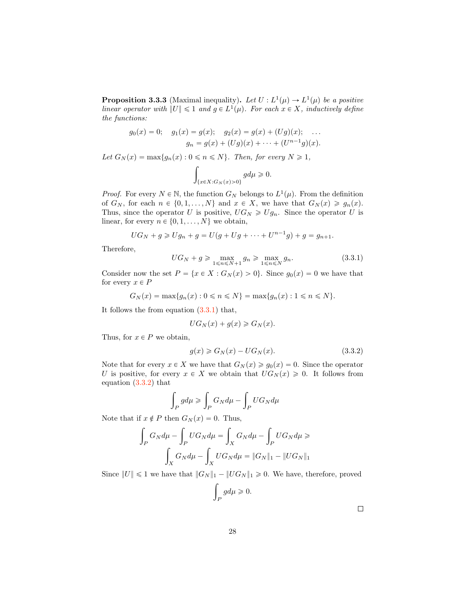<span id="page-28-0"></span>**Proposition 3.3.3** (Maximal inequality). Let  $U: L^1(\mu) \to L^1(\mu)$  be a positive *linear operator with*  $||U|| \leq 1$  *and*  $g \in L^1(\mu)$ *. For each*  $x \in X$ *, inductively define the functions:*

$$
g_0(x) = 0;
$$
  $g_1(x) = g(x);$   $g_2(x) = g(x) + (Ug)(x);$  ...  
 $g_n = g(x) + (Ug)(x) + \cdots + (U^{n-1}g)(x).$ 

*Let*  $G_N(x) = \max\{g_n(x) : 0 \le n \le N\}$ *. Then, for every*  $N \ge 1$ *,* 

$$
\int_{\{x\in X:G_N(x)>0\}}gd\mu\geqslant 0.
$$

*Proof.* For every  $N \in \mathbb{N}$ , the function  $G_N$  belongs to  $L^1(\mu)$ . From the definition of  $G_N$ , for each  $n \in \{0, 1, ..., N\}$  and  $x \in X$ , we have that  $G_N(x) \geq g_n(x)$ . Thus, since the operator *U* is positive,  $UG_N \geq Ug_n$ . Since the operator *U* is linear, for every  $n \in \{0, 1, \ldots, N\}$  we obtain,

$$
UG_N + g \ge Ug_n + g = U(g + Ug + \dots + U^{n-1}g) + g = g_{n+1}.
$$

Therefore,

<span id="page-28-1"></span>
$$
UG_N + g \ge \max_{1 \le n \le N+1} g_n \ge \max_{1 \le n \le N} g_n. \tag{3.3.1}
$$

Consider now the set  $P = \{x \in X : G_N(x) > 0\}$ . Since  $g_0(x) = 0$  we have that for every  $x \in P$ 

$$
G_N(x) = \max\{g_n(x) : 0 \le n \le N\} = \max\{g_n(x) : 1 \le n \le N\}.
$$

It follows the from equation  $(3.3.1)$  that,

$$
UG_N(x) + g(x) \ge G_N(x).
$$

Thus, for  $x \in P$  we obtain,

<span id="page-28-2"></span>
$$
g(x) \geqslant G_N(x) - U G_N(x). \tag{3.3.2}
$$

Note that for every  $x \in X$  we have that  $G_N(x) \geq g_0(x) = 0$ . Since the operator *U* is positive, for every  $x \in X$  we obtain that  $UG_N(x) \geq 0$ . It follows from equation [\(3.3.2\)](#page-28-2) that

$$
\int_P g d\mu \geqslant \int_P G_N d\mu - \int_P U G_N d\mu
$$

Note that if  $x \notin P$  then  $G_N(x) = 0$ . Thus,

$$
\int_{P} G_N d\mu - \int_{P} U G_N d\mu = \int_{X} G_N d\mu - \int_{P} U G_N d\mu \geq \int_{X} G_N d\mu - \int_{X} U G_N d\mu = ||G_N||_1 - ||UG_N||_1
$$

Since  $||U|| \le 1$  we have that  $||G_N||_1 - ||UG_N||_1 \ge 0$ . We have, therefore, proved

$$
\int_P g d\mu \geqslant 0.
$$

 $\Box$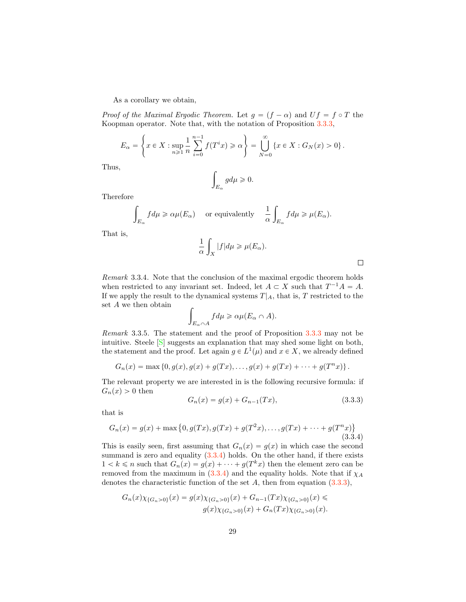<span id="page-29-2"></span>As a corollary we obtain,

*Proof of the Maximal Ergodic Theorem.* Let  $g = (f - \alpha)$  and  $Uf = f \circ T$  the Koopman operator. Note that, with the notation of Proposition [3.3.3,](#page-28-0)

$$
E_{\alpha} = \left\{ x \in X : \sup_{n \geq 1} \frac{1}{n} \sum_{i=0}^{n-1} f(T^i x) \geq \alpha \right\} = \bigcup_{N=0}^{\infty} \left\{ x \in X : G_N(x) > 0 \right\}.
$$

Thus,

$$
\int_{E_{\alpha}}gd\mu\geqslant 0.
$$

Therefore

$$
\int_{E_{\alpha}} f d\mu \geq \alpha \mu(E_{\alpha}) \quad \text{ or equivalently} \quad \frac{1}{\alpha} \int_{E_{\alpha}} f d\mu \geq \mu(E_{\alpha}).
$$

That is,

$$
\frac{1}{\alpha} \int_X |f| d\mu \ge \mu(E_\alpha).
$$

*Remark* 3.3.4*.* Note that the conclusion of the maximal ergodic theorem holds when restricted to any invariant set. Indeed, let  $A \subset X$  such that  $T^{-1}A = A$ . If we apply the result to the dynamical systems  $T|_A$ , that is, *T* restricted to the set *A* we then obtain

$$
\int_{E_{\alpha} \cap A} f d\mu \geq \alpha \mu (E_{\alpha} \cap A).
$$

*Remark* 3.3.5*.* The statement and the proof of Proposition [3.3.3](#page-28-0) may not be intuitive. Steele [\[S\]](#page-66-9) suggests an explanation that may shed some light on both, the statement and the proof. Let again  $g \in L^1(\mu)$  and  $x \in X$ , we already defined

$$
G_n(x) = \max \{0, g(x), g(x) + g(Tx), \dots, g(x) + g(Tx) + \dots + g(T^n x)\}.
$$

The relevant property we are interested in is the following recursive formula: if  $G_n(x) > 0$  then

<span id="page-29-1"></span>
$$
G_n(x) = g(x) + G_{n-1}(Tx), \tag{3.3.3}
$$

that is

<span id="page-29-0"></span>
$$
G_n(x) = g(x) + \max\{0, g(Tx), g(Tx) + g(T^2x), \dots, g(Tx) + \dots + g(T^nx)\}\
$$
\n(3.3.4)

This is easily seen, first assuming that  $G_n(x) = g(x)$  in which case the second summand is zero and equality  $(3.3.4)$  holds. On the other hand, if there exists  $1 < k \leq n$  such that  $G_n(x) = g(x) + \cdots + g(T^k x)$  then the element zero can be removed from the maximum in  $(3.3.4)$  and the equality holds. Note that if  $\chi_A$ denotes the characteristic function of the set *A*, then from equation  $(3.3.3)$ ,

$$
G_n(x)\chi_{\{G_n>0\}}(x) = g(x)\chi_{\{G_n>0\}}(x) + G_{n-1}(Tx)\chi_{\{G_n>0\}}(x) \le
$$
  

$$
g(x)\chi_{\{G_n>0\}}(x) + G_n(Tx)\chi_{\{G_n>0\}}(x).
$$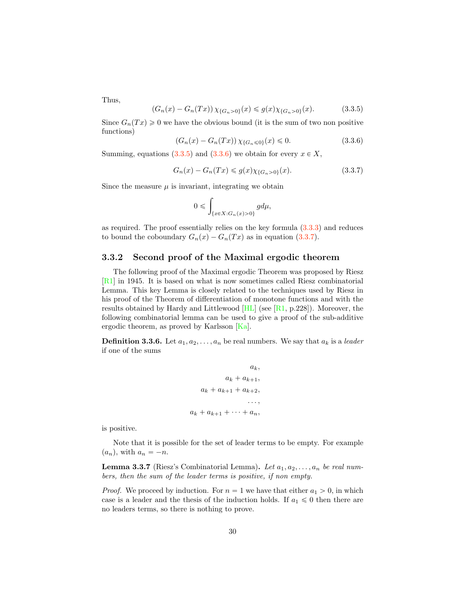<span id="page-30-4"></span>Thus,

<span id="page-30-0"></span>
$$
(G_n(x) - G_n(Tx)) \chi_{\{G_n > 0\}}(x) \le g(x) \chi_{\{G_n > 0\}}(x). \tag{3.3.5}
$$

Since  $G_n(Tx) \geq 0$  we have the obvious bound (it is the sum of two non positive functions)

<span id="page-30-1"></span>
$$
(G_n(x) - G_n(Tx)) \chi_{\{G_n \le 0\}}(x) \le 0.
$$
\n(3.3.6)

Summing, equations  $(3.3.5)$  and  $(3.3.6)$  we obtain for every  $x \in X$ ,

<span id="page-30-2"></span>
$$
G_n(x) - G_n(Tx) \le g(x) \chi_{\{G_n > 0\}}(x). \tag{3.3.7}
$$

Since the measure  $\mu$  is invariant, integrating we obtain

$$
0\leqslant \int_{\{x\in X: G_n(x)>0\}} g d\mu,
$$

as required. The proof essentially relies on the key formula [\(3.3.3\)](#page-29-1) and reduces to bound the coboundary  $G_n(x) - G_n(Tx)$  as in equation [\(3.3.7\)](#page-30-2).

#### 3.3.2 Second proof of the Maximal ergodic theorem

The following proof of the Maximal ergodic Theorem was proposed by Riesz [\[R1\]](#page-66-3) in 1945. It is based on what is now sometimes called Riesz combinatorial Lemma. This key Lemma is closely related to the techniques used by Riesz in his proof of the Theorem of differentiation of monotone functions and with the results obtained by Hardy and Littlewood  $[HL]$  (see  $[R1, p.228]$  $[R1, p.228]$ ). Moreover, the following combinatorial lemma can be used to give a proof of the sub-additive ergodic theorem, as proved by Karlsson [\[Ka\]](#page-65-7).

**Definition 3.3.6.** Let  $a_1, a_2, \ldots, a_n$  be real numbers. We say that  $a_k$  is a *leader* if one of the sums

$$
a_k,
$$
  
\n
$$
a_k + a_{k+1},
$$
  
\n
$$
a_k + a_{k+1} + a_{k+2},
$$
  
\n...  
\n
$$
a_k + a_{k+1} + \cdots + a_n,
$$

is positive.

Note that it is possible for the set of leader terms to be empty. For example  $(a_n)$ , with  $a_n = -n$ .

<span id="page-30-3"></span>**Lemma 3.3.7** (Riesz's Combinatorial Lemma). Let  $a_1, a_2, \ldots, a_n$  be real num*bers, then the sum of the leader terms is positive, if non empty.*

*Proof.* We proceed by induction. For  $n = 1$  we have that either  $a_1 > 0$ , in which case is a leader and the thesis of the induction holds. If  $a_1 \leq 0$  then there are no leaders terms, so there is nothing to prove.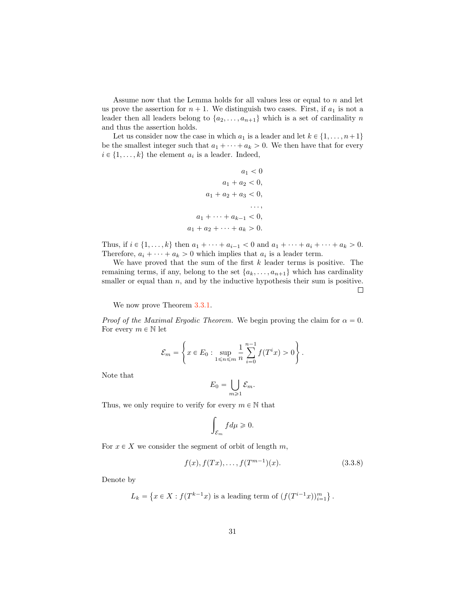Assume now that the Lemma holds for all values less or equal to *n* and let us prove the assertion for  $n + 1$ . We distinguish two cases. First, if  $a_1$  is not a leader then all leaders belong to  $\{a_2, \ldots, a_{n+1}\}$  which is a set of cardinality *n* and thus the assertion holds.

Let us consider now the case in which  $a_1$  is a leader and let  $k \in \{1, \ldots, n+1\}$ be the smallest integer such that  $a_1 + \cdots + a_k > 0$ . We then have that for every  $i \in \{1, \ldots, k\}$  the element  $a_i$  is a leader. Indeed,

$$
a_1 < 0
$$
  
\n
$$
a_1 + a_2 < 0,
$$
  
\n
$$
a_1 + a_2 + a_3 < 0,
$$
  
\n...  
\n
$$
a_1 + \cdots + a_{k-1} < 0,
$$
  
\n
$$
a_1 + a_2 + \cdots + a_k > 0.
$$

Thus, if  $i \in \{1, ..., k\}$  then  $a_1 + \cdots + a_{i-1} < 0$  and  $a_1 + \cdots + a_i + \cdots + a_k > 0$ . Therefore,  $a_i + \cdots + a_k > 0$  which implies that  $a_i$  is a leader term.

We have proved that the sum of the first *k* leader terms is positive. The remaining terms, if any, belong to the set  $\{a_k, \ldots, a_{n+1}\}$  which has cardinality smaller or equal than *n*, and by the inductive hypothesis their sum is positive.  $\Box$ 

We now prove Theorem  $3.3.1$ .

*Proof of the Maximal Ergodic Theorem.* We begin proving the claim for  $\alpha = 0$ . For every  $m \in \mathbb{N}$  let

$$
\mathcal{E}_m = \left\{ x \in E_0 : \sup_{1 \le n \le m} \frac{1}{n} \sum_{i=0}^{n-1} f(T^i x) > 0 \right\}.
$$

Note that

$$
E_0=\bigcup_{m\geqslant 1}\mathcal{E}_m.
$$

Thus, we only require to verify for every  $m \in \mathbb{N}$  that

$$
\int_{\mathcal{E}_m} f d\mu \geqslant 0.
$$

For  $x \in X$  we consider the segment of orbit of length  $m$ ,

<span id="page-31-0"></span>
$$
f(x), f(Tx), \dots, f(T^{m-1})(x). \tag{3.3.8}
$$

Denote by

$$
L_k = \{ x \in X : f(T^{k-1}x) \text{ is a leading term of } (f(T^{i-1}x))_{i=1}^m \}.
$$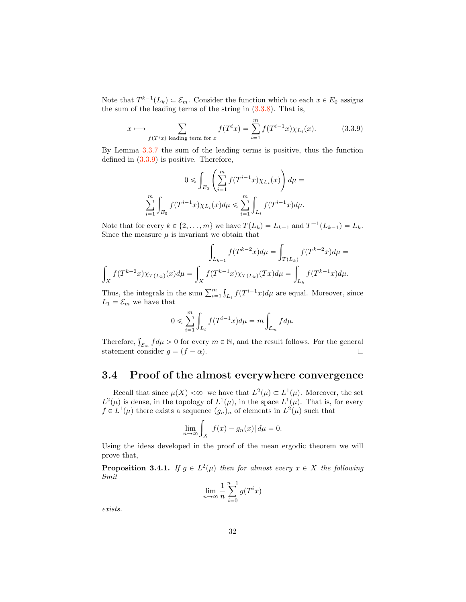Note that  $T^{k-1}(L_k) \subset \mathcal{E}_m$ . Consider the function which to each  $x \in E_0$  assigns the sum of the leading terms of the string in  $(3.3.8)$ . That is,

<span id="page-32-1"></span>
$$
x \longmapsto \sum_{f(T^ix) \text{ leading term for } x} f(T^ix) = \sum_{i=1}^m f(T^{i-1}x) \chi_{L_i}(x). \tag{3.3.9}
$$

By Lemma [3.3.7](#page-30-3) the sum of the leading terms is positive, thus the function defined in [\(3.3.9\)](#page-32-1) is positive. Therefore,

$$
0\leqslant \int_{E_0}\left(\sum_{i=1}^m f(T^{i-1}x)\chi_{L_i}(x)\right)d\mu=
$$
  

$$
\sum_{i=1}^m\int_{E_0}f(T^{i-1}x)\chi_{L_i}(x)d\mu\leqslant \sum_{i=1}^m\int_{L_i}f(T^{i-1}x)d\mu.
$$

Note that for every  $k \in \{2, ..., m\}$  we have  $T(L_k) = L_{k-1}$  and  $T^{-1}(L_{k-1}) = L_k$ . Since the measure  $\mu$  is invariant we obtain that

$$
\int_{L_{k-1}} f(T^{k-2}x) d\mu = \int_{T(L_k)} f(T^{k-2}x) d\mu = \int_X f(T^{k-2}x) d\mu = \int_{L_k} f(T^{k-2}x) d\mu = \int_{L_k} f(T^{k-2}x) d\mu.
$$

Thus, the integrals in the sum  $\sum_{i=1}^{m} \int_{L_i} f(T^{i-1}x) d\mu$  are equal. Moreover, since  $L_1 = \mathcal{E}_m$  we have that

$$
0 \leqslant \sum_{i=1}^m \int_{L_i} f(T^{i-1}x) d\mu = m \int_{\mathcal{E}_m} f d\mu.
$$

Therefore,  $\int_{\mathcal{E}_m} f d\mu > 0$  for every  $m \in \mathbb{N}$ , and the result follows. For the general statement consider  $g = (f - \alpha)$ .

# <span id="page-32-0"></span>3.4 Proof of the almost everywhere convergence

Recall that since  $\mu(X) < \infty$  we have that  $L^2(\mu) \subset L^1(\mu)$ . Moreover, the set  $L^2(\mu)$  is dense, in the topology of  $L^1(\mu)$ , in the space  $L^1(\mu)$ . That is, for every  $f \in L^1(\mu)$  there exists a sequence  $(g_n)_n$  of elements in  $L^2(\mu)$  such that

$$
\lim_{n \to \infty} \int_X |f(x) - g_n(x)| d\mu = 0.
$$

Using the ideas developed in the proof of the mean ergodic theorem we will prove that,

**Proposition 3.4.1.** *If*  $g \in L^2(\mu)$  *then for almost every*  $x \in X$  *the following limit*

$$
\lim_{n \to \infty} \frac{1}{n} \sum_{i=0}^{n-1} g(T^i x)
$$

*exists.*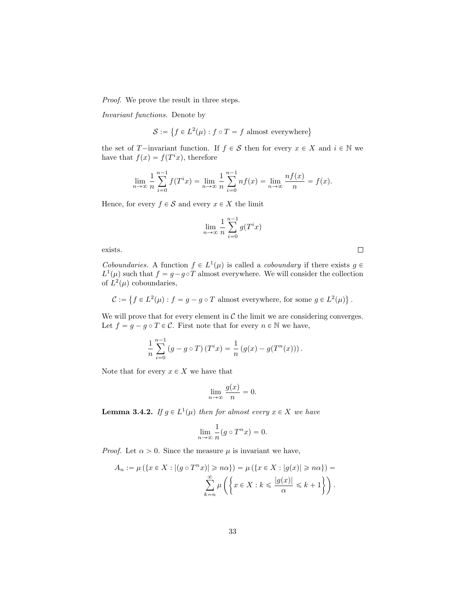*Proof.* We prove the result in three steps.

*Invariant functions.* Denote by

$$
\mathcal{S} := \left\{ f \in L^2(\mu) : f \circ T = f \text{ almost everywhere} \right\}
$$

the set of *T* $-$ invariant function. If  $f \in S$  then for every  $x \in X$  and  $i \in \mathbb{N}$  we have that  $f(x) = f(T^i x)$ , therefore

$$
\lim_{n \to \infty} \frac{1}{n} \sum_{i=0}^{n-1} f(T^i x) = \lim_{n \to \infty} \frac{1}{n} \sum_{i=0}^{n-1} n f(x) = \lim_{n \to \infty} \frac{n f(x)}{n} = f(x).
$$

Hence, for every  $f \in S$  and every  $x \in X$  the limit

$$
\lim_{n \to \infty} \frac{1}{n} \sum_{i=0}^{n-1} g(T^i x)
$$

exists.

*Coboundaries.* A function  $f \in L^1(\mu)$  is called a *coboundary* if there exists  $g \in$  $L^1(\mu)$  such that  $f = g - g \circ T$  almost everywhere. We will consider the collection of  $L^2(\mu)$  coboundaries,

 $\Box$ 

 $C := \{ f \in L^2(\mu) : f = g - g \circ T \text{ almost everywhere, for some } g \in L^2(\mu) \}.$ 

We will prove that for every element in  $\mathcal C$  the limit we are considering converges. Let  $f = g - g \circ T \in \mathcal{C}$ . First note that for every  $n \in \mathbb{N}$  we have,

$$
\frac{1}{n} \sum_{i=0}^{n-1} (g - g \circ T) (T^i x) = \frac{1}{n} (g(x) - g(T^n(x))).
$$

Note that for every  $x \in X$  we have that

$$
\lim_{n \to \infty} \frac{g(x)}{n} = 0.
$$

**Lemma 3.4.2.** *If*  $g \in L^1(\mu)$  *then for almost every*  $x \in X$  *we have* 

$$
\lim_{n \to \infty} \frac{1}{n} (g \circ T^n x) = 0.
$$

*Proof.* Let  $\alpha > 0$ . Since the measure  $\mu$  is invariant we have,

$$
A_n := \mu\left(\left\{x \in X : \left|(g \circ T^n x)\right) \geq n\alpha\right\}\right) = \mu\left(\left\{x \in X : \left|g(x)\right| \geq n\alpha\right\}\right) = \sum_{k=n}^{\infty} \mu\left(\left\{x \in X : k \leqslant \frac{|g(x)|}{\alpha} \leqslant k+1\right\}\right).
$$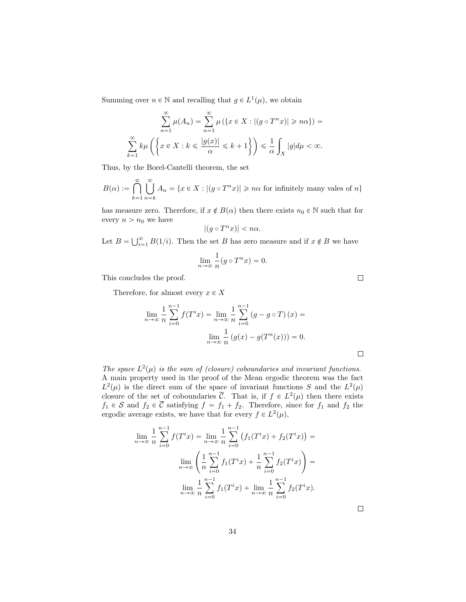Summing over  $n \in \mathbb{N}$  and recalling that  $g \in L^1(\mu)$ , we obtain

$$
\sum_{n=1}^{\infty} \mu(A_n) = \sum_{n=1}^{\infty} \mu\left(\left\{x \in X : |(g \circ T^n x)| \geq n\alpha\right\}\right) =
$$

$$
\sum_{k=1}^{\infty} k\mu\left(\left\{x \in X : k \leq \frac{|g(x)|}{\alpha} \leq k+1\right\}\right) \leq \frac{1}{\alpha} \int_X |g| d\mu < \infty.
$$

Thus, by the Borel-Cantelli theorem, the set

 $B(\alpha) := \bigcap^{\infty}$  $k=1$ ∣ຶl  $n = k$  $A_n = \{x \in X : |(g \circ T^n x)| \geq n\alpha \text{ for infinitely many values of } n\}$ 

has measure zero. Therefore, if  $x \notin B(\alpha)$  then there exists  $n_0 \in \mathbb{N}$  such that for every  $n > n_0$  we have

$$
|(g\circ T^nx)|
$$

Let  $B = \bigcup_{i=1}^{\infty} B(1/i)$ . Then the set *B* has zero measure and if  $x \notin B$  we have

$$
\lim_{n \to \infty} \frac{1}{n} (g \circ T^n x) = 0.
$$

This concludes the proof.

Therefore, for almost every  $x \in X$ 

$$
\lim_{n \to \infty} \frac{1}{n} \sum_{i=0}^{n-1} f(T^i x) = \lim_{n \to \infty} \frac{1}{n} \sum_{i=0}^{n-1} (g - g \circ T)(x) =
$$

$$
\lim_{n \to \infty} \frac{1}{n} (g(x) - g(T^n(x))) = 0.
$$

*The space*  $L^2(\mu)$  *is the sum of (closure) coboundaries and invariant functions.* A main property used in the proof of the Mean ergodic theorem was the fact  $L^2(\mu)$  is the direct sum of the space of invariant functions *S* and the  $L^2(\mu)$ closure of the set of coboundaries  $\overline{C}$ . That is, if  $f \in L^2(\mu)$  then there exists  $f_1 \in S$  and  $f_2 \in \overline{C}$  satisfying  $f = f_1 + f_2$ . Therefore, since for  $f_1$  and  $f_2$  the ergodic average exists, we have that for every  $f \in L^2(\mu)$ ,

$$
\lim_{n \to \infty} \frac{1}{n} \sum_{i=0}^{n-1} f(T^i x) = \lim_{n \to \infty} \frac{1}{n} \sum_{i=0}^{n-1} (f_1(T^i x) + f_2(T^i x)) =
$$

$$
\lim_{n \to \infty} \left( \frac{1}{n} \sum_{i=0}^{n-1} f_1(T^i x) + \frac{1}{n} \sum_{i=0}^{n-1} f_2(T^i x) \right) =
$$

$$
\lim_{n \to \infty} \frac{1}{n} \sum_{i=0}^{n-1} f_1(T^i x) + \lim_{n \to \infty} \frac{1}{n} \sum_{i=0}^{n-1} f_2(T^i x).
$$

 $\Box$ 

 $\Box$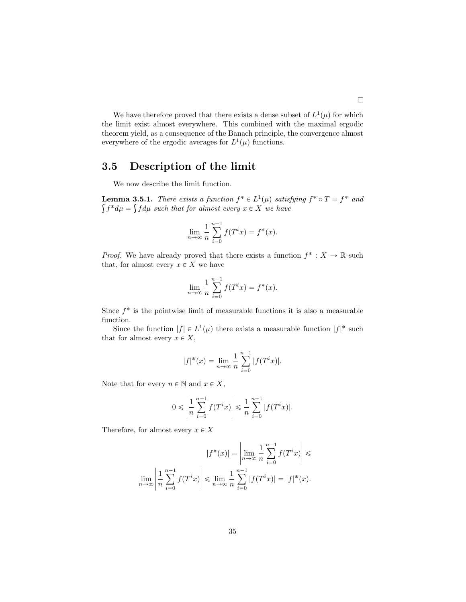We have therefore proved that there exists a dense subset of  $L^1(\mu)$  for which the limit exist almost everywhere. This combined with the maximal ergodic theorem yield, as a consequence of the Banach principle, the convergence almost everywhere of the ergodic averages for  $L^1(\mu)$  functions.

# <span id="page-35-0"></span>3.5 Description of the limit

We now describe the limit function.

**Lemma 3.5.1.** *There exists a function*  $f^* \in L^1(\mu)$  *satisfying*  $f^* \circ T = f^*$  *and*  $\int f^* d\mu = \int f d\mu$  such that for almost every  $x \in X$  we have

$$
\lim_{n \to \infty} \frac{1}{n} \sum_{i=0}^{n-1} f(T^i x) = f^*(x).
$$

*Proof.* We have already proved that there exists a function  $f^* : X \to \mathbb{R}$  such that, for almost every  $x \in X$  we have

$$
\lim_{n \to \infty} \frac{1}{n} \sum_{i=0}^{n-1} f(T^i x) = f^*(x).
$$

Since  $f^*$  is the pointwise limit of measurable functions it is also a measurable function.

Since the function  $|f| \in L^1(\mu)$  there exists a measurable function  $|f|^*$  such that for almost every  $x \in X$ ,

$$
|f|^*(x) = \lim_{n \to \infty} \frac{1}{n} \sum_{i=0}^{n-1} |f(T^i x)|.
$$

Note that for every  $n \in \mathbb{N}$  and  $x \in X$ ,

$$
0 \leq \left| \frac{1}{n} \sum_{i=0}^{n-1} f(T^i x) \right| \leq \frac{1}{n} \sum_{i=0}^{n-1} |f(T^i x)|.
$$

Therefore, for almost every  $x \in X$ 

$$
|f^*(x)| = \left| \lim_{n \to \infty} \frac{1}{n} \sum_{i=0}^{n-1} f(T^i x) \right| \leq \lim_{n \to \infty} \left| \frac{1}{n} \sum_{i=0}^{n-1} f(T^i x) \right| \leq \lim_{n \to \infty} \frac{1}{n} \sum_{i=0}^{n-1} |f(T^i x)| = |f|^*(x).
$$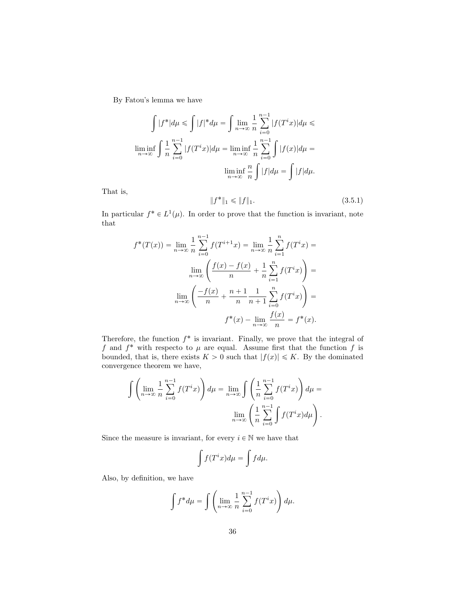By Fatou's lemma we have

$$
\int |f^*|d\mu \le \int |f|^*d\mu = \int \lim_{n \to \infty} \frac{1}{n} \sum_{i=0}^{n-1} |f(T^i x)|d\mu \le
$$
  

$$
\liminf_{n \to \infty} \int \frac{1}{n} \sum_{i=0}^{n-1} |f(T^i x)|d\mu = \liminf_{n \to \infty} \frac{1}{n} \sum_{i=0}^{n-1} \int |f(x)|d\mu =
$$
  

$$
\liminf_{n \to \infty} \frac{n}{n} \int |f|d\mu = \int |f|d\mu.
$$

That is,

<span id="page-36-0"></span>
$$
||f^*||_1 \le ||f||_1. \tag{3.5.1}
$$

In particular  $f^* \in L^1(\mu)$ . In order to prove that the function is invariant, note that

$$
f^*(T(x)) = \lim_{n \to \infty} \frac{1}{n} \sum_{i=0}^{n-1} f(T^{i+1}x) = \lim_{n \to \infty} \frac{1}{n} \sum_{i=1}^n f(T^i x) =
$$

$$
\lim_{n \to \infty} \left( \frac{f(x) - f(x)}{n} + \frac{1}{n} \sum_{i=1}^n f(T^i x) \right) =
$$

$$
\lim_{n \to \infty} \left( \frac{-f(x)}{n} + \frac{n+1}{n} \frac{1}{n+1} \sum_{i=0}^n f(T^i x) \right) =
$$

$$
f^*(x) - \lim_{n \to \infty} \frac{f(x)}{n} = f^*(x).
$$

Therefore, the function  $f^*$  is invariant. Finally, we prove that the integral of *f* and  $f^*$  with respecto to  $\mu$  are equal. Assume first that the function  $f$  is bounded, that is, there exists  $K > 0$  such that  $|f(x)| \leq K$ . By the dominated convergence theorem we have,

$$
\int \left( \lim_{n \to \infty} \frac{1}{n} \sum_{i=0}^{n-1} f(T^i x) \right) d\mu = \lim_{n \to \infty} \int \left( \frac{1}{n} \sum_{i=0}^{n-1} f(T^i x) \right) d\mu =
$$

$$
\lim_{n \to \infty} \left( \frac{1}{n} \sum_{i=0}^{n-1} \int f(T^i x) d\mu \right).
$$

Since the measure is invariant, for every  $i \in \mathbb{N}$  we have that

$$
\int f(T^ix)d\mu = \int f d\mu.
$$

Also, by definition, we have

$$
\int f^* d\mu = \int \left( \lim_{n \to \infty} \frac{1}{n} \sum_{i=0}^{n-1} f(T^i x) \right) d\mu.
$$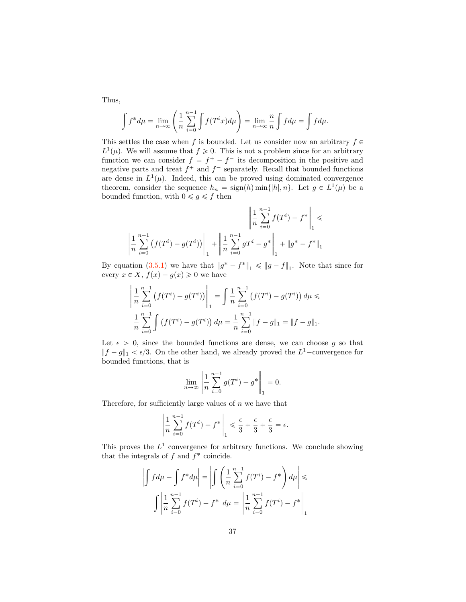Thus,

$$
\int f^* d\mu = \lim_{n \to \infty} \left( \frac{1}{n} \sum_{i=0}^{n-1} \int f(T^i x) d\mu \right) = \lim_{n \to \infty} \frac{n}{n} \int f d\mu = \int f d\mu.
$$

This settles the case when *f* is bounded. Let us consider now an arbitrary  $f \in$  $L^1(\mu)$ . We will assume that  $f \ge 0$ . This is not a problem since for an arbitrary function we can consider  $f = f^+ - f^-$  its decomposition in the positive and negative parts and treat  $f^+$  and  $f^-$  separately. Recall that bounded functions are dense in  $L^1(\mu)$ . Indeed, this can be proved using dominated convergence theorem, consider the sequence  $h_n = \text{sign}(h) \min\{|h|, n\}$ . Let  $g \in L^1(\mu)$  be a bounded function, with  $0 \le g \le f$  then

$$
\left\| \frac{1}{n} \sum_{i=0}^{n-1} f(T^i) - f^* \right\|_1 \le \left\| \frac{1}{n} \sum_{i=0}^{n-1} f(T^i) - f^* \right\|_1 \le \left\| \frac{1}{n} \sum_{i=0}^{n-1} g(T^i) - g^* \right\|_1 + \left\| g^* - f^* \right\|_1
$$

By equation [\(3.5.1\)](#page-36-0) we have that  $||g^* - f^*||_1 \le ||g - f||_1$ . Note that since for every  $x \in X$ ,  $f(x) - g(x) \geq 0$  we have

$$
\left\| \frac{1}{n} \sum_{i=0}^{n-1} \left( f(T^i) - g(T^i) \right) \right\|_1 = \int \frac{1}{n} \sum_{i=0}^{n-1} \left( f(T^i) - g(T^i) \right) d\mu \le
$$
  

$$
\frac{1}{n} \sum_{i=0}^{n-1} \int \left( f(T^i) - g(T^i) \right) d\mu = \frac{1}{n} \sum_{i=0}^{n-1} \|f - g\|_1 = \|f - g\|_1.
$$

Let  $\epsilon > 0$ , since the bounded functions are dense, we can choose g so that  $||f - g||_1 < \epsilon/3$ . On the other hand, we already proved the  $L^1$ -convergence for bounded functions, that is

$$
\lim_{n \to \infty} \left\| \frac{1}{n} \sum_{i=0}^{n-1} g(T^i) - g^* \right\|_1 = 0.
$$

Therefore, for sufficiently large values of *n* we have that

$$
\left\| \frac{1}{n} \sum_{i=0}^{n-1} f(T^i) - f^* \right\|_1 \le \frac{\epsilon}{3} + \frac{\epsilon}{3} + \frac{\epsilon}{3} = \epsilon.
$$

This proves the  $L^1$  convergence for arbitrary functions. We conclude showing that the integrals of  $f$  and  $f^*$  coincide.

$$
\left| \int f d\mu - \int f^* d\mu \right| = \left| \int \left( \frac{1}{n} \sum_{i=0}^{n-1} f(T^i) - f^* \right) d\mu \right| \leq \int \left| \frac{1}{n} \sum_{i=0}^{n-1} f(T^i) - f^* \right| d\mu = \left| \frac{1}{n} \sum_{i=0}^{n-1} f(T^i) - f^* \right|_1
$$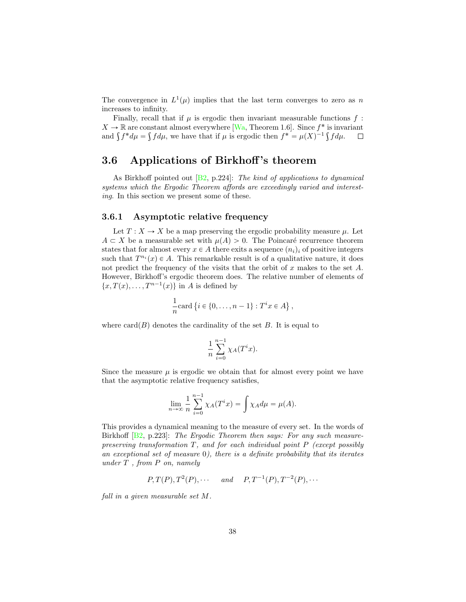<span id="page-38-1"></span>The convergence in  $L^1(\mu)$  implies that the last term converges to zero as *n* increases to infinity.

Finally, recall that if  $\mu$  is ergodic then invariant measurable functions  $f$ :  $X \to \mathbb{R}$  are constant almost everywhere [\[Wa,](#page-67-1) Theorem 1.6]. Since  $f^*$  is invariant and  $\int f^* d\mu = \int f d\mu$ , we have that if  $\mu$  is ergodic then  $f^* = \mu(X)^{-1} \int f d\mu$ . and  $\int f^* d\mu = \int f d\mu$ , we have that if  $\mu$  is ergodic then  $f^* = \mu(X)^{-1} \int f d\mu$ .

# <span id="page-38-0"></span>3.6 Applications of Birkhoff's theorem

As Birkhoff pointed out [\[B2,](#page-63-2) p.224]: *The kind of applications to dynamical systems which the Ergodic Theorem a*ff*ords are exceedingly varied and interesting*. In this section we present some of these.

### 3.6.1 Asymptotic relative frequency

Let  $T: X \to X$  be a map preserving the ergodic probability measure  $\mu$ . Let  $A \subset X$  be a measurable set with  $\mu(A) > 0$ . The Poincaré recurrence theorem states that for almost every  $x \in A$  there exits a sequence  $(n_i)_i$  of positive integers such that  $T^{n_i}(x) \in A$ . This remarkable result is of a qualitative nature, it does not predict the frequency of the visits that the orbit of *x* makes to the set *A*. However, Birkhoff's ergodic theorem does. The relative number of elements of  $\{x, T(x), \ldots, T^{n-1}(x)\}\$ in *A* is defined by

$$
\frac{1}{n}\text{card}\left\{i\in\{0,\ldots,n-1\}:T^ix\in A\right\},\
$$

where  $card(B)$  denotes the cardinality of the set *B*. It is equal to

$$
\frac{1}{n} \sum_{i=0}^{n-1} \chi_A(T^i x).
$$

Since the measure  $\mu$  is ergodic we obtain that for almost every point we have that the asymptotic relative frequency satisfies,

$$
\lim_{n \to \infty} \frac{1}{n} \sum_{i=0}^{n-1} \chi_A(T^i x) = \int \chi_A d\mu = \mu(A).
$$

This provides a dynamical meaning to the measure of every set. In the words of Birkhoff [\[B2,](#page-63-2) p.223]: *The Ergodic Theorem then says: For any such measurepreserving transformation T, and for each individual point P (except possibly an exceptional set of measure* 0*), there is a definite probability that its iterates under T , from P on, namely*

$$
P, T(P), T2(P), \cdots \quad and \quad P, T-1(P), T-2(P), \cdots
$$

*fall in a given measurable set M.*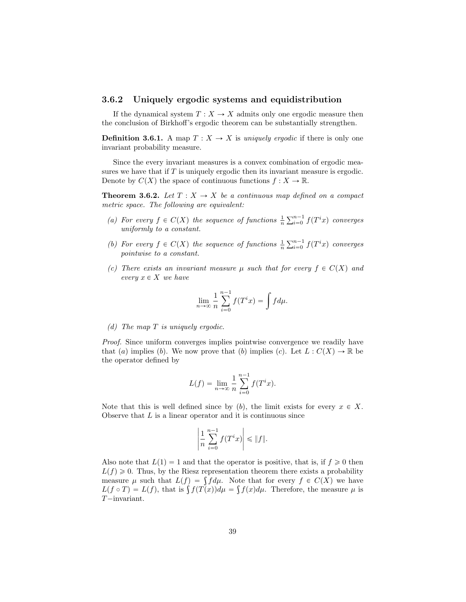## 3.6.2 Uniquely ergodic systems and equidistribution

If the dynamical system  $T: X \to X$  admits only one ergodic measure then the conclusion of Birkhoff's ergodic theorem can be substantially strengthen.

**Definition 3.6.1.** A map  $T: X \to X$  is *uniquely ergodic* if there is only one invariant probability measure.

Since the every invariant measures is a convex combination of ergodic measures we have that if *T* is uniquely ergodic then its invariant measure is ergodic. Denote by  $C(X)$  the space of continuous functions  $f: X \to \mathbb{R}$ .

<span id="page-39-0"></span>**Theorem 3.6.2.** Let  $T: X \to X$  be a continuous map defined on a compact *metric space. The following are equivalent:*

- (a) For every  $f \in C(X)$  the sequence of functions  $\frac{1}{n} \sum_{i=0}^{n-1} f(T^i x)$  converges *uniformly to a constant.*
- *(b)* For every  $f \in C(X)$  the sequence of functions  $\frac{1}{n} \sum_{i=0}^{n-1} f(T^i x)$  converges *pointwise to a constant.*
- *(c)* There exists an invariant measure  $\mu$  such that for every  $f \in C(X)$  and  $every x \in X$  *we have*

$$
\lim_{n \to \infty} \frac{1}{n} \sum_{i=0}^{n-1} f(T^i x) = \int f d\mu.
$$

*(d) The map T is uniquely ergodic.*

*Proof.* Since uniform converges implies pointwise convergence we readily have that (*a*) implies (*b*). We now prove that (*b*) implies (*c*). Let  $L : C(X) \to \mathbb{R}$  be the operator defined by

$$
L(f) = \lim_{n \to \infty} \frac{1}{n} \sum_{i=0}^{n-1} f(T^i x).
$$

Note that this is well defined since by  $(b)$ , the limit exists for every  $x \in X$ . Observe that *L* is a linear operator and it is continuous since

$$
\left|\frac{1}{n}\sum_{i=0}^{n-1}f(T^ix)\right|\leqslant \|f\|.
$$

Also note that  $L(1) = 1$  and that the operator is positive, that is, if  $f \ge 0$  then  $L(f) \geq 0$ . Thus, by the Riesz representation theorem there exists a probability measure  $\mu$  such that  $L(f) = \int f d\mu$ . Note that for every  $f \in C(X)$  we have  $L(f \circ T) = L(f)$ , that is  $\int f(T(x)) d\mu = \int f(x) d\mu$ . Therefore, the measure  $\mu$  is *T* $-i$ nvariant.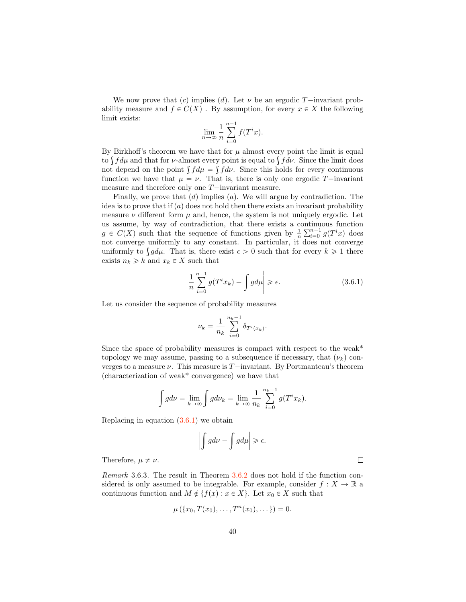We now prove that (c) implies (d). Let  $\nu$  be an ergodic *T* $-$ invariant probability measure and  $f \in C(X)$ . By assumption, for every  $x \in X$  the following limit exists:

$$
\lim_{n \to \infty} \frac{1}{n} \sum_{i=0}^{n-1} f(T^i x).
$$

By Birkhoff's theorem we have that for  $\mu$  almost every point the limit is equal to  $\int f d\mu$  and that for *ν*-almost every point is equal to  $\int f d\nu$ . Since the limit does not depend on the point  $\int f d\mu = \int f d\nu$ . Since this holds for every continuous function we have that  $\mu = \nu$ . That is, there is only one ergodic *T*—invariant measure and therefore only one  $T$ —invariant measure.

Finally, we prove that  $(d)$  implies  $(a)$ . We will argue by contradiction. The idea is to prove that if  $\alpha$  does not hold then there exists an invariant probability measure  $\nu$  different form  $\mu$  and, hence, the system is not uniquely ergodic. Let us assume, by way of contradiction, that there exists a continuous function  $g \in C(X)$  such that the sequence of functions given by  $\frac{1}{n} \sum_{i=0}^{n-1} g(T^i x)$  does not converge uniformly to any constant. In particular, it does not converge uniformly to  $\int g d\mu$ . That is, there exist  $\epsilon > 0$  such that for every  $k \geq 1$  there exists  $n_k \geq k$  and  $x_k \in X$  such that

<span id="page-40-0"></span>
$$
\left|\frac{1}{n}\sum_{i=0}^{n-1}g(T^ix_k)-\int g d\mu\right|\geq \epsilon.
$$
 (3.6.1)

Let us consider the sequence of probability measures

$$
\nu_k = \frac{1}{n_k} \sum_{i=0}^{n_k-1} \delta_{T^i(x_k)}.
$$

Since the space of probability measures is compact with respect to the weak<sup>\*</sup> topology we may assume, passing to a subsequence if necessary, that  $(\nu_k)$  converges to a measure  $\nu$ . This measure is  $T$ -invariant. By Portmanteau's theorem (characterization of weak\* convergence) we have that

$$
\int g d\nu = \lim_{k \to \infty} \int g d\nu_k = \lim_{k \to \infty} \frac{1}{n_k} \sum_{i=0}^{n_k - 1} g(T^i x_k).
$$

Replacing in equation [\(3.6.1\)](#page-40-0) we obtain

$$
\left| \int g d\nu - \int g d\mu \right| \geq \epsilon.
$$

Therefore,  $\mu \neq \nu$ .

*Remark* 3.6.3*.* The result in Theorem [3.6.2](#page-39-0) does not hold if the function considered is only assumed to be integrable. For example, consider  $f: X \to \mathbb{R}$  a continuous function and  $M \notin \{f(x) : x \in X\}$ . Let  $x_0 \in X$  such that

$$
\mu(\{x_0, T(x_0), \ldots, T^n(x_0), \ldots\}) = 0.
$$

 $\Box$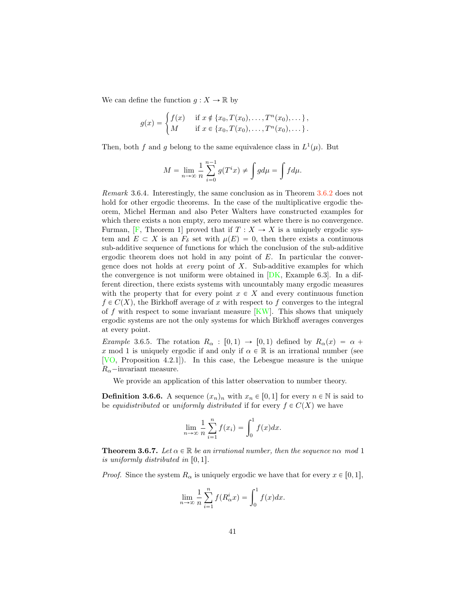<span id="page-41-1"></span>We can define the function  $g: X \to \mathbb{R}$  by

$$
g(x) = \begin{cases} f(x) & \text{if } x \notin \{x_0, T(x_0), \dots, T^n(x_0), \dots\}, \\ M & \text{if } x \in \{x_0, T(x_0), \dots, T^n(x_0), \dots\}.\end{cases}
$$

Then, both *f* and *g* belong to the same equivalence class in  $L^1(\mu)$ . But

$$
M = \lim_{n \to \infty} \frac{1}{n} \sum_{i=0}^{n-1} g(T^i x) \neq \int g d\mu = \int f d\mu.
$$

*Remark* 3.6.4*.* Interestingly, the same conclusion as in Theorem [3.6.2](#page-39-0) does not hold for other ergodic theorems. In the case of the multiplicative ergodic theorem, Michel Herman and also Peter Walters have constructed examples for which there exists a non empty, zero measure set where there is no convergence. Furman,  $[F,$  Theorem 1] proved that if  $T : X \to X$  is a uniquely ergodic system and  $E \subset X$  is an  $F_\delta$  set with  $\mu(E) = 0$ , then there exists a continuous sub-additive sequence of functions for which the conclusion of the sub-additive ergodic theorem does not hold in any point of *E*. In particular the convergence does not holds at *every* point of *X*. Sub-additive examples for which the convergence is not uniform were obtained in  $[DK, Example 6.3]$  $[DK, Example 6.3]$ . In a different direction, there exists systems with uncountably many ergodic measures with the property that for every point  $x \in X$  and every continuous function  $f \in C(X)$ , the Birkhoff average of *x* with respect to *f* converges to the integral of  $f$  with respect to some invariant measure  $\overline{KW}$ . This shows that uniquely ergodic systems are not the only systems for which Birkhoff averages converges at every point.

*Example* 3.6.5. The rotation  $R_{\alpha} : [0,1) \rightarrow [0,1]$  defined by  $R_{\alpha}(x) = \alpha +$ *x* mod 1 is uniquely ergodic if and only if  $\alpha \in \mathbb{R}$  is an irrational number (see [\[VO,](#page-67-5) Proposition 4.2.1]). In this case, the Lebesgue measure is the unique  $R_{\alpha}$ —invariant measure.

We provide an application of this latter observation to number theory.

**Definition 3.6.6.** A sequence  $(x_n)_n$  with  $x_n \in [0,1]$  for every  $n \in \mathbb{N}$  is said to be *equidistributed* or *uniformly distributed* if for every  $f \in C(X)$  we have

$$
\lim_{n \to \infty} \frac{1}{n} \sum_{i=1}^{n} f(x_i) = \int_0^1 f(x) dx.
$$

<span id="page-41-0"></span>**Theorem 3.6.7.** Let  $\alpha \in \mathbb{R}$  be an irrational number, then the sequence  $n\alpha$  mod 1 *is uniformly distributed in*  $[0, 1]$ *.* 

*Proof.* Since the system  $R_{\alpha}$  is uniquely ergodic we have that for every  $x \in [0, 1]$ ,

$$
\lim_{n \to \infty} \frac{1}{n} \sum_{i=1}^{n} f(R_{\alpha}^{i} x) = \int_{0}^{1} f(x) dx.
$$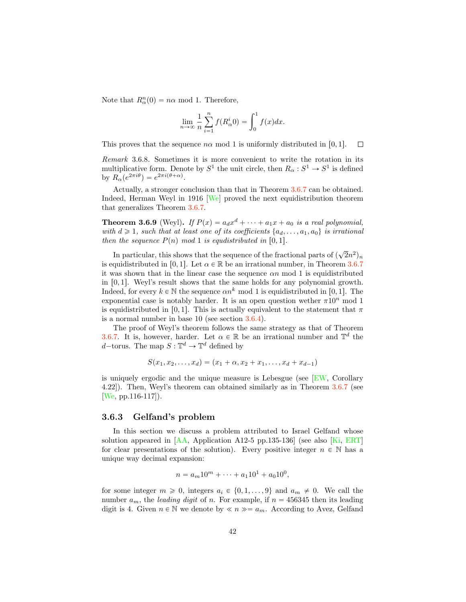<span id="page-42-0"></span>Note that  $R^n_\alpha(0) = n\alpha \mod 1$ . Therefore,

$$
\lim_{n \to \infty} \frac{1}{n} \sum_{i=1}^{n} f(R_{\alpha}^{i} 0) = \int_{0}^{1} f(x) dx.
$$

This proves that the sequence  $n\alpha$  mod 1 is uniformly distributed in [0, 1].  $\Box$ 

*Remark* 3.6.8*.* Sometimes it is more convenient to write the rotation in its multiplicative form. Denote by  $S^1$  the unit circle, then  $R_{\alpha}: S^1 \to S^1$  is defined by  $R_{\alpha}(e^{2\pi i \theta}) = e^{2\pi i (\theta + \alpha)}$ .

Actually, a stronger conclusion than that in Theorem [3.6.7](#page-41-0) can be obtained. Indeed, Herman Weyl in 1916 [\[We\]](#page-67-6) proved the next equidistribution theorem that generalizes Theorem [3.6.7.](#page-41-0)

**Theorem 3.6.9** (Weyl). *If*  $P(x) = a_d x^d + \cdots + a_1 x + a_0$  *is a real polynomial, with*  $d \geq 1$ *, such that at least one of its coefficients*  $\{a_d, \ldots, a_1, a_0\}$  *is irrational then the sequence*  $P(n)$  *mod* 1 *is equdistributed in* [0, 1].

In particular, this shows that the sequence of the fractional parts of  $(\sqrt{2}n^2)_n$ is equidistributed in [0, 1]. Let  $\alpha \in \mathbb{R}$  be an irrational number, in Theorem [3.6.7](#page-41-0) it was shown that in the linear case the sequence α*n* mod 1 is equidistributed in  $[0, 1]$ . Weyl's result shows that the same holds for any polynomial growth. Indeed, for every  $k \in \mathbb{N}$  the sequence  $\alpha n^k \mod 1$  is equidistributed in [0, 1]. The exponential case is notably harder. It is an open question wether  $\pi 10^n$  mod 1 is equidistributed in [0, 1]. This is actually equivalent to the statement that  $\pi$ is a normal number in base 10 (see section [3.6.4\)](#page-44-0).

The proof of Weyl's theorem follows the same strategy as that of Theorem [3.6.7.](#page-41-0) It is, however, harder. Let  $\alpha \in \mathbb{R}$  be an irrational number and  $\mathbb{T}^d$  the *d*—torus. The map  $S : \mathbb{T}^d \to \mathbb{T}^d$  defined by

$$
S(x_1, x_2, \dots, x_d) = (x_1 + \alpha, x_2 + x_1, \dots, x_d + x_{d-1})
$$

is uniquely ergodic and the unique measure is Lebesgue (see [\[EW,](#page-64-5) Corollary 4.22]). Then, Weyl's theorem can obtained similarly as in Theorem [3.6.7](#page-41-0) (see [\[We,](#page-67-6) pp.116-117]).

#### 3.6.3 Gelfand's problem

In this section we discuss a problem attributed to Israel Gelfand whose solution appeared in [\[AA,](#page-63-3) Application A12-5 pp.135-136] (see also [\[Ki,](#page-65-9) [ERT\]](#page-64-9) for clear presentations of the solution). Every positive integer  $n \in \mathbb{N}$  has a unique way decimal expansion:

$$
n = a_m 10^m + \dots + a_1 10^1 + a_0 10^0,
$$

for some integer  $m \geq 0$ , integers  $a_i \in \{0, 1, \ldots, 9\}$  and  $a_m \neq 0$ . We call the number  $a_m$ , the *leading digit* of *n*. For example, if  $n = 456345$  then its leading digit is 4. Given  $n \in \mathbb{N}$  we denote by  $\ll n \gg a_m$ . According to Avez, Gelfand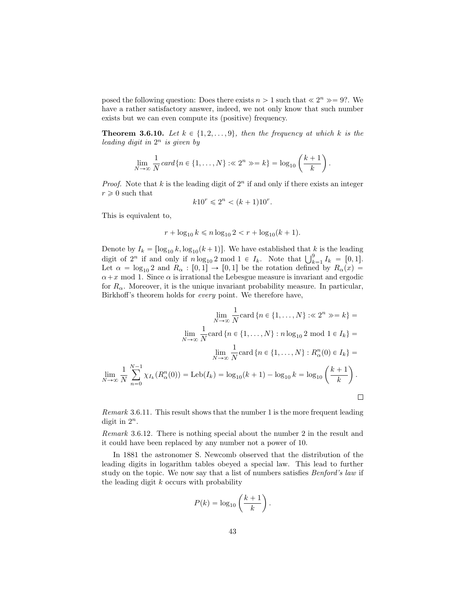posed the following question: Does there exists  $n > 1$  such that  $\ll 2^n \gg = 9$ ?. We have a rather satisfactory answer, indeed, we not only know that such number exists but we can even compute its (positive) frequency.

**Theorem 3.6.10.** Let  $k \in \{1, 2, \ldots, 9\}$ , then the frequency at which  $k$  is the *leading digit in* 2*<sup>n</sup> is given by*

$$
\lim_{N \to \infty} \frac{1}{N} \operatorname{card} \{ n \in \{1, \ldots, N\} : \ll 2^n \gg = k \} = \log_{10} \left( \frac{k+1}{k} \right).
$$

*Proof.* Note that  $k$  is the leading digit of  $2<sup>n</sup>$  if and only if there exists an integer  $r \geqslant 0$  such that

$$
k10^r \leq 2^n < (k+1)10^r.
$$

This is equivalent to,

$$
r + \log_{10} k \le n \log_{10} 2 < r + \log_{10} (k+1).
$$

Denote by  $I_k = [\log_{10} k, \log_{10}(k+1)]$ . We have established that *k* is the leading digit of  $2^n$  if and only if  $n \log_{10} 2 \mod 1 \in I_k$ . Note that  $\bigcup_{k=1}^9 I_k = [0,1]$ . Let  $\alpha = \log_{10} 2$  and  $R_{\alpha} : [0,1] \rightarrow [0,1]$  be the rotation defined by  $R_{\alpha}(x) =$  $\alpha + x$  mod 1. Since  $\alpha$  is irrational the Lebesgue measure is invariant and ergodic for  $R_{\alpha}$ . Moreover, it is the unique invariant probability measure. In particular, Birkhoff's theorem holds for *every* point. We therefore have,

$$
\lim_{N \to \infty} \frac{1}{N} \text{card} \{ n \in \{1, ..., N\} : \ll 2^n \gg = k \} =
$$
\n
$$
\lim_{N \to \infty} \frac{1}{N} \text{card} \{ n \in \{1, ..., N\} : n \log_{10} 2 \text{ mod } 1 \in I_k \} =
$$
\n
$$
\lim_{N \to \infty} \frac{1}{N} \text{card} \{ n \in \{1, ..., N\} : R_{\alpha}^n(0) \in I_k \} =
$$
\n
$$
\lim_{N \to \infty} \frac{1}{N} \sum_{n=0}^{N-1} \chi_{I_k}(R_{\alpha}^n(0)) = \text{Leb}(I_k) = \log_{10}(k+1) - \log_{10} k = \log_{10}\left(\frac{k+1}{k}\right).
$$

*Remark* 3.6.11*.* This result shows that the number 1 is the more frequent leading digit in  $2^n$ .

*Remark* 3.6.12*.* There is nothing special about the number 2 in the result and it could have been replaced by any number not a power of 10.

In 1881 the astronomer S. Newcomb observed that the distribution of the leading digits in logarithm tables obeyed a special law. This lead to further study on the topic. We now say that a list of numbers satisfies *Benford's law* if the leading digit *k* occurs with probability

$$
P(k) = \log_{10}\left(\frac{k+1}{k}\right).
$$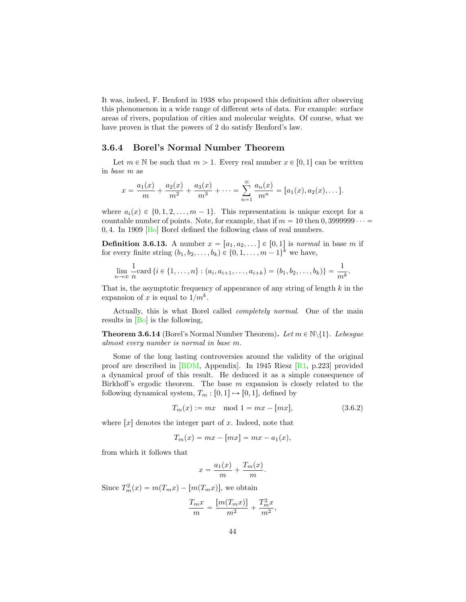<span id="page-44-1"></span>It was, indeed, F. Benford in 1938 who proposed this definition after observing this phenomenon in a wide range of different sets of data. For example: surface areas of rivers, population of cities and molecular weights. Of course, what we have proven is that the powers of 2 do satisfy Benford's law.

#### <span id="page-44-0"></span>3.6.4 Borel's Normal Number Theorem

Let  $m \in \mathbb{N}$  be such that  $m > 1$ . Every real number  $x \in [0, 1]$  can be written in *base m* as

$$
x = \frac{a_1(x)}{m} + \frac{a_2(x)}{m^2} + \frac{a_3(x)}{m^3} + \cdots = \sum_{n=1}^{\infty} \frac{a_n(x)}{m^n} = [a_1(x), a_2(x), \dots].
$$

where  $a_i(x) \in \{0, 1, 2, \ldots, m-1\}$ . This representation is unique except for a countable number of points. Note, for example, that if  $m = 10$  then  $0, 3999999 \cdots$ 0*,* 4. In 1909 [\[Bo\]](#page-64-10) Borel defined the following class of real numbers.

**Definition 3.6.13.** A number  $x = [a_1, a_2, \dots] \in [0, 1]$  is *normal* in base *m* if for every finite string  $(b_1, b_2, \ldots, b_k) \in \{0, 1, \ldots, m-1\}^k$  we have,

$$
\lim_{n \to \infty} \frac{1}{n} \text{card} \left\{ i \in \{1, \ldots, n\} : (a_i, a_{i+1}, \ldots, a_{i+k}) = (b_1, b_2, \ldots, b_k) \right\} = \frac{1}{m^k}.
$$

That is, the asymptotic frequency of appearance of any string of length *k* in the expansion of *x* is equal to  $1/m<sup>k</sup>$ .

Actually, this is what Borel called *completely normal*. One of the main results in [\[Bo\]](#page-64-10) is the following,

**Theorem 3.6.14** (Borel's Normal Number Theorem). Let  $m \in \mathbb{N}\setminus\{1\}$ . Lebesgue *almost every number is normal in base m.*

Some of the long lasting controversies around the validity of the original proof are described in  $[BDM,$  Appendix. In 1945 Riesz  $[R1, p.223]$  $[R1, p.223]$  provided a dynamical proof of this result. He deduced it as a simple consequence of Birkhoff's ergodic theorem. The base *m* expansion is closely related to the following dynamical system,  $T_m : [0,1] \mapsto [0,1]$ , defined by

$$
T_m(x) := mx \mod 1 = mx - [mx],
$$
\n(3.6.2)

where  $\lceil x \rceil$  denotes the integer part of *x*. Indeed, note that

$$
T_m(x) = mx - [mx] = mx - a_1(x),
$$

from which it follows that

$$
x = \frac{a_1(x)}{m} + \frac{T_m(x)}{m}.
$$

Since  $T_m^2(x) = m(T_m x) - [m(T_m x)]$ , we obtain

$$
\frac{T_m x}{m} = \frac{[m(T_m x)]}{m^2} + \frac{T_m^2 x}{m^2},
$$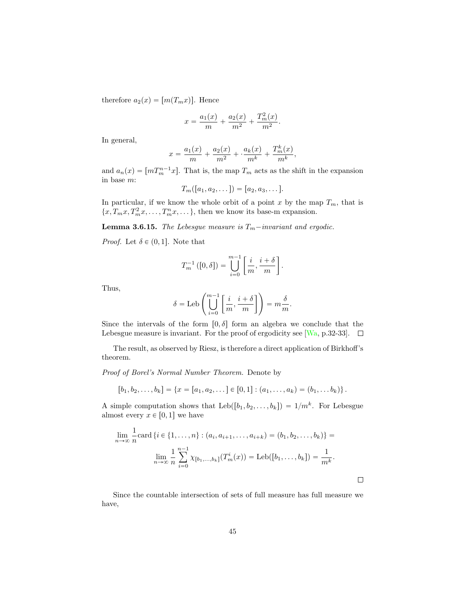<span id="page-45-0"></span>therefore  $a_2(x) = [m(T_m x)]$ . Hence

$$
x = \frac{a_1(x)}{m} + \frac{a_2(x)}{m^2} + \frac{T_m^2(x)}{m^2}.
$$

In general,

$$
x = \frac{a_1(x)}{m} + \frac{a_2(x)}{m^2} + \frac{a_k(x)}{m^k} + \frac{T_m^k(x)}{m^k},
$$

and  $a_n(x) = [mT_m^{n-1}x]$ . That is, the map  $T_m$  acts as the shift in the expansion in base *m*:

$$
T_m([a_1, a_2, \dots]) = [a_2, a_3, \dots].
$$

In particular, if we know the whole orbit of a point  $x$  by the map  $T_m$ , that is  $\{x, T_m x, T_m^2 x, \ldots, T_m^n x, \ldots\}$ , then we know its base-m expansion.

**Lemma 3.6.15.** *The Lebesgue measure is*  $T_m$ *-invariant and ergodic.* 

*Proof.* Let  $\delta \in (0,1]$ . Note that

$$
T_m^{-1}([0,\delta]) = \bigcup_{i=0}^{m-1} \left[ \frac{i}{m}, \frac{i+\delta}{m} \right].
$$

Thus,

$$
\delta = \text{Leb}\left(\bigcup_{i=0}^{m-1} \left[\frac{i}{m}, \frac{i+\delta}{m}\right]\right) = m\frac{\delta}{m}.
$$

Since the intervals of the form  $[0, \delta]$  form an algebra we conclude that the Lebesgue measure is invariant. For the proof of ergodicity see [\[Wa,](#page-67-1) p.32-33].  $\Box$ 

The result, as observed by Riesz, is therefore a direct application of Birkhoff's theorem.

*Proof of Borel's Normal Number Theorem.* Denote by

$$
[b_1, b_2, \ldots, b_k] = \{x = [a_1, a_2, \ldots] \in [0, 1] : (a_1, \ldots, a_k) = (b_1, \ldots, b_k)\}.
$$

A simple computation shows that  $\text{Leb}([b_1, b_2, \ldots, b_k]) = 1/m^k$ . For Lebesgue almost every  $x \in [0, 1]$  we have

$$
\lim_{n \to \infty} \frac{1}{n} \text{card} \left\{ i \in \{1, \dots, n\} : (a_i, a_{i+1}, \dots, a_{i+k}) = (b_1, b_2, \dots, b_k) \right\} =
$$
\n
$$
\lim_{n \to \infty} \frac{1}{n} \sum_{i=0}^{n-1} \chi_{[b_1, \dots, b_k]}(T_m^i(x)) = \text{Leb}([b_1, \dots, b_k]) = \frac{1}{m^k}.
$$

 $\Box$ 

Since the countable intersection of sets of full measure has full measure we have,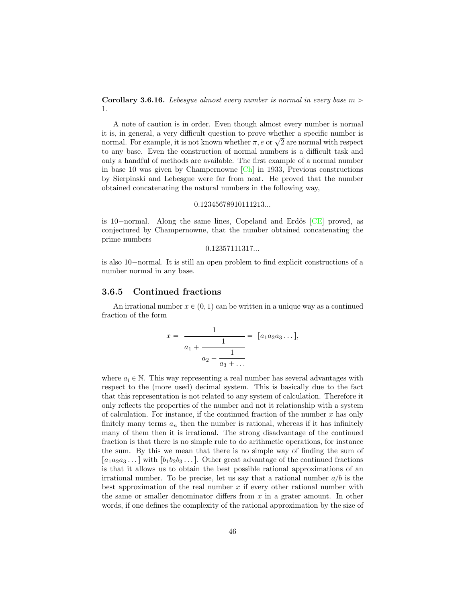<span id="page-46-0"></span>**Corollary 3.6.16.** *Lebesque almost every number is normal in every base*  $m >$ 1*.*

A note of caution is in order. Even though almost every number is normal it is, in general, a very difficult question to prove whether a specific number is normal. For example, it is not known whether  $\pi$ ,  $e$  or  $\sqrt{2}$  are normal with respect to any base. Even the construction of normal numbers is a difficult task and only a handful of methods are available. The first example of a normal number in base 10 was given by Champernowne [\[Ch\]](#page-64-11) in 1933, Previous constructions by Sierpinski and Lebesgue were far from neat. He proved that the number obtained concatenating the natural numbers in the following way,

#### 0*.*12345678910111213*...*

is 10-normal. Along the same lines, Copeland and Erdös  $[CE]$  proved, as conjectured by Champernowne, that the number obtained concatenating the prime numbers

0*.*12357111317*...*

is also 10–normal. It is still an open problem to find explicit constructions of a number normal in any base.

#### 3.6.5 Continued fractions

An irrational number  $x \in (0, 1)$  can be written in a unique way as a continued fraction of the form

$$
x = \frac{1}{a_1 + \frac{1}{a_2 + \frac{1}{a_3 + \dots}}} = [a_1 a_2 a_3 \dots],
$$

where  $a_i \in \mathbb{N}$ . This way representing a real number has several advantages with respect to the (more used) decimal system. This is basically due to the fact that this representation is not related to any system of calculation. Therefore it only reflects the properties of the number and not it relationship with a system of calculation. For instance, if the continued fraction of the number *x* has only finitely many terms  $a_n$  then the number is rational, whereas if it has infinitely many of them then it is irrational. The strong disadvantage of the continued fraction is that there is no simple rule to do arithmetic operations, for instance the sum. By this we mean that there is no simple way of finding the sum of  $[a_1a_2a_3\ldots]$  with  $[b_1b_2b_3\ldots]$ . Other great advantage of the continued fractions is that it allows us to obtain the best possible rational approximations of an irrational number. To be precise, let us say that a rational number  $a/b$  is the best approximation of the real number *x* if every other rational number with the same or smaller denominator differs from *x* in a grater amount. In other words, if one defines the complexity of the rational approximation by the size of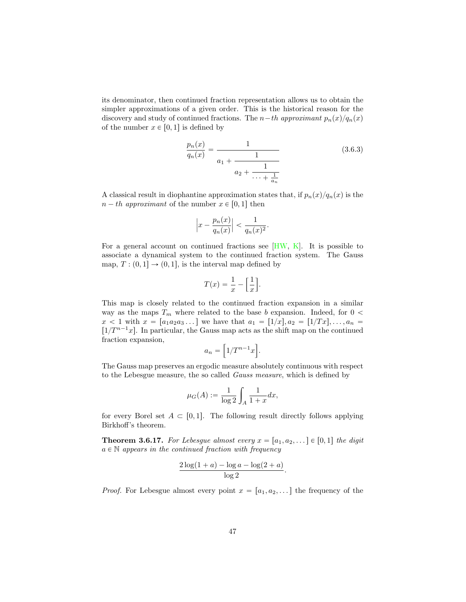<span id="page-47-0"></span>its denominator, then continued fraction representation allows us to obtain the simpler approximations of a given order. This is the historical reason for the discovery and study of continued fractions. The *n* $t$ *h approximant*  $p_n(x)/q_n(x)$ of the number  $x \in [0, 1]$  is defined by

$$
\frac{p_n(x)}{q_n(x)} = \frac{1}{a_1 + \frac{1}{\cdots + \frac{1}{a_n}}}
$$
(3.6.3)

A classical result in diophantine approximation states that, if  $p_n(x)/q_n(x)$  is the  $n - th$  *approximant* of the number  $x \in [0, 1]$  then

$$
\left|x - \frac{p_n(x)}{q_n(x)}\right| < \frac{1}{q_n(x)^2}.
$$

For a general account on continued fractions see [\[HW,](#page-65-10) [K\]](#page-65-11). It is possible to associate a dynamical system to the continued fraction system. The Gauss map,  $T : (0,1] \rightarrow (0,1]$ , is the interval map defined by

$$
T(x) = \frac{1}{x} - \left[\frac{1}{x}\right].
$$

This map is closely related to the continued fraction expansion in a similar way as the maps  $T_m$  where related to the base *b* expansion. Indeed, for  $0 <$  $x < 1$  with  $x = [a_1a_2a_3 \dots]$  we have that  $a_1 = [1/x], a_2 = [1/Tx], \dots, a_n =$  $\left[1/T^{n-1}x\right]$ . In particular, the Gauss map acts as the shift map on the continued fraction expansion,

$$
a_n = \left[1/T^{n-1}x\right].
$$

The Gauss map preserves an ergodic measure absolutely continuous with respect to the Lebesgue measure, the so called *Gauss measure*, which is defined by

$$
\mu_G(A) := \frac{1}{\log 2} \int_A \frac{1}{1+x} dx,
$$

for every Borel set  $A \subset [0,1]$ . The following result directly follows applying Birkhoff's theorem.

**Theorem 3.6.17.** For Lebesgue almost every  $x = [a_1, a_2, \dots] \in [0,1]$  the digit  $a \in \mathbb{N}$  *appears in the continued fraction with frequency* 

$$
\frac{2\log(1+a)-\log a-\log(2+a)}{\log 2}.
$$

*Proof.* For Lebesgue almost every point  $x = [a_1, a_2, \dots]$  the frequency of the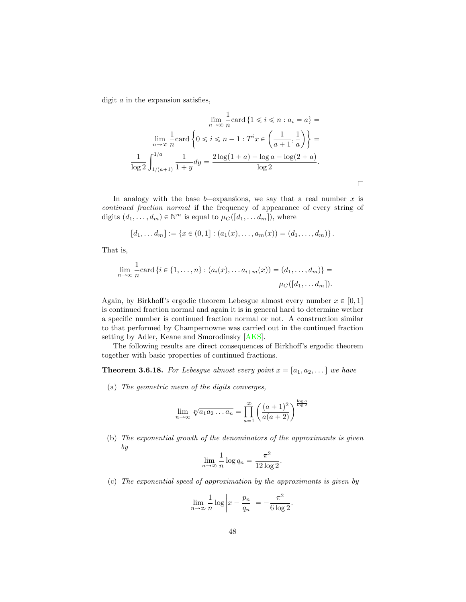<span id="page-48-1"></span>digit *a* in the expansion satisfies,

$$
\lim_{n \to \infty} \frac{1}{n} \text{card} \left\{ 1 \leq i \leq n : a_i = a \right\} =
$$

$$
\lim_{n \to \infty} \frac{1}{n} \text{card} \left\{ 0 \leq i \leq n - 1 : T^i x \in \left( \frac{1}{a+1}, \frac{1}{a} \right) \right\} =
$$

$$
\frac{1}{\log 2} \int_{1/(a+1)}^{1/a} \frac{1}{1+y} dy = \frac{2 \log(1+a) - \log a - \log(2+a)}{\log 2}.
$$

In analogy with the base  $b$ <sup>-</sup>expansions, we say that a real number  $x$  is *continued fraction normal* if the frequency of appearance of every string of digits  $(d_1, \ldots, d_m) \in \mathbb{N}^m$  is equal to  $\mu_G([d_1, \ldots, d_m])$ , where

 $\Box$ 

$$
[d_1, \ldots, d_m] := \{ x \in (0,1] : (a_1(x), \ldots, a_m(x)) = (d_1, \ldots, d_m) \}.
$$

That is,

$$
\lim_{n \to \infty} \frac{1}{n} \text{card} \{ i \in \{1, ..., n\} : (a_i(x), \dots a_{i+m}(x)) = (d_1, \dots, d_m) \} = \mu_G([d_1, \dots, d_m]).
$$

Again, by Birkhoff's ergodic theorem Lebesgue almost every number  $x \in [0,1]$ is continued fraction normal and again it is in general hard to determine wether a specific number is continued fraction normal or not. A construction similar to that performed by Champernowne was carried out in the continued fraction setting by Adler, Keane and Smorodinsky [\[AKS\]](#page-63-5).

The following results are direct consequences of Birkhoff's ergodic theorem together with basic properties of continued fractions.

<span id="page-48-0"></span>**Theorem 3.6.18.** For Lebesgue almost every point  $x = [a_1, a_2, \dots]$  we have

(a) *The geometric mean of the digits converges,*

$$
\lim_{n \to \infty} \sqrt[n]{a_1 a_2 \dots a_n} = \prod_{a=1}^{\infty} \left( \frac{(a+1)^2}{a(a+2)} \right)^{\frac{\log a}{\log 2}}
$$

(b) *The exponential growth of the denominators of the approximants is given by*

$$
\lim_{n \to \infty} \frac{1}{n} \log q_n = \frac{\pi^2}{12 \log 2}.
$$

(c) *The exponential speed of approximation by the approximants is given by*

$$
\lim_{n \to \infty} \frac{1}{n} \log \left| x - \frac{p_n}{q_n} \right| = -\frac{\pi^2}{6 \log 2}.
$$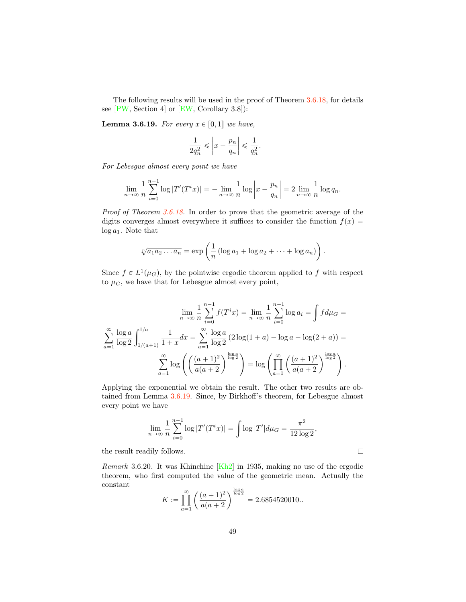<span id="page-49-1"></span>The following results will be used in the proof of Theorem [3.6.18,](#page-48-0) for details see  $[PW, Section 4]$  $[PW, Section 4]$  or  $[EW, Corollary 3.8]$  $[EW, Corollary 3.8]$ :

*.*

<span id="page-49-0"></span>**Lemma 3.6.19.** *For every*  $x \in [0,1]$  *we have,* 

$$
\frac{1}{2q_n^2} \leqslant \left|x - \frac{p_n}{q_n}\right| \leqslant \frac{1}{q_n^2}
$$

*For Lebesgue almost every point we have*

$$
\lim_{n \to \infty} \frac{1}{n} \sum_{i=0}^{n-1} \log |T'(T^i x)| = - \lim_{n \to \infty} \frac{1}{n} \log \left| x - \frac{p_n}{q_n} \right| = 2 \lim_{n \to \infty} \frac{1}{n} \log q_n.
$$

*Proof of Theorem [3.6.18.](#page-48-0)* In order to prove that the geometric average of the digits converges almost everywhere it suffices to consider the function  $f(x)$  = log *a*1. Note that

$$
\sqrt[n]{a_1 a_2 \dots a_n} = \exp\left(\frac{1}{n} \left(\log a_1 + \log a_2 + \dots + \log a_n\right)\right).
$$

Since  $f \in L^1(\mu_G)$ , by the pointwise ergodic theorem applied to f with respect to  $\mu$ <sup>*G*</sup>, we have that for Lebesgue almost every point,

$$
\lim_{n \to \infty} \frac{1}{n} \sum_{i=0}^{n-1} f(T^i x) = \lim_{n \to \infty} \frac{1}{n} \sum_{i=0}^{n-1} \log a_i = \int f d\mu_G =
$$

$$
\sum_{a=1}^{\infty} \frac{\log a}{\log 2} \int_{1/(a+1)}^{1/a} \frac{1}{1+x} dx = \sum_{a=1}^{\infty} \frac{\log a}{\log 2} (2 \log(1+a) - \log a - \log(2+a)) =
$$

$$
\sum_{a=1}^{\infty} \log \left( \left( \frac{(a+1)^2}{a(a+2)} \right)^{\frac{\log a}{\log 2}} \right) = \log \left( \prod_{a=1}^{\infty} \left( \frac{(a+1)^2}{a(a+2)} \right)^{\frac{\log a}{\log 2}} \right).
$$

Applying the exponential we obtain the result. The other two results are obtained from Lemma [3.6.19.](#page-49-0) Since, by Birkhoff's theorem, for Lebesgue almost every point we have

$$
\lim_{n \to \infty} \frac{1}{n} \sum_{i=0}^{n-1} \log |T'(T^i x)| = \int \log |T'| d\mu_G = \frac{\pi^2}{12 \log 2},
$$

 $\Box$ 

the result readily follows.

*Remark* 3.6.20*.* It was Khinchine [\[Kh2\]](#page-65-12) in 1935, making no use of the ergodic theorem, who first computed the value of the geometric mean. Actually the constant

$$
K := \prod_{a=1}^{\infty} \left( \frac{(a+1)^2}{a(a+2)} \right)^{\frac{\log a}{\log 2}} = 2.6854520010...
$$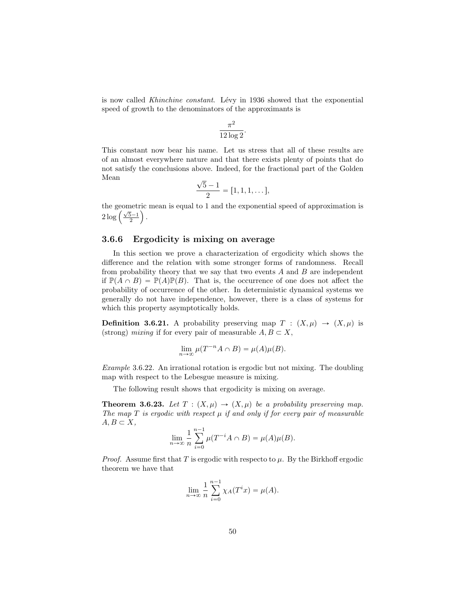is now called *Khinchine constant*. Lévy in 1936 showed that the exponential speed of growth to the denominators of the approximants is

$$
\frac{\pi^2}{12\log 2}.
$$

This constant now bear his name. Let us stress that all of these results are of an almost everywhere nature and that there exists plenty of points that do not satisfy the conclusions above. Indeed, for the fractional part of the Golden Mean

$$
\frac{\sqrt{5}-1}{2} = [1, 1, 1, \dots],
$$

the geometric mean is equal to 1 and the exponential speed of approximation is  $2\log\left(\frac{\sqrt{5}-1}{2}\right)$ ¯ *.*

## 3.6.6 Ergodicity is mixing on average

In this section we prove a characterization of ergodicity which shows the difference and the relation with some stronger forms of randomness. Recall from probability theory that we say that two events *A* and *B* are independent if  $\mathbb{P}(A \cap B) = \mathbb{P}(A)\mathbb{P}(B)$ . That is, the occurrence of one does not affect the probability of occurrence of the other. In deterministic dynamical systems we generally do not have independence, however, there is a class of systems for which this property asymptotically holds.

**Definition 3.6.21.** A probability preserving map  $T : (X, \mu) \rightarrow (X, \mu)$  is (strong) *mixing* if for every pair of measurable  $A, B \subset X$ ,

$$
\lim_{n \to \infty} \mu(T^{-n}A \cap B) = \mu(A)\mu(B).
$$

*Example* 3.6.22*.* An irrational rotation is ergodic but not mixing. The doubling map with respect to the Lebesgue measure is mixing.

The following result shows that ergodicity is mixing on average.

**Theorem 3.6.23.** Let  $T : (X, \mu) \to (X, \mu)$  be a probability preserving map. *The map*  $T$  *is ergodic with respect*  $\mu$  *if and only if for every pair of measurable*  $A, B \subset X$ ,

$$
\lim_{n \to \infty} \frac{1}{n} \sum_{i=0}^{n-1} \mu(T^{-i}A \cap B) = \mu(A)\mu(B).
$$

*Proof.* Assume first that *T* is ergodic with respecto to  $\mu$ . By the Birkhoff ergodic theorem we have that

$$
\lim_{n \to \infty} \frac{1}{n} \sum_{i=0}^{n-1} \chi_A(T^i x) = \mu(A).
$$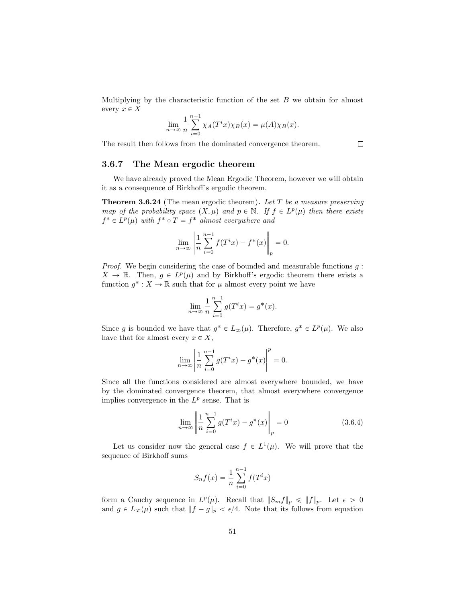Multiplying by the characteristic function of the set *B* we obtain for almost every  $x \in X$ 

$$
\lim_{n \to \infty} \frac{1}{n} \sum_{i=0}^{n-1} \chi_A(T^i x) \chi_B(x) = \mu(A) \chi_B(x).
$$

 $\Box$ 

The result then follows from the dominated convergence theorem.

3.6.7 The Mean ergodic theorem

We have already proved the Mean Ergodic Theorem, however we will obtain it as a consequence of Birkhoff's ergodic theorem.

Theorem 3.6.24 (The mean ergodic theorem). *Let T be a measure preserving map of the probability space*  $(X, \mu)$  *and*  $p \in \mathbb{N}$ *. If*  $f \in L^p(\mu)$  *then there exists*  $f^* \in L^p(\mu)$  *with*  $f^* \circ T = f^*$  *almost everywhere and* 

$$
\lim_{n \to \infty} \left\| \frac{1}{n} \sum_{i=0}^{n-1} f(T^i x) - f^*(x) \right\|_p = 0.
$$

*Proof.* We begin considering the case of bounded and measurable functions *g* :  $X \to \mathbb{R}$ . Then,  $g \in L^p(\mu)$  and by Birkhoff's ergodic theorem there exists a function  $g^*: X \to \mathbb{R}$  such that for  $\mu$  almost every point we have

$$
\lim_{n \to \infty} \frac{1}{n} \sum_{i=0}^{n-1} g(T^i x) = g^*(x).
$$

Since *g* is bounded we have that  $g^* \in L_{\infty}(\mu)$ . Therefore,  $g^* \in L^p(\mu)$ . We also have that for almost every  $x \in X$ ,

$$
\lim_{n \to \infty} \left| \frac{1}{n} \sum_{i=0}^{n-1} g(T^i x) - g^*(x) \right|^p = 0.
$$

Since all the functions considered are almost everywhere bounded, we have by the dominated convergence theorem, that almost everywhere convergence implies convergence in the  $L^p$  sense. That is

<span id="page-51-0"></span>
$$
\lim_{n \to \infty} \left\| \frac{1}{n} \sum_{i=0}^{n-1} g(T^i x) - g^*(x) \right\|_p = 0
$$
\n(3.6.4)

Let us consider now the general case  $f \in L^1(\mu)$ . We will prove that the sequence of Birkhoff sums

$$
S_n f(x) = \frac{1}{n} \sum_{i=0}^{n-1} f(T^i x)
$$

form a Cauchy sequence in  $L^p(\mu)$ . Recall that  $||S_m f||_p \le ||f||_p$ . Let  $\epsilon > 0$ and  $g \in L_{\infty}(\mu)$  such that  $||f - g||_p < \epsilon/4$ . Note that its follows from equation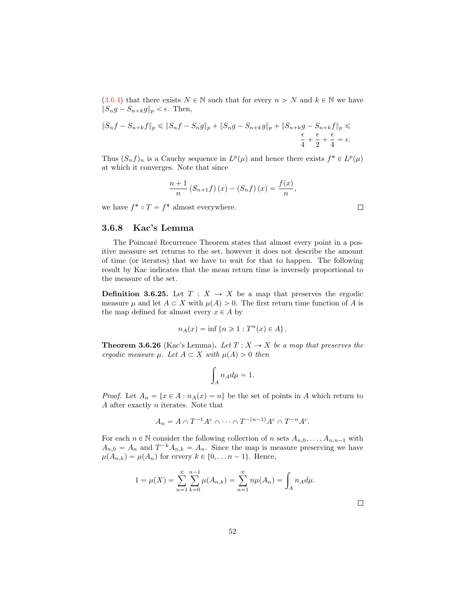[\(3.6.4\)](#page-51-0) that there exists  $N \in \mathbb{N}$  such that for every  $n > N$  and  $k \in \mathbb{N}$  we have  $||S_n g - S_{n+k} g||_p < \epsilon$ . Then,

$$
\|S_nf-S_{n+k}f\|_p\leqslant \|S_nf-S_ng\|_p+\|S_ng-S_{n+k}g\|_p+\|S_{n+k}g-S_{n+k}f\|_p\leqslant\frac{\epsilon}{4}+\frac{\epsilon}{2}+\frac{\epsilon}{4}=\epsilon.
$$

Thus  $(S_n f)_n$  is a Cauchy sequence in  $L^p(\mu)$  and hence there exists  $f^* \in L^p(\mu)$ at which it converges. Note that since

$$
\frac{n+1}{n} (S_{n+1}f)(x) - (S_n f)(x) = \frac{f(x)}{n},
$$

we have  $f^* \circ T = f^*$  almost everywhere.

### 3.6.8 Kac's Lemma

The Poincaré Recurrence Theorem states that almost every point in a positive measure set returns to the set, however it does not describe the amount of time (or iterates) that we have to wait for that to happen. The following result by Kac indicates that the mean return time is inversely proportional to the measure of the set.

**Definition 3.6.25.** Let  $T : X \rightarrow X$  be a map that preserves the ergodic measure  $\mu$  and let  $A \subset X$  with  $\mu(A) > 0$ . The first return time function of A is the map defined for almost every  $x \in A$  by

$$
n_A(x) = \inf \left\{ n \geq 1 : T^n(x) \in A \right\}.
$$

**Theorem 3.6.26** (Kac's Lemma). Let  $T: X \to X$  be a map that preserves the *ergodic measure*  $\mu$ *. Let*  $A \subset X$  *with*  $\mu(A) > 0$  *then* 

$$
\int_A n_A d\mu = 1.
$$

*Proof.* Let  $A_n = \{x \in A : n_A(x) = n\}$  be the set of points in *A* which return to *A* after exactly *n* iterates. Note that

$$
A_n = A \cap T^{-1}A^c \cap \dots \cap T^{-(n-1)}A^c \cap T^{-n}A^c.
$$

For each  $n \in \mathbb{N}$  consider the following collection of *n* sets  $A_{n,0}, \ldots, A_{n,n-1}$  with  $A_{n,0} = A_n$  and  $T^{-k}A_{n,k} = A_n$ . Since the map is measure preserving we have  $\mu(A_{n,k}) = \mu(A_n)$  for ervery  $k \in \{0, ..., n-1\}$ . Hence,

$$
1 = \mu(X) = \sum_{n=1}^{\infty} \sum_{k=0}^{n-1} \mu(A_{n,k}) = \sum_{n=1}^{\infty} n\mu(A_n) = \int_A n_A d\mu.
$$

 $\Box$ 

 $\Box$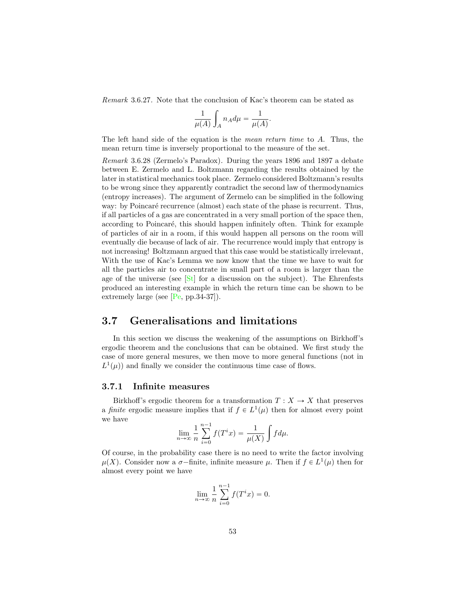<span id="page-53-1"></span>*Remark* 3.6.27*.* Note that the conclusion of Kac's theorem can be stated as

$$
\frac{1}{\mu(A)}\int_A n_A d\mu = \frac{1}{\mu(A)}
$$

*.*

The left hand side of the equation is the *mean return time* to *A*. Thus, the mean return time is inversely proportional to the measure of the set.

*Remark* 3.6.28 (Zermelo's Paradox)*.* During the years 1896 and 1897 a debate between E. Zermelo and L. Boltzmann regarding the results obtained by the later in statistical mechanics took place. Zermelo considered Boltzmann's results to be wrong since they apparently contradict the second law of thermodynamics (entropy increases). The argument of Zermelo can be simplified in the following way: by Poincaré recurrence (almost) each state of the phase is recurrent. Thus, if all particles of a gas are concentrated in a very small portion of the space then, according to Poincaré, this should happen infinitely often. Think for example of particles of air in a room, if this would happen all persons on the room will eventually die because of lack of air. The recurrence would imply that entropy is not increasing! Boltzmann argued that this case would be statistically irrelevant, With the use of Kac's Lemma we now know that the time we have to wait for all the particles air to concentrate in small part of a room is larger than the age of the universe (see  $\lceil \mathsf{St} \rceil$  for a discussion on the subject). The Ehrenfests produced an interesting example in which the return time can be shown to be extremely large (see  $[Pe, pp.34-37]$  $[Pe, pp.34-37]$ ).

# <span id="page-53-0"></span>3.7 Generalisations and limitations

In this section we discuss the weakening of the assumptions on Birkhoff's ergodic theorem and the conclusions that can be obtained. We first study the case of more general mesures, we then move to more general functions (not in  $L^1(\mu)$  and finally we consider the continuous time case of flows.

#### 3.7.1 Infinite measures

Birkhoff's ergodic theorem for a transformation  $T : X \to X$  that preserves a *finite* ergodic measure implies that if  $f \in L^1(\mu)$  then for almost every point we have

$$
\lim_{n \to \infty} \frac{1}{n} \sum_{i=0}^{n-1} f(T^i x) = \frac{1}{\mu(X)} \int f d\mu.
$$

Of course, in the probability case there is no need to write the factor involving  $\mu(X)$ . Consider now a  $\sigma$ -finite, infinite measure  $\mu$ . Then if  $f \in L^1(\mu)$  then for almost every point we have

$$
\lim_{n \to \infty} \frac{1}{n} \sum_{i=0}^{n-1} f(T^i x) = 0.
$$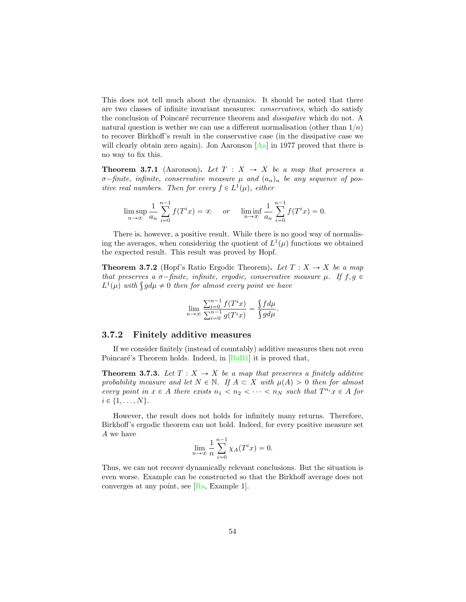<span id="page-54-0"></span>This does not tell much about the dynamics. It should be noted that there are two classes of infinite invariant measures: *conservatives*, which do satisfy the conclusion of Poincaré recurrence theorem and *dissipative* which do not. A natural question is wether we can use a different normalisation (other than  $1/n$ ) to recover Birkhoff's result in the conservative case (in the dissipative case we will clearly obtain zero again). Jon Aaronson [\[Aa\]](#page-63-7) in 1977 proved that there is no way to fix this.

**Theorem 3.7.1** (Aaronson). Let  $T : X \rightarrow X$  be a map that preserves a  $\sigma$ -finite, infinite, conservative measure  $\mu$  and  $(a_n)_n$  be any sequence of pos*itive real numbers. Then for every*  $f \in L^1(\mu)$ *, either* 

$$
\limsup_{n \to \infty} \frac{1}{a_n} \sum_{i=0}^{n-1} f(T^i x) = \infty \quad or \quad \liminf_{n \to \infty} \frac{1}{a_n} \sum_{i=0}^{n-1} f(T^i x) = 0.
$$

There is, however, a positive result. While there is no good way of normalising the averages, when considering the quotient of  $L^1(\mu)$  functions we obtained the expected result. This result was proved by Hopf.

**Theorem 3.7.2** (Hopf's Ratio Ergodic Theorem). Let  $T : X \to X$  be a map *that preserves a*  $\sigma$ -finite, infinite, ergodic, conservative measure  $\mu$ *. If*  $f, g \in$  $L^1(\mu)$  *with*  $\int g d\mu \neq 0$  *then for almost every point we have* 

$$
\lim_{n \to \infty} \frac{\sum_{i=0}^{n-1} f(T^i x)}{\sum_{i=0}^{n-1} g(T^i x)} = \frac{\int f d\mu}{\int g d\mu}.
$$

#### 3.7.2 Finitely additive measures

If we consider finitely (instead of countably) additive measures then not even Poincaré's Theorem holds. Indeed, in  $[BaB1]$  it is proved that,

**Theorem 3.7.3.** Let  $T: X \rightarrow X$  be a map that preserves a finitely additive *probability measure and let*  $N \in \mathbb{N}$ *. If*  $A \subset X$  *with*  $\mu(A) > 0$  *then for almost every point in*  $x \in A$  *there exists*  $n_1 < n_2 < \cdots < n_N$  *such that*  $T^{n_i}x \in A$  *for*  $i \in \{1, \ldots, N\}.$ 

However, the result does not holds for infinitely many returns. Therefore, Birkhoff's ergodic theorem can not hold. Indeed, for every positive measure set *A* we have

$$
\lim_{n \to \infty} \frac{1}{n} \sum_{i=0}^{n-1} \chi_A(T^i x) = 0.
$$

Thus, we can not recover dynamically relevant conclusions. But the situation is even worse. Example can be constructed so that the Birkhoff average does not converges at any point, see [\[Ra,](#page-66-12) Example 1].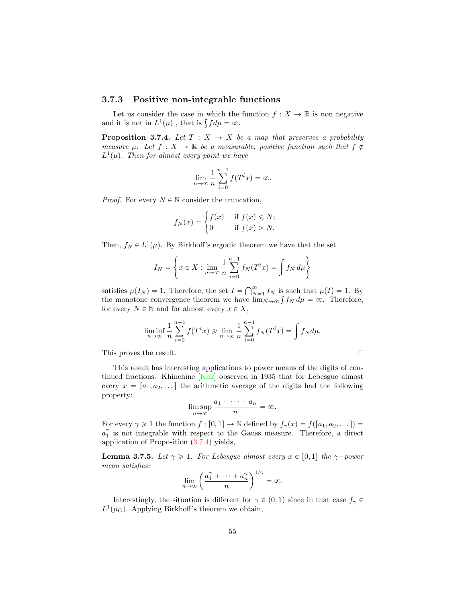# <span id="page-55-1"></span>3.7.3 Positive non-integrable functions

Let us consider the case in which the function  $f: X \to \mathbb{R}$  is non negative and it is not in  $L^1(\mu)$ , that is  $\int f d\mu = \infty$ .

<span id="page-55-0"></span>**Proposition 3.7.4.** Let  $T : X \rightarrow X$  be a map that preserves a probability *measure*  $\mu$ *. Let*  $f : X \to \mathbb{R}$  *be a measurable, positive function such that*  $f \notin$  $L^1(\mu)$ *. Then for almost every point we have* 

$$
\lim_{n \to \infty} \frac{1}{n} \sum_{i=0}^{n-1} f(T^i x) = \infty.
$$

*Proof.* For every  $N \in \mathbb{N}$  consider the truncation,

$$
f_N(x) = \begin{cases} f(x) & \text{if } f(x) \le N; \\ 0 & \text{if } f(x) > N. \end{cases}
$$

Then,  $f_N \in L^1(\mu)$ . By Birkhoff's ergodic theorem we have that the set

$$
I_N = \left\{ x \in X : \lim_{n \to \infty} \frac{1}{n} \sum_{i=0}^{n-1} f_N(T^i x) = \int f_N d\mu \right\}
$$

satisfies  $\mu(I_N) = 1$ . Therefore, the set  $I = \bigcap_{N=1}^{\infty} I_N$  is such that  $\mu(I) = 1$ . By the monotone convergence theorem we have  $\lim_{N\to\infty} \int f_N d\mu = \infty$ . Therefore, for every  $N \in \mathbb{N}$  and for almost every  $x \in X$ ,

$$
\liminf_{n \to \infty} \frac{1}{n} \sum_{i=0}^{n-1} f(T^i x) \ge \lim_{n \to \infty} \frac{1}{n} \sum_{i=0}^{n-1} f_N(T^i x) = \int f_N d\mu.
$$

 $\Box$ 

This proves the result.

This result has interesting applications to power means of the digits of continued fractions. Khinchine [\[Kh2\]](#page-65-12) observed in 1935 that for Lebesgue almost every  $x = [a_1, a_2, \dots]$  the arithmetic average of the digits had the following property:

$$
\limsup_{n \to \infty} \frac{a_1 + \dots + a_n}{n} = \infty.
$$

For every  $\gamma \geq 1$  the function  $f : [0,1] \to \mathbb{N}$  defined by  $f_{\gamma}(x) = f([a_1, a_2, \dots]) =$  $a_1^{\gamma}$  is not integrable with respect to the Gauss measure. Therefore, a direct application of Proposition [\(3.7.4\)](#page-55-0) yields,

**Lemma 3.7.5.** *Let*  $\gamma \geq 1$ *. For Lebesgue almost every*  $x \in [0,1]$  *the*  $\gamma$ *-power mean satisfies:*

$$
\lim_{n\to\infty}\left(\frac{a_1^{\gamma}+\cdots+a_n^{\gamma}}{n}\right)^{1/\gamma}=\infty.
$$

Interestingly, the situation is different for  $\gamma \in (0,1)$  since in that case  $f_{\gamma} \in$  $L^1(\mu_G)$ . Applying Birkhoff's theorem we obtain,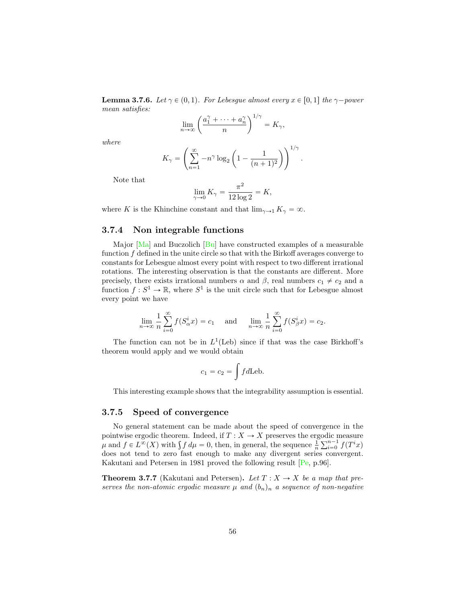<span id="page-56-0"></span>**Lemma 3.7.6.** *Let*  $\gamma \in (0,1)$ *. For Lebesgue almost every*  $x \in [0,1]$  *the*  $\gamma$ *-power mean satisfies:*

$$
\lim_{n\to\infty}\left(\frac{a_1^{\gamma}+\cdots+a_n^{\gamma}}{n}\right)^{1/\gamma}=K_{\gamma},
$$

*where*

$$
K_{\gamma} = \left(\sum_{n=1}^{\infty} -n^{\gamma} \log_2 \left(1 - \frac{1}{(n+1)^2}\right)\right)^{1/\gamma}.
$$

Note that

$$
\lim_{\gamma \to 0} K_{\gamma} = \frac{\pi^2}{12 \log 2} = K,
$$

where *K* is the Khinchine constant and that  $\lim_{\gamma \to 1} K_{\gamma} = \infty$ .

# 3.7.4 Non integrable functions

Major  $[Ma]$  and Buczolich  $[Bu]$  have constructed examples of a measurable function *f* defined in the unite circle so that with the Birkoff averages converge to constants for Lebesgue almost every point with respect to two different irrational rotations. The interesting observation is that the constants are different. More precisely, there exists irrational numbers  $\alpha$  and  $\beta$ , real numbers  $c_1 \neq c_2$  and a function  $f: S^1 \to \mathbb{R}$ , where  $S^1$  is the unit circle such that for Lebesgue almost every point we have

$$
\lim_{n \to \infty} \frac{1}{n} \sum_{i=0}^{\infty} f(S_{\alpha}^{i} x) = c_1 \quad \text{and} \quad \lim_{n \to \infty} \frac{1}{n} \sum_{i=0}^{\infty} f(S_{\beta}^{i} x) = c_2.
$$

The function can not be in  $L^1$ (Leb) since if that was the case Birkhoff's theorem would apply and we would obtain

$$
c_1 = c_2 = \int f d\text{Leb}.
$$

This interesting example shows that the integrability assumption is essential.

### 3.7.5 Speed of convergence

No general statement can be made about the speed of convergence in the pointwise ergodic theorem. Indeed, if  $T : X \to X$  preserves the ergodic measure  $\mu$  and  $f \in L^{\infty}(X)$  with  $\int f d\mu = 0$ , then, in general, the sequence  $\frac{1}{n} \sum_{i=0}^{n-1} f(T^i x)$ does not tend to zero fast enough to make any divergent series convergent. Kakutani and Petersen in 1981 proved the following result [\[Pe,](#page-66-6) p.96].

**Theorem 3.7.7** (Kakutani and Petersen). Let  $T: X \rightarrow X$  be a map that pre*serves the non-atomic ergodic measure*  $\mu$  *and*  $(b_n)_n$  *a sequence of non-negative*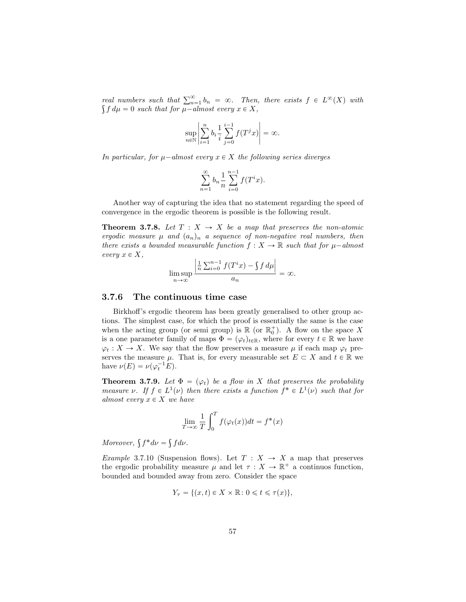*real numbers such that*  $\sum_{n=1}^{\infty} b_n = \infty$ . Then, there exists  $f \in L^{\infty}(X)$  with  $\int f d\mu = 0$  such that for  $\mu$ <sup>*a*</sup><sup>*a*</sup>*almost every*  $x \in X$ *,* 

$$
\sup_{n \in \mathbb{N}} \left| \sum_{i=1}^n b_i \frac{1}{i} \sum_{j=0}^{i-1} f(T^j x) \right| = \infty.
$$

*In particular, for*  $\mu$ <sup>*-almost every*  $x \in X$  *the following series diverges*</sup>

$$
\sum_{n=1}^{\infty} b_n \frac{1}{n} \sum_{i=0}^{n-1} f(T^i x).
$$

Another way of capturing the idea that no statement regarding the speed of convergence in the ergodic theorem is possible is the following result.

**Theorem 3.7.8.** Let  $T : X \rightarrow X$  be a map that preserves the non-atomic *ergodic measure*  $\mu$  *and*  $(a_n)_n$  *a sequence of non-negative real numbers, then there exists a bounded measurable function*  $f: X \to \mathbb{R}$  *such that for*  $\mu$ -*almost*  $every \; x \in X,$ 

$$
\limsup_{n \to \infty} \frac{\left| \frac{1}{n} \sum_{i=0}^{n-1} f(T^i x) - \int f d\mu \right|}{a_n} = \infty.
$$

## 3.7.6 The continuous time case

Birkhoff's ergodic theorem has been greatly generalised to other group actions. The simplest case, for which the proof is essentially the same is the case when the acting group (or semi group) is  $\mathbb{R}$  (or  $\mathbb{R}^+_0$ ). A flow on the space X is a one parameter family of maps  $\Phi = (\varphi_t)_{t \in \mathbb{R}}$ , where for every  $t \in \mathbb{R}$  we have  $\varphi_t : X \to X$ . We say that the flow preserves a measure  $\mu$  if each map  $\varphi_t$  preserves the measure  $\mu$ . That is, for every measurable set  $E \subset X$  and  $t \in \mathbb{R}$  we have  $\nu(E) = \nu(\varphi_t^{-1}E)$ .

**Theorem 3.7.9.** Let  $\Phi = (\varphi_t)$  be a flow in X that preserves the probability *measure*  $\nu$ . If  $f \in L^1(\nu)$  then there exists a function  $f^* \in L^1(\nu)$  such that for *almost every*  $x \in X$  *we have* 

$$
\lim_{T \to \infty} \frac{1}{T} \int_0^T f(\varphi_t(x)) dt = f^*(x)
$$

*Moreover,*  $\int f^* d\nu = \int f d\nu$ .

*Example* 3.7.10 (Suspension flows). Let  $T : X \rightarrow X$  a map that preserves the ergodic probability measure  $\mu$  and let  $\tau : X \to \mathbb{R}^+$  a continuos function, bounded and bounded away from zero. Consider the space

$$
Y_{\tau} = \{(x, t) \in X \times \mathbb{R} : 0 \leq t \leq \tau(x)\},\
$$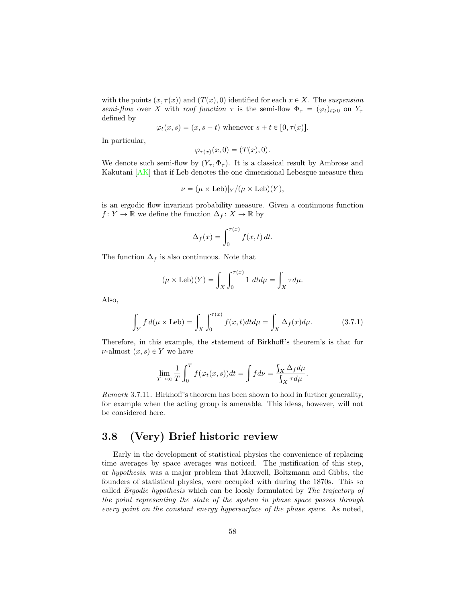<span id="page-58-1"></span>with the points  $(x, \tau(x))$  and  $(T(x), 0)$  identified for each  $x \in X$ . The *suspension semi-flow* over *X* with *roof function*  $\tau$  is the semi-flow  $\Phi_{\tau} = (\varphi_t)_{t \geq 0}$  on  $Y_{\tau}$ defined by

$$
\varphi_t(x, s) = (x, s + t)
$$
 whenever  $s + t \in [0, \tau(x)].$ 

In particular,

$$
\varphi_{\tau(x)}(x,0)=(T(x),0).
$$

We denote such semi-flow by  $(Y_\tau, \Phi_\tau)$ . It is a classical result by Ambrose and Kakutani [\[AK\]](#page-63-8) that if Leb denotes the one dimensional Lebesgue measure then

$$
\nu = (\mu \times \text{Leb})|_Y/(\mu \times \text{Leb})(Y),
$$

is an ergodic flow invariant probability measure. Given a continuous function *f* : *Y* → ℝ we define the function  $\Delta_f$  : *X* → ℝ by

$$
\Delta_f(x) = \int_0^{\tau(x)} f(x, t) dt.
$$

The function  $\Delta_f$  is also continuous. Note that

$$
(\mu \times \text{Leb})(Y) = \int_X \int_0^{\tau(x)} 1 \, dt d\mu = \int_X \tau d\mu.
$$

Also,

$$
\int_{Y} f d(\mu \times \text{Leb}) = \int_{X} \int_{0}^{\tau(x)} f(x, t) dt d\mu = \int_{X} \Delta_{f}(x) d\mu.
$$
 (3.7.1)

Therefore, in this example, the statement of Birkhoff's theorem's is that for  $\nu$ -almost  $(x, s) \in Y$  we have

$$
\lim_{T \to \infty} \frac{1}{T} \int_0^T f(\varphi_t(x, s)) dt = \int f d\nu = \frac{\int_X \Delta_f d\mu}{\int_X \tau d\mu}.
$$

*Remark* 3.7.11*.* Birkhoff's theorem has been shown to hold in further generality, for example when the acting group is amenable. This ideas, however, will not be considered here.

# <span id="page-58-0"></span>3.8 (Very) Brief historic review

Early in the development of statistical physics the convenience of replacing time averages by space averages was noticed. The justification of this step, or *hypothesis*, was a major problem that Maxwell, Boltzmann and Gibbs, the founders of statistical physics, were occupied with during the 1870s. This so called *Ergodic hypothesis* which can be loosly formulated by *The trajectory of the point representing the state of the system in phase space passes through every point on the constant energy hypersurface of the phase space.* As noted,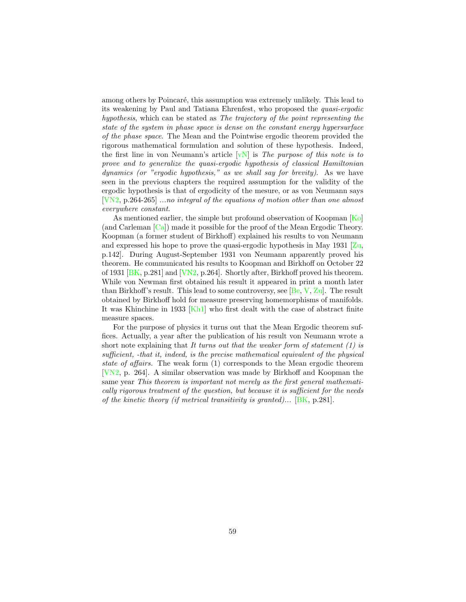<span id="page-59-0"></span>among others by Poincaré, this assumption was extremely unlikely. This lead to its weakening by Paul and Tatiana Ehrenfest, who proposed the *quasi-ergodic hypothesis*, which can be stated as *The trajectory of the point representing the state of the system in phase space is dense on the constant energy hypersurface of the phase space*. The Mean and the Pointwise ergodic theorem provided the rigorous mathematical formulation and solution of these hypothesis. Indeed, the first line in von Neumann's article [\[vN\]](#page-67-0) is *The purpose of this note is to prove and to generalize the quasi-ergodic hypothesis of classical Hamiltonian dynamics (or "ergodic hypothesis," as we shall say for brevity)*. As we have seen in the previous chapters the required assumption for the validity of the ergodic hypothesis is that of ergodicity of the mesure, or as von Neumann says [\[VN2,](#page-67-7) p.264-265] *...no integral of the equations of motion other than one almost everywhere constant*.

As mentioned earlier, the simple but profound observation of Koopman [\[Ko\]](#page-66-2) (and Carleman [\[Ca\]](#page-64-0)) made it possible for the proof of the Mean Ergodic Theory. Koopman (a former student of Birkhoff) explained his results to von Neumann and expressed his hope to prove the quasi-ergodic hypothesis in May 1931 [\[Zu,](#page-67-8) p.142]. During August-September 1931 von Neumann apparently proved his theorem. He communicated his results to Koopman and Birkhoff on October 22 of 1931 [\[BK,](#page-63-9) p.281] and [\[VN2,](#page-67-7) p.264]. Shortly after, Birkhoff proved his theorem. While von Newman first obtained his result it appeared in print a month later than Birkhoff's result. This lead to some controversy, see [\[Be,](#page-63-10) [V,](#page-67-9) [Zu\]](#page-67-8). The result obtained by Birkhoff hold for measure preserving homemorphisms of manifolds. It was Khinchine in 1933 [\[Kh1\]](#page-65-13) who first dealt with the case of abstract finite measure spaces.

For the purpose of physics it turns out that the Mean Ergodic theorem suffices. Actually, a year after the publication of his result von Neumann wrote a short note explaining that *It turns out that the weaker form of statement (1) is su*ffi*cient, -that it, indeed, is the precise mathematical equivalent of the physical state of affairs.* The weak form (1) corresponds to the Mean ergodic theorem [\[VN2,](#page-67-7) p. 264]. A similar observation was made by Birkhoff and Koopman the same year *This theorem is important not merely as the first general mathematically rigorous treatment of the question, but because it is su*ffi*cient for the needs of the kinetic theory (if metrical transitivity is granted)...* [\[BK,](#page-63-9) p.281].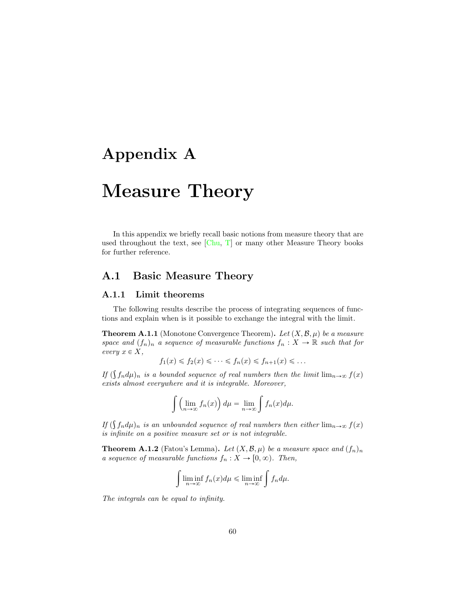# <span id="page-60-2"></span><span id="page-60-1"></span>Appendix A

# Measure Theory

In this appendix we briefly recall basic notions from measure theory that are used throughout the text, see  $[Chu, T]$  $[Chu, T]$  $[Chu, T]$  or many other Measure Theory books for further reference.

# <span id="page-60-0"></span>A.1 Basic Measure Theory

### A.1.1 Limit theorems

The following results describe the process of integrating sequences of functions and explain when is it possible to exchange the integral with the limit.

**Theorem A.1.1** (Monotone Convergence Theorem). Let  $(X, \mathcal{B}, \mu)$  be a measure *space and*  $(f_n)_n$  *a sequence of measurable functions*  $f_n : X \to \mathbb{R}$  *such that for*  $every \; x \in X,$ 

$$
f_1(x) \leq f_2(x) \leq \cdots \leq f_n(x) \leq f_{n+1}(x) \leq \ldots
$$

*If*  $(\int f_n d\mu)_n$  *is a bounded sequence of real numbers then the limit*  $\lim_{n\to\infty} f(x)$ *exists almost everywhere and it is integrable. Moreover,*

$$
\int \left(\lim_{n\to\infty} f_n(x)\right) d\mu = \lim_{n\to\infty} \int f_n(x) d\mu.
$$

*If*  $(\int f_n d\mu)_n$  *is an unbounded sequence of real numbers then either*  $\lim_{n\to\infty} f(x)$ *is infinite on a positive measure set or is not integrable.*

**Theorem A.1.2** (Fatou's Lemma). Let  $(X, \mathcal{B}, \mu)$  be a measure space and  $(f_n)_n$ *a sequence of measurable functions*  $f_n : X \to [0, \infty)$ . Then,

$$
\int \liminf_{n \to \infty} f_n(x) d\mu \le \liminf_{n \to \infty} \int f_n d\mu.
$$

*The integrals can be equal to infinity.*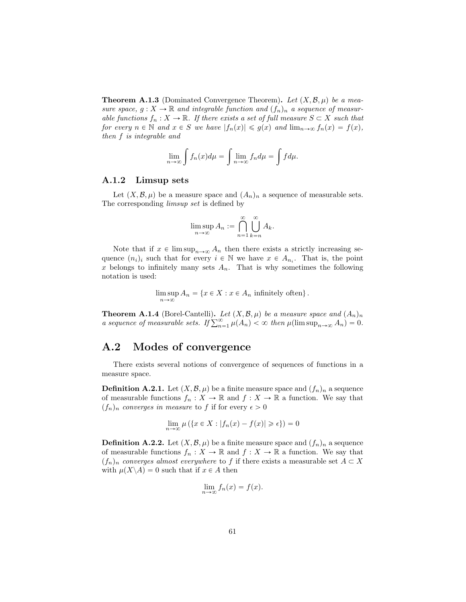**Theorem A.1.3** (Dominated Convergence Theorem). Let  $(X, \mathcal{B}, \mu)$  be a mea*sure space,*  $g: X \to \mathbb{R}$  *and integrable function and*  $(f_n)_n$  *a sequence of measurable functions*  $f_n: X \to \mathbb{R}$ *. If there exists a set of full measure*  $S \subset X$  *such that for every*  $n \in \mathbb{N}$  *and*  $x \in S$  *we have*  $|f_n(x)| \leq g(x)$  *and*  $\lim_{n \to \infty} f_n(x) = f(x)$ *, then f is integrable and*

$$
\lim_{n \to \infty} \int f_n(x) d\mu = \int \lim_{n \to \infty} f_n d\mu = \int f d\mu.
$$

#### A.1.2 Limsup sets

Let  $(X, \mathcal{B}, \mu)$  be a measure space and  $(A_n)_n$  a sequence of measurable sets. The corresponding *limsup set* is defined by

$$
\limsup_{n \to \infty} A_n := \bigcap_{n=1}^{\infty} \bigcup_{k=n}^{\infty} A_k.
$$

Note that if  $x \in \limsup_{n \to \infty} A_n$  then there exists a strictly increasing sequence  $(n_i)_i$  such that for every  $i \in \mathbb{N}$  we have  $x \in A_{n_i}$ . That is, the point x belongs to infinitely many sets  $A_n$ . That is why sometimes the following notation is used:

> $\limsup A_n = \{x \in X : x \in A_n \text{ infinitely often}\}.$  $n \rightarrow \infty$

**Theorem A.1.4** (Borel-Cantelli). Let  $(X, \mathcal{B}, \mu)$  be a measure space and  $(A_n)_n$ *a sequence of measurable sets. If*  $\sum_{n=1}^{\infty} \mu(A_n) < \infty$  *then*  $\mu(\limsup_{n \to \infty} A_n) = 0$ *.* 

# <span id="page-61-0"></span>A.2 Modes of convergence

There exists several notions of convergence of sequences of functions in a measure space.

**Definition A.2.1.** Let  $(X, \mathcal{B}, \mu)$  be a finite measure space and  $(f_n)_n$  a sequence of measurable functions  $f_n: X \to \mathbb{R}$  and  $f: X \to \mathbb{R}$  a function. We say that  $(f_n)_n$  *converges in measure* to *f* if for every  $\epsilon > 0$ 

$$
\lim_{n \to \infty} \mu\left(\left\{x \in X : |f_n(x) - f(x)| \geq \epsilon\right\}\right) = 0
$$

**Definition A.2.2.** Let  $(X, \mathcal{B}, \mu)$  be a finite measure space and  $(f_n)_n$  a sequence of measurable functions  $f_n: X \to \mathbb{R}$  and  $f: X \to \mathbb{R}$  a function. We say that  $(f_n)_n$  *converges almost everywhere* to *f* if there exists a measurable set  $A \subset X$ with  $\mu(X \setminus A) = 0$  such that if  $x \in A$  then

$$
\lim_{n \to \infty} f_n(x) = f(x).
$$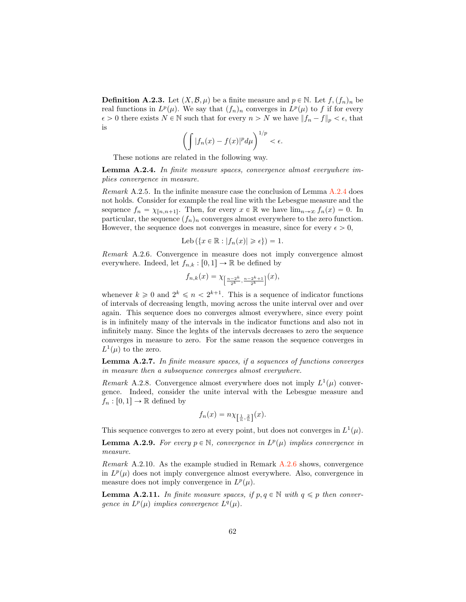**Definition A.2.3.** Let  $(X, \mathcal{B}, \mu)$  be a finite measure and  $p \in \mathbb{N}$ . Let  $f$ ,  $(f_n)_n$  be real functions in  $L^p(\mu)$ . We say that  $(f_n)_n$  converges in  $L^p(\mu)$  to f if for every  $\epsilon > 0$  there exists  $N \in \mathbb{N}$  such that for every  $n > N$  we have  $||f_n - f||_p < \epsilon$ , that is

$$
\left(\int |f_n(x)-f(x)|^p d\mu\right)^{1/p} < \epsilon.
$$

These notions are related in the following way.

<span id="page-62-0"></span>Lemma A.2.4. *In finite measure spaces, convergence almost everywhere implies convergence in measure.*

*Remark* A.2.5*.* In the infinite measure case the conclusion of Lemma [A.2.4](#page-62-0) does not holds. Consider for example the real line with the Lebesgue measure and the sequence  $f_n = \chi_{[n,n+1]}$ . Then, for every  $x \in \mathbb{R}$  we have  $\lim_{n\to\infty} f_n(x) = 0$ . In particular, the sequence  $(f_n)_n$  converges almost everywhere to the zero function. However, the sequence does not converges in measure, since for every  $\epsilon > 0$ ,

$$
\mathrm{Leb}\left(\left\{x \in \mathbb{R} : |f_n(x)| \geq \epsilon\right\}\right) = 1.
$$

<span id="page-62-1"></span>*Remark* A.2.6*.* Convergence in measure does not imply convergence almost everywhere. Indeed, let  $f_{n,k} : [0,1] \to \mathbb{R}$  be defined by

$$
f_{n,k}(x) = \chi_{\left[\frac{n-2^k}{2^k}, \frac{n-2^k+1}{2^k}\right]}(x),
$$

whenever  $k \geq 0$  and  $2^k \leq n < 2^{k+1}$ . This is a sequence of indicator functions of intervals of decreasing length, moving across the unite interval over and over again. This sequence does no converges almost everywhere, since every point is in infinitely many of the intervals in the indicator functions and also not in infinitely many. Since the leghts of the intervals decreases to zero the sequence converges in measure to zero. For the same reason the sequence converges in  $L^1(\mu)$  to the zero.

Lemma A.2.7. *In finite measure spaces, if a sequences of functions converges in measure then a subsequence converges almost everywhere.*

*Remark* A.2.8. Convergence almost everywhere does not imply  $L^1(\mu)$  convergence. Indeed, consider the unite interval with the Lebesgue measure and  $f_n : [0,1] \to \mathbb{R}$  defined by

$$
f_n(x) = n \chi_{\left[\frac{1}{n}, \frac{2}{n}\right]}(x).
$$

This sequence converges to zero at every point, but does not converges in  $L^1(\mu)$ .

**Lemma A.2.9.** For every  $p \in \mathbb{N}$ , convergence in  $L^p(\mu)$  implies convergence in *measure.*

*Remark* A.2.10*.* As the example studied in Remark [A.2.6](#page-62-1) shows, convergence in  $L^p(\mu)$  does not imply convergence almost everywhere. Also, convergence in measure does not imply convergence in  $L^p(\mu)$ .

**Lemma A.2.11.** In finite measure spaces, if  $p, q \in \mathbb{N}$  with  $q \leq p$  then conver*gence in*  $L^p(\mu)$  *implies convergence*  $L^q(\mu)$ *.*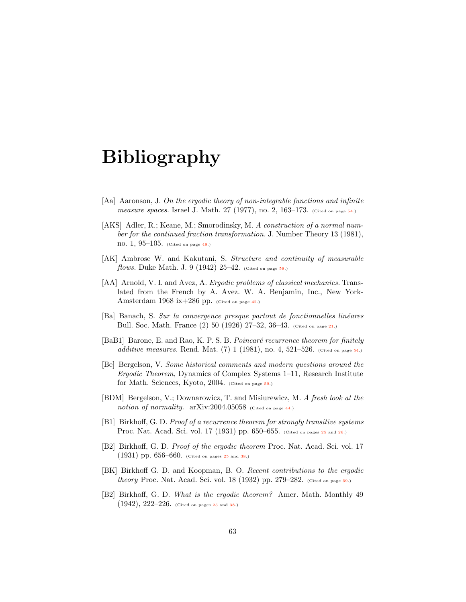# Bibliography

- <span id="page-63-7"></span>[Aa] Aaronson, J. *On the ergodic theory of non-integrable functions and infinite measure spaces.* Israel J. Math. 27 (1977), no. 2, 163–173. (Cited on page [54.](#page-54-0))
- <span id="page-63-5"></span>[AKS] Adler, R.; Keane, M.; Smorodinsky, M. *A construction of a normal number for the continued fraction transformation.* J. Number Theory 13 (1981), no. 1, 95–105. (Cited on page [48.](#page-48-1))
- <span id="page-63-8"></span>[AK] Ambrose W. and Kakutani, S. *Structure and continuity of measurable flows.* Duke Math. J. 9 (1942) 25–42. (Cited on page [58.](#page-58-1))
- <span id="page-63-3"></span>[AA] Arnold, V. I. and Avez, A. *Ergodic problems of classical mechanics.* Translated from the French by A. Avez. W. A. Benjamin, Inc., New York-Amsterdam 1968 ix+286 pp. (Cited on page [42.](#page-42-0))
- <span id="page-63-0"></span>[Ba] Banach, S. *Sur la convergence presque partout de fonctionnelles lin´eares* Bull. Soc. Math. France (2) 50 (1926) 27–32, 36–43. (Cited on page [21.](#page-21-3))
- <span id="page-63-6"></span>[BaB1] Barone, E. and Rao, K. P. S. B. *Poincaré recurrence theorem for finitely additive measures.* Rend. Mat. (7) 1 (1981), no. 4, 521–526. (Cited on page [54.](#page-54-0))
- <span id="page-63-10"></span>[Be] Bergelson, V. *Some historical comments and modern questions around the Ergodic Theorem,* Dynamics of Complex Systems 1–11, Research Institute for Math. Sciences, Kyoto, 2004. (Cited on page [59.](#page-59-0))
- <span id="page-63-4"></span>[BDM] Bergelson, V.; Downarowicz, T. and Misiurewicz, M. *A fresh look at the notion of normality.*  $arXiv:2004.05058$  (Cited on page [44.](#page-44-1))
- <span id="page-63-1"></span>[B1] Birkhoff, G. D. *Proof of a recurrence theorem for strongly transitive systems* Proc. Nat. Acad. Sci. vol. 17 (1931) pp. 650–655. (Cited on pages [25](#page-25-4) and [26.](#page-26-1))
- <span id="page-63-2"></span>[B2] Birkhoff, G. D. *Proof of the ergodic theorem* Proc. Nat. Acad. Sci. vol. 17 (1931) pp. 656–660. (Cited on pages [25](#page-25-4) and [38.](#page-38-1))
- <span id="page-63-9"></span>[BK] Birkhoff G. D. and Koopman, B. O. *Recent contributions to the ergodic theory* Proc. Nat. Acad. Sci. vol. 18 (1932) pp. 279–282. (Cited on page [59.](#page-59-0))
- [B2] Birkhoff, G. D. *What is the ergodic theorem?* Amer. Math. Monthly 49  $(1942), 222-226.$  (Cited on pages [25](#page-25-4) and [38.](#page-38-1))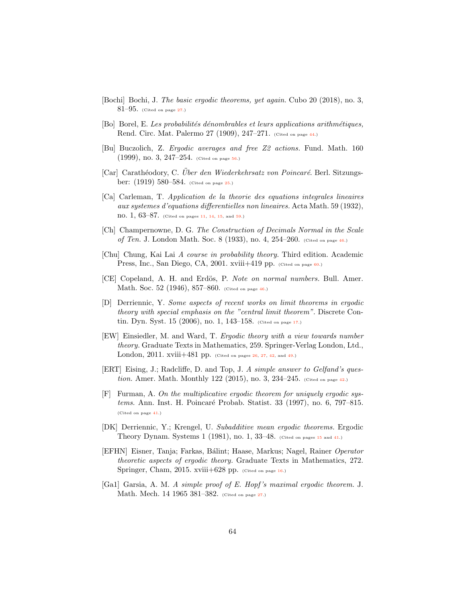- <span id="page-64-6"></span>[Bochi] Bochi, J. *The basic ergodic theorems, yet again.* Cubo 20 (2018), no. 3,  $81-95.$  (Cited on page [27.](#page-27-1))
- <span id="page-64-10"></span>[Bo] Borel, E. *Les probabilit´es d´enombrables et leurs applications arithm´etiques,* Rend. Circ. Mat. Palermo 27 (1909), 247-271. (Cited on page [44.](#page-44-1))
- <span id="page-64-13"></span>[Bu] Buczolich, Z. *Ergodic averages and free Z2 actions.* Fund. Math. 160 (1999), no. 3, 247–254. (Cited on page [56.](#page-56-0))
- <span id="page-64-4"></span>[Car] Carath´eodory, C. *Uber den Wiederkehrsatz von Poincar´e ¨* . Berl. Sitzungsber: (1919) 580–584. (Cited on page [25.](#page-25-4))
- <span id="page-64-0"></span>[Ca] Carleman, T. *Application de la theorie des equations integrales lineaires aux systemes d'equations di*ff*erentielles non lineaires.* Acta Math. 59 (1932),  $\text{no. } 1, 63-87.$  (Cited on pages [11,](#page-11-1) [14,](#page-14-0) [15,](#page-15-0) and [59.](#page-59-0))
- <span id="page-64-11"></span>[Ch] Champernowne, D. G. *The Construction of Decimals Normal in the Scale of Ten.* J. London Math. Soc. 8 (1933), no. 4, 254–260. (Cited on page [46.](#page-46-0))
- <span id="page-64-14"></span>[Chu] Chung, Kai Lai *A course in probability theory.* Third edition. Academic Press, Inc., San Diego, CA, 2001. xviii+419 pp. (Cited on page [60.](#page-60-2))
- <span id="page-64-12"></span>[CE] Copeland, A. H. and Erd¨os, P. *Note on normal numbers.* Bull. Amer. Math. Soc. 52 (1946), 857–860. (Cited on page [46.](#page-46-0))
- <span id="page-64-3"></span>[D] Derriennic, Y. *Some aspects of recent works on limit theorems in ergodic theory with special emphasis on the "central limit theorem".* Discrete Con-tin. Dyn. Syst. 15 (2006), no. 1, 143-158. (Cited on page [17.](#page-17-0))
- <span id="page-64-5"></span>[EW] Einsiedler, M. and Ward, T. *Ergodic theory with a view towards number theory.* Graduate Texts in Mathematics, 259. Springer-Verlag London, Ltd., London, 2011. xviii+481 pp. (Cited on pages  $26$ ,  $27$ ,  $42$ , and  $49$ .)
- <span id="page-64-9"></span>[ERT] Eising, J.; Radcliffe, D. and Top, J. *A simple answer to Gelfand's question.* Amer. Math. Monthly 122 (2015), no. 3, 234–245. (Cited on page [42.](#page-42-0))
- <span id="page-64-8"></span>[F] Furman, A. *On the multiplicative ergodic theorem for uniquely ergodic systems.* Ann. Inst. H. Poincar´e Probab. Statist. 33 (1997), no. 6, 797–815. (Cited on page [41.](#page-41-1))
- <span id="page-64-1"></span>[DK] Derriennic, Y.; Krengel, U. *Subadditive mean ergodic theorems.* Ergodic Theory Dynam. Systems 1 (1981), no. 1, 33–48. (Cited on pages [15](#page-15-0) and [41.](#page-41-1))
- <span id="page-64-2"></span>[EFHN] Eisner, Tanja; Farkas, B´alint; Haase, Markus; Nagel, Rainer *Operator theoretic aspects of ergodic theory.* Graduate Texts in Mathematics, 272. Springer, Cham, 2015. xviii+628 pp. (Cited on page [16.](#page-16-0))
- <span id="page-64-7"></span>[Ga1] Garsia, A. M. *A simple proof of E. Hopf 's maximal ergodic theorem.* J. Math. Mech. 14 1965 381-382. (Cited on page [27.](#page-27-1))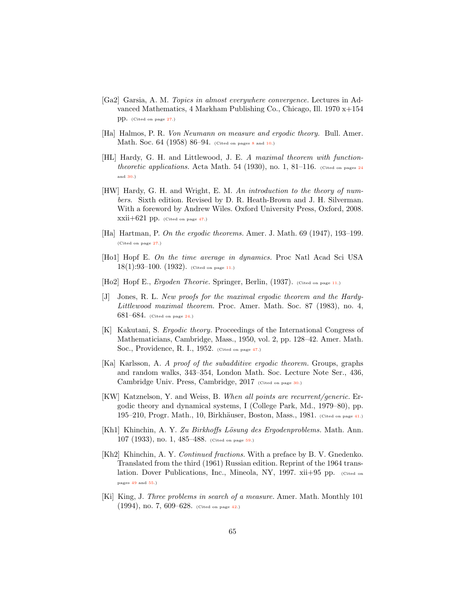- <span id="page-65-6"></span>[Ga2] Garsia, A. M. *Topics in almost everywhere convergence.* Lectures in Advanced Mathematics, 4 Markham Publishing Co., Chicago, Ill. 1970 x+154 pp. (Cited on page [27.](#page-27-1))
- <span id="page-65-0"></span>[Ha] Halmos, P. R. *Von Neumann on measure and ergodic theory.* Bull. Amer. Math. Soc. 64 (195[8](#page-8-2)) 86–94. (Cited on pages 8 and [10.](#page-10-0))
- <span id="page-65-4"></span>[HL] Hardy, G. H. and Littlewood, J. E. *A maximal theorem with functiontheoretic applications.* Acta Math. 54 (1930), no. 1, 81–116. (Cited on pages  $24$ and [30.](#page-30-4))
- <span id="page-65-10"></span>[HW] Hardy, G. H. and Wright, E. M. *An introduction to the theory of numbers.* Sixth edition. Revised by D. R. Heath-Brown and J. H. Silverman. With a foreword by Andrew Wiles. Oxford University Press, Oxford, 2008.  $xxii+621$  pp. (Cited on page [47.](#page-47-0))
- <span id="page-65-5"></span>[Ha] Hartman, P. *On the ergodic theorems.* Amer. J. Math. 69 (1947), 193–199. (Cited on page [27.](#page-27-1))
- <span id="page-65-1"></span>[Ho1] Hopf E. *On the time average in dynamics.* Proc Natl Acad Sci USA  $18(1):93-100.$   $(1932)$ . (Cited on page [11.](#page-11-1))
- <span id="page-65-2"></span>[Ho2] Hopf E., *Ergoden Theorie.* Springer, Berlin, (1937). (Cited on page [11.](#page-11-1))
- <span id="page-65-3"></span>[J] Jones, R. L. *New proofs for the maximal ergodic theorem and the Hardy-Littlewood maximal theorem.* Proc. Amer. Math. Soc. 87 (1983), no. 4, 681–684. (Cited on page [24.](#page-24-0))
- <span id="page-65-11"></span>[K] Kakutani, S. *Ergodic theory.* Proceedings of the International Congress of Mathematicians, Cambridge, Mass., 1950, vol. 2, pp. 128–42. Amer. Math. Soc., Providence, R. I., 1952. (Cited on page [47.](#page-47-0))
- <span id="page-65-7"></span>[Ka] Karlsson, A. *A proof of the subadditive ergodic theorem.* Groups, graphs and random walks, 343–354, London Math. Soc. Lecture Note Ser., 436, Cambridge Univ. Press, Cambridge, 2017 (Cited on page [30.](#page-30-4))
- <span id="page-65-8"></span>[KW] Katznelson, Y. and Weiss, B. *When all points are recurrent/generic.* Ergodic theory and dynamical systems, I (College Park, Md., 1979–80), pp. 195–210, Progr. Math., 10, Birkhäuser, Boston, Mass., 1981. (Cited on page [41.](#page-41-1))
- <span id="page-65-13"></span>[Kh1] Khinchin, A. Y. Zu Birkhoffs Lösung des Ergodenproblems. Math. Ann. 107 (1933), no. 1, 485–488. (Cited on page [59.](#page-59-0))
- <span id="page-65-12"></span>[Kh2] Khinchin, A. Y. *Continued fractions.* With a preface by B. V. Gnedenko. Translated from the third (1961) Russian edition. Reprint of the 1964 translation. Dover Publications, Inc., Mineola, NY, 1997. xii+95 pp. (Cited on pages [49](#page-49-1) and [55.](#page-55-1))
- <span id="page-65-9"></span>[Ki] King, J. *Three problems in search of a measure.* Amer. Math. Monthly 101 (1994), no. 7, 609–628. (Cited on page [42.](#page-42-0))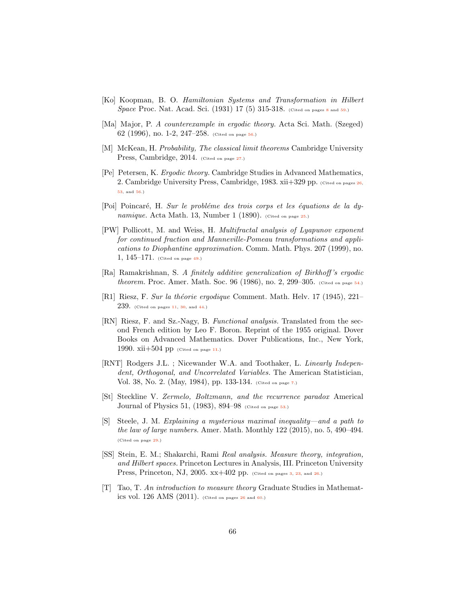- <span id="page-66-2"></span>[Ko] Koopman, B. O. *Hamiltonian Systems and Transformation in Hilbert Space* Proc. Nat. Acad. Sci. (1931) 17 (5) 315-31[8](#page-8-2). (Cited on pages 8 and [59.](#page-59-0))
- <span id="page-66-13"></span>[Ma] Major, P. *A counterexample in ergodic theory.* Acta Sci. Math. (Szeged) 62 (1996), no. 1-2, 247–258. (Cited on page [56.](#page-56-0))
- <span id="page-66-8"></span>[M] McKean, H. *Probability, The classical limit theorems* Cambridge University Press, Cambridge, 2014. (Cited on page [27.](#page-27-1))
- <span id="page-66-6"></span>[Pe] Petersen, K. *Ergodic theory.* Cambridge Studies in Advanced Mathematics, 2. Cambridge University Press, Cambridge, 1983. xii+329 pp. (Cited on pages [26,](#page-26-1) [53,](#page-53-1) and [56.](#page-56-0))
- <span id="page-66-5"></span>[Poi] Poincar´e, H. *Sur le probl´eme des trois corps et les ´equations de la dynamique.* Acta Math. 13, Number 1 (1890). (Cited on page [25.](#page-25-4))
- <span id="page-66-10"></span>[PW] Pollicott, M. and Weiss, H. *Multifractal analysis of Lyapunov exponent for continued fraction and Manneville-Pomeau transformations and applications to Diophantine approximation.* Comm. Math. Phys. 207 (1999), no. 1, 145–171. (Cited on page [49.](#page-49-1))
- <span id="page-66-12"></span>[Ra] Ramakrishnan, S. *A finitely additive generalization of Birkho*ff*'s ergodic theorem.* Proc. Amer. Math. Soc. 96 (1986), no. 2, 299–305. (Cited on page [54.](#page-54-0))
- <span id="page-66-3"></span>[R1] Riesz, F. *Sur la th´eorie ergodique* Comment. Math. Helv. 17 (1945), 221–  $239.$  (Cited on pages [11,](#page-11-1) [30,](#page-30-4) and [44.](#page-44-1))
- <span id="page-66-4"></span>[RN] Riesz, F. and Sz.-Nagy, B. *Functional analysis.* Translated from the second French edition by Leo F. Boron. Reprint of the 1955 original. Dover Books on Advanced Mathematics. Dover Publications, Inc., New York, 1990.  $xii+504$  pp (Cited on page [11.](#page-11-1))
- <span id="page-66-1"></span>[RNT] Rodgers J.L. ; Nicewander W.A. and Toothaker, L. *Linearly Independent, Orthogonal, and Uncorrelated Variables.* The American Statistician, Vol. 38, No. 2. (May, 1984), pp. 133-134. (Cited on page [7.](#page-7-0))
- <span id="page-66-11"></span>[St] Steckline V. *Zermelo, Boltzmann, and the recurrence paradox* Americal Journal of Physics 51, (1983), 894–98 (Cited on page [53.](#page-53-1))
- <span id="page-66-9"></span>[S] Steele, J. M. *Explaining a mysterious maximal inequality—and a path to the law of large numbers.* Amer. Math. Monthly 122 (2015), no. 5, 490–494. (Cited on page [29.](#page-29-2))
- <span id="page-66-0"></span>[SS] Stein, E. M.; Shakarchi, Rami *Real analysis. Measure theory, integration, and Hilbert spaces.* Princeton Lectures in Analysis, III. Princeton University Press, Princeton, NJ, 2005. xx+402 pp. (Cited on pages [3,](#page-3-2) [23,](#page-23-0) and [26.](#page-26-1))
- <span id="page-66-7"></span>[T] Tao, T. *An introduction to measure theory* Graduate Studies in Mathematics vol.  $126$  $126$  AMS  $(2011)$ . (Cited on pages  $26$  and  $60$ .)